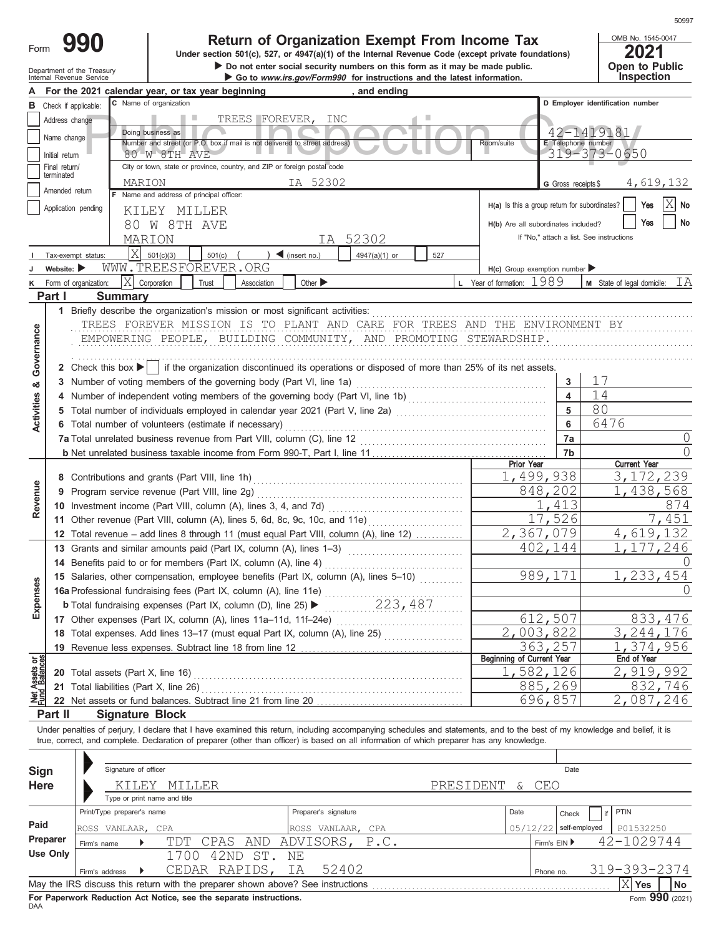# **990 200 2021 2021 2021 2021 Dimer section 501(c), 527, or 4947(a)(1) of the Internal Revenue Code (except private foundations)**

Department of the Treasury **Depentity Properties on the Security numbers on this form as it may be made public.**<br>Internal Revenue Service **Communication** Costo **Continue Cost of the Security Properties and the latest infor** 

OMB No. 1545-0047 **Open to Public<br>Inspection** 

|                                |                             | For the 2021 calendar year, or tax year beginning<br>and ending                                                                                                                                                                                                                                                          |                                               |                                          |
|--------------------------------|-----------------------------|--------------------------------------------------------------------------------------------------------------------------------------------------------------------------------------------------------------------------------------------------------------------------------------------------------------------------|-----------------------------------------------|------------------------------------------|
| в                              |                             | C Name of organization<br>Check if applicable:                                                                                                                                                                                                                                                                           |                                               | D Employer identification number         |
|                                | Address change              | TREES FOREVER, INC                                                                                                                                                                                                                                                                                                       |                                               |                                          |
|                                | Name change                 | Doing business as                                                                                                                                                                                                                                                                                                        |                                               | 42-1419181                               |
|                                |                             | Number and street (or P.O. box if mail is not delivered to street address)                                                                                                                                                                                                                                               | Room/suite                                    | E Telephone number                       |
|                                | Initial return              | 80 W 8TH AVE                                                                                                                                                                                                                                                                                                             |                                               | 319-373-0650                             |
|                                | Final return/<br>terminated | City or town, state or province, country, and ZIP or foreign postal code                                                                                                                                                                                                                                                 |                                               |                                          |
|                                | Amended return              | IA 52302<br>MARION                                                                                                                                                                                                                                                                                                       | G Gross receipts \$                           | 4,619,132                                |
|                                |                             | F Name and address of principal officer:                                                                                                                                                                                                                                                                                 |                                               | Χ<br>No<br>Yes                           |
|                                |                             | Application pending<br>KILEY MILLER                                                                                                                                                                                                                                                                                      | H(a) Is this a group return for subordinates? |                                          |
|                                |                             | 80 W 8TH AVE                                                                                                                                                                                                                                                                                                             | H(b) Are all subordinates included?           | No<br>Yes                                |
|                                |                             | IA 52302<br>MARION                                                                                                                                                                                                                                                                                                       |                                               | If "No," attach a list. See instructions |
|                                |                             | Χ<br>501(c)(3)<br>501(c)<br>$\triangleleft$ (insert no.)<br>4947(a)(1) or<br>527<br>Tax-exempt status:                                                                                                                                                                                                                   |                                               |                                          |
|                                | Website:                    | WWW.TREESFOREVER.ORG                                                                                                                                                                                                                                                                                                     | $H(c)$ Group exemption number                 |                                          |
|                                |                             | Χ<br>Corporation<br>Other $\blacktriangleright$<br>Form of organization:<br>Trust<br>Association                                                                                                                                                                                                                         | L Year of formation: $1989$                   | ΙA<br>M State of legal domicile:         |
|                                | Part I                      | <b>Summary</b>                                                                                                                                                                                                                                                                                                           |                                               |                                          |
|                                |                             | 1 Briefly describe the organization's mission or most significant activities:                                                                                                                                                                                                                                            |                                               |                                          |
|                                |                             |                                                                                                                                                                                                                                                                                                                          |                                               |                                          |
|                                |                             | TREES FOREVER MISSION IS TO PLANT AND CARE FOR TREES AND THE ENVIRONMENT BY                                                                                                                                                                                                                                              |                                               |                                          |
| Governance                     |                             | EMPOWERING PEOPLE, BUILDING COMMUNITY, AND PROMOTING STEWARDSHIP.                                                                                                                                                                                                                                                        |                                               |                                          |
|                                |                             |                                                                                                                                                                                                                                                                                                                          |                                               |                                          |
|                                |                             | 2 Check this box $\blacktriangleright$   if the organization discontinued its operations or disposed of more than 25% of its net assets.                                                                                                                                                                                 |                                               |                                          |
| න්                             |                             | 3 Number of voting members of the governing body (Part VI, line 1a)                                                                                                                                                                                                                                                      | 3                                             | 17                                       |
| <b>Activities</b>              |                             |                                                                                                                                                                                                                                                                                                                          | $\overline{\mathbf{4}}$                       | 14                                       |
|                                |                             | 5 Total number of individuals employed in calendar year 2021 (Part V, line 2a) [100] (100] [100] [100] [100] [100] [100] [100] [100] [100] [100] [100] [100] [100] [100] [100] [100] [100] [100] [100] [100] [100] [100] [100]                                                                                           | 5                                             | 80                                       |
|                                |                             | 6 Total number of volunteers (estimate if necessary)                                                                                                                                                                                                                                                                     | 6                                             | 6476                                     |
|                                |                             | 7a Total unrelated business revenue from Part VIII, column (C), line 12                                                                                                                                                                                                                                                  | 7a                                            | $\bigcap$                                |
|                                |                             |                                                                                                                                                                                                                                                                                                                          | 7b                                            | $\bigcap$                                |
|                                |                             |                                                                                                                                                                                                                                                                                                                          | Prior Year                                    | <b>Current Year</b>                      |
|                                |                             |                                                                                                                                                                                                                                                                                                                          | 1,499,938                                     | 3, 172, 239                              |
|                                |                             | 9 Program service revenue (Part VIII, line 2g)                                                                                                                                                                                                                                                                           | 848,202                                       | 1,438,568                                |
| Revenue                        |                             |                                                                                                                                                                                                                                                                                                                          | 1,413                                         | 874                                      |
|                                |                             | 11 Other revenue (Part VIII, column (A), lines 5, 6d, 8c, 9c, 10c, and 11e)                                                                                                                                                                                                                                              | 17,526                                        | 7,451                                    |
|                                |                             | 12 Total revenue – add lines 8 through 11 (must equal Part VIII, column (A), line 12)                                                                                                                                                                                                                                    | 2,367,079                                     | 4,619,132                                |
|                                |                             | 13 Grants and similar amounts paid (Part IX, column (A), lines 1-3)                                                                                                                                                                                                                                                      | 402,144                                       | 1, 177, 246                              |
|                                |                             | 14 Benefits paid to or for members (Part IX, column (A), line 4)                                                                                                                                                                                                                                                         |                                               |                                          |
|                                |                             | 15 Salaries, other compensation, employee benefits (Part IX, column (A), lines 5-10)                                                                                                                                                                                                                                     | 989, 171                                      | 1,233,454                                |
| xpenses                        |                             |                                                                                                                                                                                                                                                                                                                          |                                               |                                          |
|                                |                             |                                                                                                                                                                                                                                                                                                                          |                                               |                                          |
| ш                              |                             |                                                                                                                                                                                                                                                                                                                          | 612,507                                       | 833, 476                                 |
|                                |                             | 17 Other expenses (Part IX, column (A), lines 11a-11d, 11f-24e)                                                                                                                                                                                                                                                          |                                               |                                          |
|                                |                             | 18 Total expenses. Add lines 13-17 (must equal Part IX, column (A), line 25)                                                                                                                                                                                                                                             | 2,003,822                                     | 3, 244, 176                              |
|                                |                             | 19 Revenue less expenses. Subtract line 18 from line 12                                                                                                                                                                                                                                                                  | 363,257<br>Beginning of Current Year          | 1,374,956<br>End of Year                 |
| Net Assets or<br>Fund Balances |                             |                                                                                                                                                                                                                                                                                                                          |                                               | 2,919,992                                |
|                                |                             | 20 Total assets (Part X, line 16)                                                                                                                                                                                                                                                                                        | 1,582,126                                     |                                          |
|                                |                             | 21 Total liabilities (Part X, line 26)                                                                                                                                                                                                                                                                                   | 885,269                                       | 832,746                                  |
|                                |                             | 22 Net assets or fund balances. Subtract line 21 from line 20                                                                                                                                                                                                                                                            | 696,857                                       | 2,087,246                                |
|                                | Part II                     | <b>Signature Block</b>                                                                                                                                                                                                                                                                                                   |                                               |                                          |
|                                |                             | Under penalties of perjury, I declare that I have examined this return, including accompanying schedules and statements, and to the best of my knowledge and belief, it is<br>true, correct, and complete. Declaration of preparer (other than officer) is based on all information of which preparer has any knowledge. |                                               |                                          |
|                                |                             |                                                                                                                                                                                                                                                                                                                          |                                               |                                          |
|                                |                             |                                                                                                                                                                                                                                                                                                                          |                                               |                                          |
| <b>Sign</b>                    |                             | Signature of officer                                                                                                                                                                                                                                                                                                     | Date                                          |                                          |
| Here                           |                             | PRESIDENT<br>KILEY<br>MILLER                                                                                                                                                                                                                                                                                             | CEO<br>$\delta$                               |                                          |
|                                |                             | Type or print name and title                                                                                                                                                                                                                                                                                             |                                               |                                          |
|                                |                             | Print/Type preparer's name<br>Preparer's signature                                                                                                                                                                                                                                                                       | Date<br>Check                                 | PTIN                                     |
| Paid                           |                             | ROSS VANLAAR, CPA<br>ROSS VANLAAR, CPA                                                                                                                                                                                                                                                                                   | 05/12/22                                      | self-employed<br>P01532250               |
|                                | Preparer                    | CPAS AND<br>ADVISORS,<br>P.C.<br>TDT<br>Firm's name                                                                                                                                                                                                                                                                      | Firm's EIN ▶                                  | 42-1029744                               |
|                                | <b>Use Only</b>             | 1700 42ND ST. NE                                                                                                                                                                                                                                                                                                         |                                               |                                          |
|                                |                             | 52402<br>CEDAR RAPIDS,<br>IA                                                                                                                                                                                                                                                                                             |                                               | 319-393-2374                             |
|                                |                             | Firm's address<br>May the IRS discuss this return with the preparer shown above? See instructions                                                                                                                                                                                                                        | Phone no.                                     | $\overline{\mathrm{X}}$ Yes              |
|                                |                             |                                                                                                                                                                                                                                                                                                                          |                                               | No                                       |

| Sign     | <b>Sigriature</b> or officer                                                                       |                              |               |                             |  |           |          |              | Dale                     |              |      |
|----------|----------------------------------------------------------------------------------------------------|------------------------------|---------------|-----------------------------|--|-----------|----------|--------------|--------------------------|--------------|------|
| Here     |                                                                                                    | KTLEY<br>MILLER              |               |                             |  | PRESIDENT | $\delta$ | CEO          |                          |              |      |
|          |                                                                                                    | Type or print name and title |               |                             |  |           |          |              |                          |              |      |
|          | Print/Type preparer's name                                                                         |                              |               | Preparer's signature        |  |           | Date     |              | if<br>Check              | PTIN         |      |
| Paid     | ROSS VANLAAR, CPA                                                                                  |                              |               | ROSS VANLAAR, CPA           |  |           |          |              | $05/12/22$ self-employed | P01532250    |      |
| Preparer | Firm's name                                                                                        |                              |               | TDT CPAS AND ADVISORS, P.C. |  |           |          | Firm's $EIN$ |                          | 42-1029744   |      |
| Use Only |                                                                                                    | 1700                         | 42ND ST. NE   |                             |  |           |          |              |                          |              |      |
|          | Firm's address                                                                                     |                              | CEDAR RAPIDS, | 52402<br>ΙA                 |  |           |          | Phone no.    |                          | 319-393-2374 |      |
|          | May the IRS discuss this return with the preparer shown above? See instructions<br><b>Yes</b>      |                              |               |                             |  |           |          |              |                          |              | l No |
|          | $F_{\text{max}}$ QQN $(2024)$<br>For Panerwork Peduction Act Notice, see the senarate instructions |                              |               |                             |  |           |          |              |                          |              |      |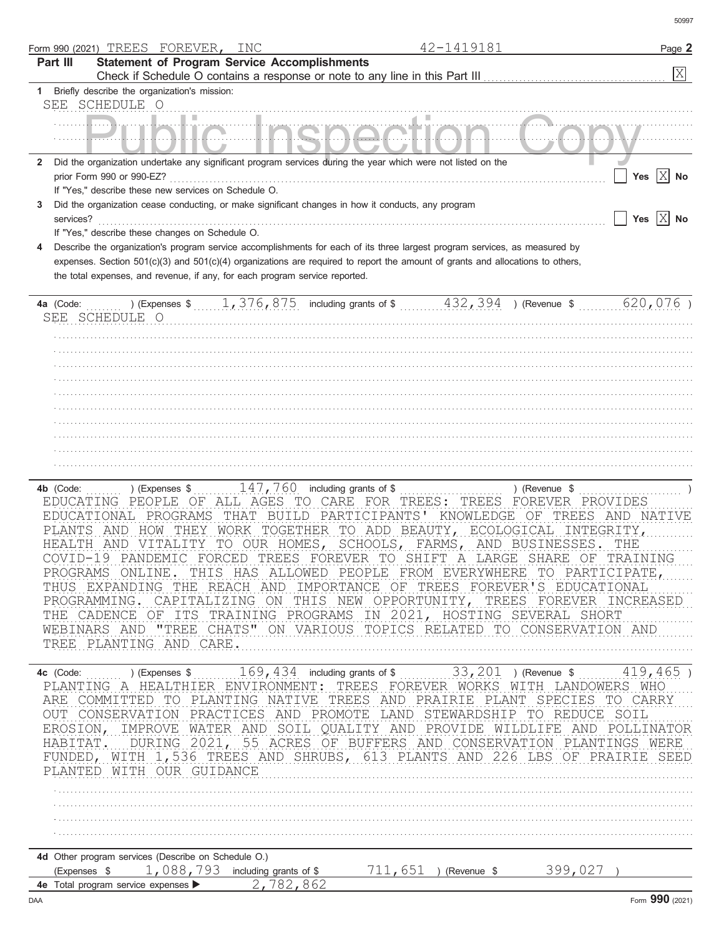|                         |                                        | Form 990 (2021) TREES FOREVER,                                    | INC                                                                                                                                                                            |                           | 42-1419181                                                                                                                                                                                                                                                                                                                                               | Page 2                                                                                                                                                                                                                                                                                                                             |
|-------------------------|----------------------------------------|-------------------------------------------------------------------|--------------------------------------------------------------------------------------------------------------------------------------------------------------------------------|---------------------------|----------------------------------------------------------------------------------------------------------------------------------------------------------------------------------------------------------------------------------------------------------------------------------------------------------------------------------------------------------|------------------------------------------------------------------------------------------------------------------------------------------------------------------------------------------------------------------------------------------------------------------------------------------------------------------------------------|
| Part III                |                                        |                                                                   | <b>Statement of Program Service Accomplishments</b>                                                                                                                            |                           |                                                                                                                                                                                                                                                                                                                                                          | $\mathbf{x}$                                                                                                                                                                                                                                                                                                                       |
|                         |                                        | Briefly describe the organization's mission:                      |                                                                                                                                                                                |                           |                                                                                                                                                                                                                                                                                                                                                          |                                                                                                                                                                                                                                                                                                                                    |
|                         | SEE SCHEDULE O                         |                                                                   |                                                                                                                                                                                |                           |                                                                                                                                                                                                                                                                                                                                                          |                                                                                                                                                                                                                                                                                                                                    |
|                         |                                        |                                                                   |                                                                                                                                                                                |                           |                                                                                                                                                                                                                                                                                                                                                          |                                                                                                                                                                                                                                                                                                                                    |
|                         |                                        |                                                                   |                                                                                                                                                                                |                           |                                                                                                                                                                                                                                                                                                                                                          |                                                                                                                                                                                                                                                                                                                                    |
| $\mathbf{2}$            |                                        |                                                                   | Did the organization undertake any significant program services during the year which were not listed on the                                                                   |                           |                                                                                                                                                                                                                                                                                                                                                          |                                                                                                                                                                                                                                                                                                                                    |
|                         | prior Form 990 or 990-EZ?              |                                                                   |                                                                                                                                                                                |                           |                                                                                                                                                                                                                                                                                                                                                          | Yes $X$ No                                                                                                                                                                                                                                                                                                                         |
|                         |                                        | If "Yes," describe these new services on Schedule O.              |                                                                                                                                                                                |                           |                                                                                                                                                                                                                                                                                                                                                          |                                                                                                                                                                                                                                                                                                                                    |
| services?               |                                        |                                                                   | Did the organization cease conducting, or make significant changes in how it conducts, any program                                                                             |                           |                                                                                                                                                                                                                                                                                                                                                          | Yes $ X $ No                                                                                                                                                                                                                                                                                                                       |
|                         |                                        | If "Yes," describe these changes on Schedule O.                   |                                                                                                                                                                                |                           |                                                                                                                                                                                                                                                                                                                                                          |                                                                                                                                                                                                                                                                                                                                    |
|                         |                                        |                                                                   |                                                                                                                                                                                |                           | Describe the organization's program service accomplishments for each of its three largest program services, as measured by                                                                                                                                                                                                                               |                                                                                                                                                                                                                                                                                                                                    |
|                         |                                        |                                                                   |                                                                                                                                                                                |                           | expenses. Section 501(c)(3) and 501(c)(4) organizations are required to report the amount of grants and allocations to others,                                                                                                                                                                                                                           |                                                                                                                                                                                                                                                                                                                                    |
|                         |                                        |                                                                   | the total expenses, and revenue, if any, for each program service reported.                                                                                                    |                           |                                                                                                                                                                                                                                                                                                                                                          |                                                                                                                                                                                                                                                                                                                                    |
| 4a (Code:               | SEE SCHEDULE O                         |                                                                   | ) (Expenses $$1, 376, 875$ including grants of $$32, 394$                                                                                                                      |                           | ) (Revenue \$                                                                                                                                                                                                                                                                                                                                            | 620,076)                                                                                                                                                                                                                                                                                                                           |
|                         |                                        |                                                                   |                                                                                                                                                                                |                           |                                                                                                                                                                                                                                                                                                                                                          |                                                                                                                                                                                                                                                                                                                                    |
|                         |                                        |                                                                   |                                                                                                                                                                                |                           |                                                                                                                                                                                                                                                                                                                                                          |                                                                                                                                                                                                                                                                                                                                    |
|                         |                                        |                                                                   |                                                                                                                                                                                |                           |                                                                                                                                                                                                                                                                                                                                                          |                                                                                                                                                                                                                                                                                                                                    |
|                         |                                        |                                                                   |                                                                                                                                                                                |                           |                                                                                                                                                                                                                                                                                                                                                          |                                                                                                                                                                                                                                                                                                                                    |
|                         |                                        |                                                                   |                                                                                                                                                                                |                           |                                                                                                                                                                                                                                                                                                                                                          |                                                                                                                                                                                                                                                                                                                                    |
|                         |                                        |                                                                   |                                                                                                                                                                                |                           |                                                                                                                                                                                                                                                                                                                                                          |                                                                                                                                                                                                                                                                                                                                    |
|                         |                                        |                                                                   |                                                                                                                                                                                |                           |                                                                                                                                                                                                                                                                                                                                                          |                                                                                                                                                                                                                                                                                                                                    |
|                         |                                        |                                                                   |                                                                                                                                                                                |                           |                                                                                                                                                                                                                                                                                                                                                          |                                                                                                                                                                                                                                                                                                                                    |
|                         |                                        |                                                                   |                                                                                                                                                                                |                           |                                                                                                                                                                                                                                                                                                                                                          |                                                                                                                                                                                                                                                                                                                                    |
|                         |                                        |                                                                   |                                                                                                                                                                                |                           |                                                                                                                                                                                                                                                                                                                                                          |                                                                                                                                                                                                                                                                                                                                    |
| 4b (Code:<br>PLANTS AND | EDUCATING PEOPLE OF<br>PROGRAMS ONLINE | ) (Expenses \$<br>EDUCATIONAL PROGRAMS<br>TREE PLANTING AND CARE. | $147$ , 760 including grants of \$<br>ALL AGES TO CARE FOR<br>THAT BUILD PARTICIPANTS'<br>HEALTH AND VITALITY TO OUR HOMES,<br>COVID-19 PANDEMIC FORCED TREES FOREVER TO SHIFT | TREES:<br>SCHOOLS, FARMS, | ) (Revenue \$<br>TREES<br>HOW THEY WORK TOGETHER TO ADD BEAUTY, ECOLOGICAL INTEGRITY,<br>AND BUSINESSES.<br>A LARGE SHARE OF<br>THUS EXPANDING THE REACH AND IMPORTANCE OF TREES FOREVER'S EDUCATIONAL<br>THE CADENCE OF ITS TRAINING PROGRAMS IN 2021, HOSTING SEVERAL SHORT<br>WEBINARS AND "TREE CHATS" ON VARIOUS TOPICS RELATED TO CONSERVATION AND | FOREVER PROVIDES<br>KNOWLEDGE OF TREES AND NATIVE<br>THE<br>TRAINING<br>THIS HAS ALLOWED PEOPLE FROM EVERYWHERE TO PARTICIPATE,<br>PROGRAMMING. CAPITALIZING ON THIS NEW OPPORTUNITY, TREES FOREVER INCREASED                                                                                                                      |
|                         |                                        | PLANTED WITH OUR GUIDANCE                                         |                                                                                                                                                                                |                           | PLANTING A HEALTHIER ENVIRONMENT: TREES FOREVER WORKS WITH LANDOWERS WHO<br>ARE COMMITTED TO PLANTING NATIVE TREES AND PRAIRIE PLANT SPECIES TO CARRY<br>OUT CONSERVATION PRACTICES AND PROMOTE LAND STEWARDSHIP TO REDUCE SOIL                                                                                                                          | 419, 465) (Expenses \$ 169, 434 including grants of \$ 163, 201 ) (Revenue \$ 18, 465 )<br>EROSION, IMPROVE WATER AND SOIL QUALITY AND PROVIDE WILDLIFE AND POLLINATOR<br>HABITAT. DURING 2021, 55 ACRES OF BUFFERS AND CONSERVATION PLANTINGS WERE<br>FUNDED, WITH 1,536 TREES AND SHRUBS, 613 PLANTS AND 226 LBS OF PRAIRIE SEED |
|                         |                                        |                                                                   |                                                                                                                                                                                |                           |                                                                                                                                                                                                                                                                                                                                                          |                                                                                                                                                                                                                                                                                                                                    |
|                         |                                        |                                                                   |                                                                                                                                                                                |                           |                                                                                                                                                                                                                                                                                                                                                          |                                                                                                                                                                                                                                                                                                                                    |
|                         |                                        | 4d Other program services (Describe on Schedule O.)               | (Expenses $\frac{1}{2}$ , 088, 793 including grants of \$                                                                                                                      |                           | 711,651 ) (Revenue \$399,027 )                                                                                                                                                                                                                                                                                                                           |                                                                                                                                                                                                                                                                                                                                    |
|                         |                                        |                                                                   | 4e Total program service expenses > 2,782,862                                                                                                                                  |                           |                                                                                                                                                                                                                                                                                                                                                          |                                                                                                                                                                                                                                                                                                                                    |
| DAA                     |                                        |                                                                   |                                                                                                                                                                                |                           |                                                                                                                                                                                                                                                                                                                                                          | Form 990 (2021)                                                                                                                                                                                                                                                                                                                    |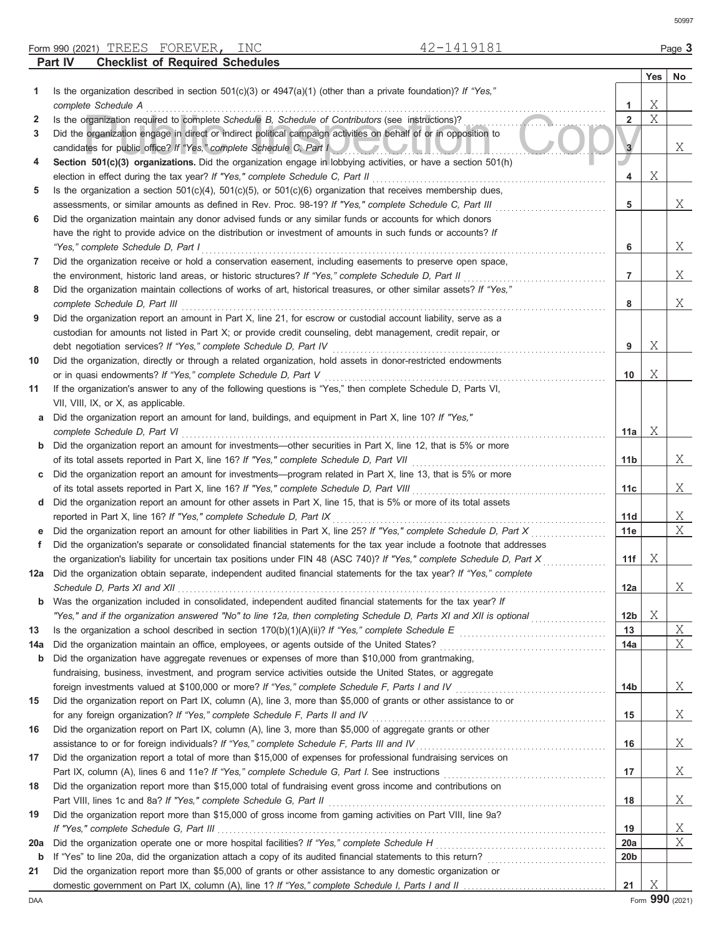Form 990 (2021) Page **3** TREES FOREVER, INC 42-1419181

|     | Part IV<br><b>Checklist of Required Schedules</b>                                                                                                                                                                                                 |                 |         |         |
|-----|---------------------------------------------------------------------------------------------------------------------------------------------------------------------------------------------------------------------------------------------------|-----------------|---------|---------|
|     |                                                                                                                                                                                                                                                   |                 | Yes $ $ | $N_{0}$ |
| 1.  | Is the organization described in section $501(c)(3)$ or $4947(a)(1)$ (other than a private foundation)? If "Yes,"                                                                                                                                 |                 |         |         |
|     | complete Schedule A                                                                                                                                                                                                                               | 1               | Χ       |         |
| 2   | Is the organization required to complete Schedule B, Schedule of Contributors (see instructions)?                                                                                                                                                 | $\overline{2}$  | X       |         |
| 3   | Did the organization engage in direct or indirect political campaign activities on behalf of or in opposition to                                                                                                                                  |                 |         |         |
|     | candidates for public office? If "Yes," complete Schedule C, Part I                                                                                                                                                                               | 3               |         | Χ       |
| 4   | Section 501(c)(3) organizations. Did the organization engage in lobbying activities, or have a section 501(h)                                                                                                                                     |                 |         |         |
|     |                                                                                                                                                                                                                                                   | 4               | Χ       |         |
| 5   | Is the organization a section $501(c)(4)$ , $501(c)(5)$ , or $501(c)(6)$ organization that receives membership dues,                                                                                                                              |                 |         |         |
|     | assessments, or similar amounts as defined in Rev. Proc. 98-19? If "Yes," complete Schedule C, Part III                                                                                                                                           | 5               |         | X       |
| 6   | Did the organization maintain any donor advised funds or any similar funds or accounts for which donors                                                                                                                                           |                 |         |         |
|     | have the right to provide advice on the distribution or investment of amounts in such funds or accounts? If                                                                                                                                       |                 |         |         |
|     | "Yes," complete Schedule D, Part I                                                                                                                                                                                                                | 6               |         | Χ       |
| 7   | Did the organization receive or hold a conservation easement, including easements to preserve open space,                                                                                                                                         |                 |         |         |
|     | the environment, historic land areas, or historic structures? If "Yes," complete Schedule D, Part II                                                                                                                                              | 7               |         | Χ       |
| 8   | Did the organization maintain collections of works of art, historical treasures, or other similar assets? If "Yes,"                                                                                                                               |                 |         |         |
|     |                                                                                                                                                                                                                                                   | 8               |         | Χ       |
| 9   | Did the organization report an amount in Part X, line 21, for escrow or custodial account liability, serve as a                                                                                                                                   |                 |         |         |
|     | custodian for amounts not listed in Part X; or provide credit counseling, debt management, credit repair, or                                                                                                                                      |                 |         |         |
|     |                                                                                                                                                                                                                                                   | 9               | Χ       |         |
| 10  | Did the organization, directly or through a related organization, hold assets in donor-restricted endowments                                                                                                                                      |                 |         |         |
|     |                                                                                                                                                                                                                                                   | 10              | Χ       |         |
| 11  | If the organization's answer to any of the following questions is "Yes," then complete Schedule D, Parts VI,                                                                                                                                      |                 |         |         |
|     | VII, VIII, IX, or X, as applicable.                                                                                                                                                                                                               |                 |         |         |
| а   | Did the organization report an amount for land, buildings, and equipment in Part X, line 10? If "Yes,"                                                                                                                                            |                 |         |         |
|     |                                                                                                                                                                                                                                                   | 11a             | Χ       |         |
| b   | Did the organization report an amount for investments—other securities in Part X, line 12, that is 5% or more                                                                                                                                     |                 |         |         |
|     |                                                                                                                                                                                                                                                   | 11 <sub>b</sub> |         | Χ       |
| C   | Did the organization report an amount for investments—program related in Part X, line 13, that is 5% or more                                                                                                                                      |                 |         |         |
|     |                                                                                                                                                                                                                                                   | 11c             |         | Χ       |
| d   | Did the organization report an amount for other assets in Part X, line 15, that is 5% or more of its total assets                                                                                                                                 |                 |         |         |
|     |                                                                                                                                                                                                                                                   | 11d             |         | Χ<br>Χ  |
| е   | Did the organization report an amount for other liabilities in Part X, line 25? If "Yes," complete Schedule D, Part X                                                                                                                             | 11e             |         |         |
| f   | Did the organization's separate or consolidated financial statements for the tax year include a footnote that addresses<br>the organization's liability for uncertain tax positions under FIN 48 (ASC 740)? If "Yes," complete Schedule D, Part X | 11f             | Χ       |         |
|     | 12a Did the organization obtain separate, independent audited financial statements for the tax year? If "Yes," complete                                                                                                                           |                 |         |         |
|     |                                                                                                                                                                                                                                                   | 12a             |         | Χ       |
| b   | Was the organization included in consolidated, independent audited financial statements for the tax year? If                                                                                                                                      |                 |         |         |
|     |                                                                                                                                                                                                                                                   | 12b             | Χ       |         |
| 13  |                                                                                                                                                                                                                                                   | 13              |         | Χ       |
| 14a |                                                                                                                                                                                                                                                   | 14a             |         | Χ       |
| b   | Did the organization have aggregate revenues or expenses of more than \$10,000 from grantmaking,                                                                                                                                                  |                 |         |         |
|     | fundraising, business, investment, and program service activities outside the United States, or aggregate                                                                                                                                         |                 |         |         |
|     | foreign investments valued at \$100,000 or more? If "Yes," complete Schedule F, Parts I and IV [[[[[[[[[[[[[[[                                                                                                                                    | 14b             |         | Χ       |
| 15  | Did the organization report on Part IX, column (A), line 3, more than \$5,000 of grants or other assistance to or                                                                                                                                 |                 |         |         |
|     |                                                                                                                                                                                                                                                   | 15              |         | Χ       |
| 16  | Did the organization report on Part IX, column (A), line 3, more than \$5,000 of aggregate grants or other                                                                                                                                        |                 |         |         |
|     | assistance to or for foreign individuals? If "Yes," complete Schedule F, Parts III and IV [[[[[[[[[[[[[[[[[[[                                                                                                                                     | 16              |         | Χ       |
| 17  | Did the organization report a total of more than \$15,000 of expenses for professional fundraising services on                                                                                                                                    |                 |         |         |
|     |                                                                                                                                                                                                                                                   | 17              |         | Χ       |
| 18  | Did the organization report more than \$15,000 total of fundraising event gross income and contributions on                                                                                                                                       |                 |         |         |
|     |                                                                                                                                                                                                                                                   | 18              |         | Χ       |
| 19  | Did the organization report more than \$15,000 of gross income from gaming activities on Part VIII, line 9a?                                                                                                                                      |                 |         |         |
|     |                                                                                                                                                                                                                                                   | 19              |         | Χ       |
| 20a |                                                                                                                                                                                                                                                   | 20a             |         | Χ       |
| b   |                                                                                                                                                                                                                                                   | 20 <sub>b</sub> |         |         |
| 21  | Did the organization report more than \$5,000 of grants or other assistance to any domestic organization or                                                                                                                                       |                 |         |         |

domestic government on Part IX, column (A), line 1? If "Yes," complete Schedule I, Parts I and II

**21** X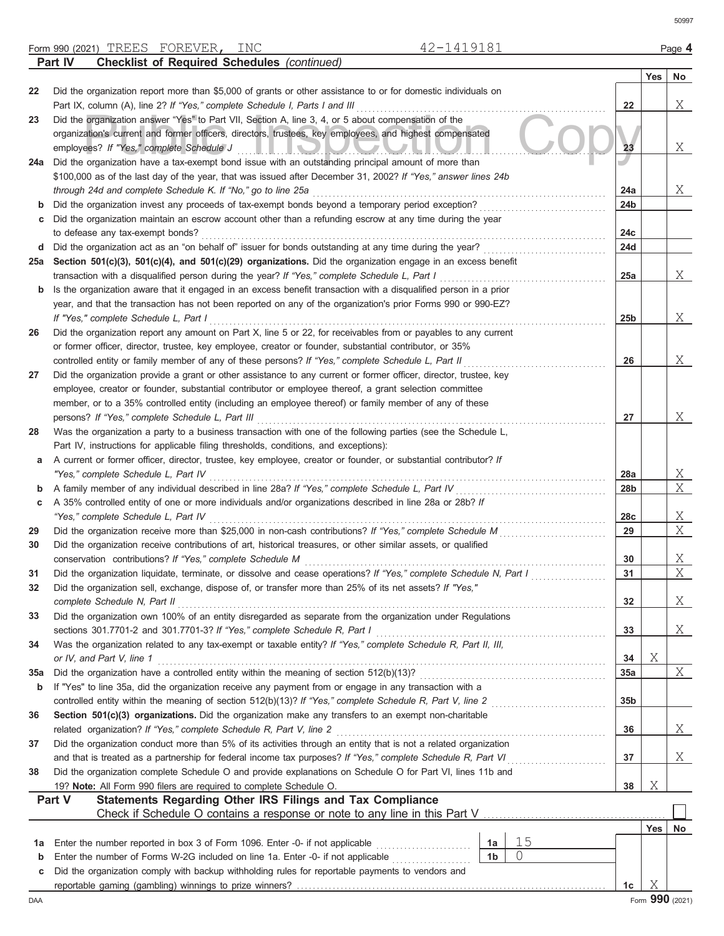Form 990 (2021) Page **4** TREES FOREVER, INC 42-1419181 **Part IV Checklist of Required Schedules** *(continued)*

|     |                                                                                                                                                                   |                 | Yes | No                   |
|-----|-------------------------------------------------------------------------------------------------------------------------------------------------------------------|-----------------|-----|----------------------|
| 22  | Did the organization report more than \$5,000 of grants or other assistance to or for domestic individuals on                                                     |                 |     |                      |
|     | Part IX, column (A), line 2? If "Yes," complete Schedule I, Parts I and III                                                                                       | 22              |     | X                    |
| 23  | Did the organization answer "Yes" to Part VII, Section A, line 3, 4, or 5 about compensation of the                                                               |                 |     |                      |
|     | organization's current and former officers, directors, trustees, key employees, and highest compensated                                                           |                 |     |                      |
|     | employees? If "Yes," complete Schedule J<br><u>III.III KOHOA OA OA OA HINO</u>                                                                                    | 23              |     | X                    |
| 24a | Did the organization have a tax-exempt bond issue with an outstanding principal amount of more than                                                               |                 |     |                      |
|     | \$100,000 as of the last day of the year, that was issued after December 31, 2002? If "Yes," answer lines 24b                                                     | 24a             |     | X                    |
| b   | through 24d and complete Schedule K. If "No," go to line 25a<br>Did the organization invest any proceeds of tax-exempt bonds beyond a temporary period exception? | 24b             |     |                      |
| c   | Did the organization maintain an escrow account other than a refunding escrow at any time during the year                                                         |                 |     |                      |
|     | to defease any tax-exempt bonds?                                                                                                                                  | 24c             |     |                      |
| d   | Did the organization act as an "on behalf of" issuer for bonds outstanding at any time during the year?                                                           | 24d             |     |                      |
| 25а | Section 501(c)(3), 501(c)(4), and 501(c)(29) organizations. Did the organization engage in an excess benefit                                                      |                 |     |                      |
|     | transaction with a disqualified person during the year? If "Yes," complete Schedule L, Part I                                                                     | 25a             |     | X                    |
| b   | Is the organization aware that it engaged in an excess benefit transaction with a disqualified person in a prior                                                  |                 |     |                      |
|     | year, and that the transaction has not been reported on any of the organization's prior Forms 990 or 990-EZ?                                                      |                 |     |                      |
|     | If "Yes," complete Schedule L, Part I                                                                                                                             | 25 <sub>b</sub> |     | X                    |
| 26  | Did the organization report any amount on Part X, line 5 or 22, for receivables from or payables to any current                                                   |                 |     |                      |
|     | or former officer, director, trustee, key employee, creator or founder, substantial contributor, or 35%                                                           |                 |     |                      |
|     | controlled entity or family member of any of these persons? If "Yes," complete Schedule L, Part II                                                                | 26              |     | X                    |
| 27  | Did the organization provide a grant or other assistance to any current or former officer, director, trustee, key                                                 |                 |     |                      |
|     | employee, creator or founder, substantial contributor or employee thereof, a grant selection committee                                                            |                 |     |                      |
|     | member, or to a 35% controlled entity (including an employee thereof) or family member of any of these                                                            |                 |     |                      |
|     | persons? If "Yes," complete Schedule L, Part III                                                                                                                  | 27              |     | X                    |
| 28  | Was the organization a party to a business transaction with one of the following parties (see the Schedule L,                                                     |                 |     |                      |
|     | Part IV, instructions for applicable filing thresholds, conditions, and exceptions):                                                                              |                 |     |                      |
| а   | A current or former officer, director, trustee, key employee, creator or founder, or substantial contributor? If                                                  |                 |     |                      |
|     | "Yes," complete Schedule L, Part IV                                                                                                                               | 28a             |     | $X_{-}$<br>X         |
| b   | A family member of any individual described in line 28a? If "Yes," complete Schedule L, Part IV                                                                   | 28b             |     |                      |
| С   | A 35% controlled entity of one or more individuals and/or organizations described in line 28a or 28b? If<br>"Yes," complete Schedule L, Part IV                   | 28c             |     | $\mathbf{X}_{\perp}$ |
| 29  | Did the organization receive more than \$25,000 in non-cash contributions? If "Yes," complete Schedule M                                                          | 29              |     | X                    |
| 30  | Did the organization receive contributions of art, historical treasures, or other similar assets, or qualified                                                    |                 |     |                      |
|     | conservation contributions? If "Yes," complete Schedule M                                                                                                         | 30              |     | $X_{-}$              |
| 31  | Did the organization liquidate, terminate, or dissolve and cease operations? If "Yes," complete Schedule N, Part I                                                | 31              |     | $X_{\mathcal{L}}$    |
| 32  | Did the organization sell, exchange, dispose of, or transfer more than 25% of its net assets? If "Yes,"                                                           |                 |     |                      |
|     | complete Schedule N, Part II                                                                                                                                      | 32              |     | Χ                    |
| 33  | Did the organization own 100% of an entity disregarded as separate from the organization under Regulations                                                        |                 |     |                      |
|     | sections 301.7701-2 and 301.7701-3? If "Yes," complete Schedule R, Part I                                                                                         | 33              |     | X                    |
| 34  | Was the organization related to any tax-exempt or taxable entity? If "Yes," complete Schedule R, Part II, III,                                                    |                 |     |                      |
|     | or IV, and Part V, line 1                                                                                                                                         | 34              | X   |                      |
| 35a |                                                                                                                                                                   | 35a             |     | X                    |
| b   | If "Yes" to line 35a, did the organization receive any payment from or engage in any transaction with a                                                           |                 |     |                      |
|     | controlled entity within the meaning of section 512(b)(13)? If "Yes," complete Schedule R, Part V, line 2                                                         | 35 <sub>b</sub> |     |                      |
| 36  | Section 501(c)(3) organizations. Did the organization make any transfers to an exempt non-charitable                                                              |                 |     |                      |
|     | related organization? If "Yes," complete Schedule R, Part V, line 2                                                                                               | 36              |     | X                    |
| 37  | Did the organization conduct more than 5% of its activities through an entity that is not a related organization                                                  |                 |     |                      |
|     | and that is treated as a partnership for federal income tax purposes? If "Yes," complete Schedule R, Part VI                                                      | 37              |     | Χ                    |
| 38  | Did the organization complete Schedule O and provide explanations on Schedule O for Part VI, lines 11b and                                                        |                 |     |                      |
|     | 19? Note: All Form 990 filers are required to complete Schedule O.<br>Statements Regarding Other IRS Filings and Tax Compliance<br>Part V                         | 38              | Χ   |                      |
|     |                                                                                                                                                                   |                 |     |                      |
|     |                                                                                                                                                                   |                 | Yes | No                   |
| 1a  | 15<br>Enter the number reported in box 3 of Form 1096. Enter -0- if not applicable<br>1а                                                                          |                 |     |                      |
| b   | 0<br>1 <sub>b</sub><br>Enter the number of Forms W-2G included on line 1a. Enter -0- if not applicable                                                            |                 |     |                      |
| c   | Did the organization comply with backup withholding rules for reportable payments to vendors and                                                                  |                 |     |                      |
|     |                                                                                                                                                                   | 1c              | Χ   |                      |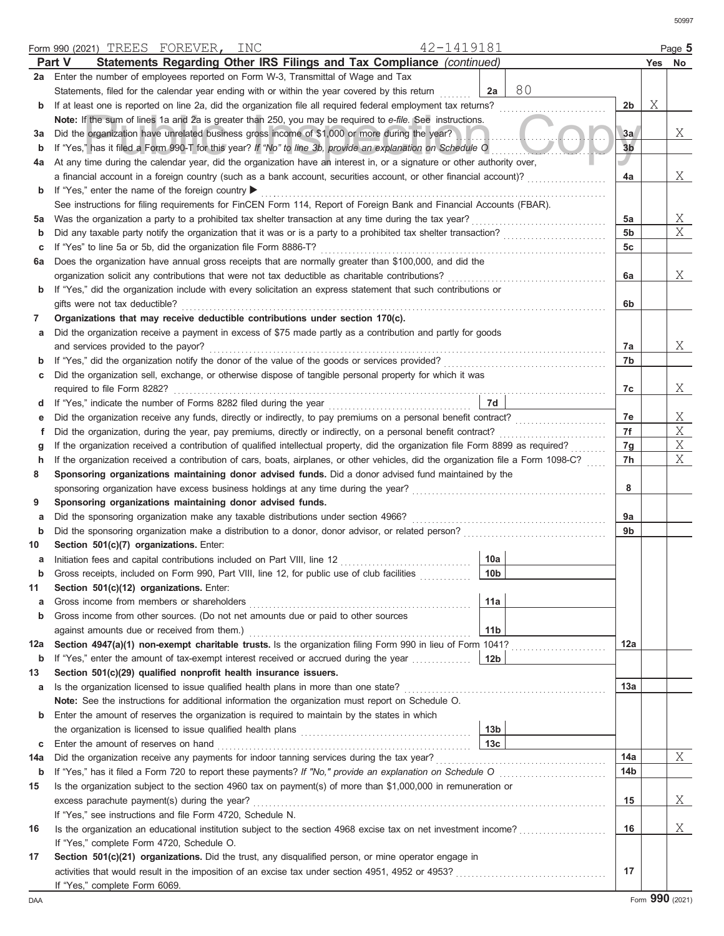|     | 42-1419181<br>Form 990 (2021) TREES FOREVER, INC                                                                                   |                 |                |   | Page 5 |
|-----|------------------------------------------------------------------------------------------------------------------------------------|-----------------|----------------|---|--------|
|     | Statements Regarding Other IRS Filings and Tax Compliance (continued)<br>Part V                                                    |                 |                |   | Yes No |
| 2a  | Enter the number of employees reported on Form W-3, Transmittal of Wage and Tax                                                    |                 |                |   |        |
|     | Statements, filed for the calendar year ending with or within the year covered by this return                                      | 80<br>2a        |                |   |        |
| b   | If at least one is reported on line 2a, did the organization file all required federal employment tax returns?                     |                 | 2 <sub>b</sub> | Χ |        |
|     | Note: If the sum of lines 1a and 2a is greater than 250, you may be required to e-file. See instructions.                          |                 |                |   |        |
| За  | Did the organization have unrelated business gross income of \$1,000 or more during the year?                                      |                 | 3a             |   | Χ      |
| b   | If "Yes," has it filed a Form 990-T for this year? If "No" to line 3b, provide an explanation on Schedule O                        |                 | 3 <sub>b</sub> |   |        |
| 4a  | At any time during the calendar year, did the organization have an interest in, or a signature or other authority over,            |                 |                |   |        |
|     | a financial account in a foreign country (such as a bank account, securities account, or other financial account)?                 |                 | 4a             |   | Χ      |
| b   | If "Yes," enter the name of the foreign country ▶                                                                                  |                 |                |   |        |
|     | See instructions for filing requirements for FinCEN Form 114, Report of Foreign Bank and Financial Accounts (FBAR).                |                 |                |   |        |
| 5a  | Was the organization a party to a prohibited tax shelter transaction at any time during the tax year?                              |                 | 5a             |   | Χ      |
| b   | Did any taxable party notify the organization that it was or is a party to a prohibited tax shelter transaction?                   |                 | 5 <sub>b</sub> |   | X      |
|     |                                                                                                                                    |                 | 5 <sub>c</sub> |   |        |
| С   | If "Yes" to line 5a or 5b, did the organization file Form 8886-T?                                                                  |                 |                |   |        |
| 6a  | Does the organization have annual gross receipts that are normally greater than \$100,000, and did the                             |                 |                |   |        |
|     | organization solicit any contributions that were not tax deductible as charitable contributions?                                   |                 | 6a             |   | Χ      |
| b   | If "Yes," did the organization include with every solicitation an express statement that such contributions or                     |                 |                |   |        |
|     | gifts were not tax deductible?                                                                                                     |                 | 6b             |   |        |
| 7   | Organizations that may receive deductible contributions under section 170(c).                                                      |                 |                |   |        |
| а   | Did the organization receive a payment in excess of \$75 made partly as a contribution and partly for goods                        |                 |                |   |        |
|     | and services provided to the payor?                                                                                                |                 | 7а             |   | X      |
| b   |                                                                                                                                    |                 | 7b             |   |        |
| c   | Did the organization sell, exchange, or otherwise dispose of tangible personal property for which it was                           |                 |                |   |        |
|     | required to file Form 8282?                                                                                                        |                 | 7c             |   | Χ      |
| d   |                                                                                                                                    | 7d              |                |   |        |
| е   | Did the organization receive any funds, directly or indirectly, to pay premiums on a personal benefit contract?                    |                 | 7e             |   | Χ      |
| f   | Did the organization, during the year, pay premiums, directly or indirectly, on a personal benefit contract?                       |                 | 7f             |   | Χ      |
| g   | If the organization received a contribution of qualified intellectual property, did the organization file Form 8899 as required?   |                 | 7g             |   | Χ      |
| h   | If the organization received a contribution of cars, boats, airplanes, or other vehicles, did the organization file a Form 1098-C? |                 | 7h             |   | Χ      |
| 8   | Sponsoring organizations maintaining donor advised funds. Did a donor advised fund maintained by the                               |                 |                |   |        |
|     |                                                                                                                                    |                 | 8              |   |        |
| 9   | Sponsoring organizations maintaining donor advised funds.                                                                          |                 |                |   |        |
| а   | Did the sponsoring organization make any taxable distributions under section 4966?                                                 |                 | 9а             |   |        |
| b   |                                                                                                                                    |                 | 9b             |   |        |
| 10  | Section 501(c)(7) organizations. Enter:                                                                                            |                 |                |   |        |
| а   | Initiation fees and capital contributions included on Part VIII, line 12 [11] [11] [12] [11] [12] [11] [12] [1                     | 10a             |                |   |        |
|     | Gross receipts, included on Form 990, Part VIII, line 12, for public use of club facilities                                        | 10 <sub>b</sub> |                |   |        |
| 11  | Section 501(c)(12) organizations. Enter:                                                                                           |                 |                |   |        |
| а   | Gross income from members or shareholders                                                                                          | 11a             |                |   |        |
| b   | Gross income from other sources. (Do not net amounts due or paid to other sources                                                  |                 |                |   |        |
|     |                                                                                                                                    | 11 <sub>b</sub> |                |   |        |
| 12a | Section 4947(a)(1) non-exempt charitable trusts. Is the organization filing Form 990 in lieu of Form 1041?                         |                 | 12a            |   |        |
| b   | If "Yes," enter the amount of tax-exempt interest received or accrued during the year [                                            | 12b             |                |   |        |
| 13  | Section 501(c)(29) qualified nonprofit health insurance issuers.                                                                   |                 |                |   |        |
| а   | Is the organization licensed to issue qualified health plans in more than one state?                                               |                 | 13а            |   |        |
|     | Note: See the instructions for additional information the organization must report on Schedule O.                                  |                 |                |   |        |
| b   | Enter the amount of reserves the organization is required to maintain by the states in which                                       |                 |                |   |        |
|     |                                                                                                                                    |                 |                |   |        |
|     |                                                                                                                                    | 13 <sub>b</sub> |                |   |        |
| c   | Enter the amount of reserves on hand                                                                                               | 13 <sub>c</sub> |                |   |        |
| 14a | Did the organization receive any payments for indoor tanning services during the tax year?                                         |                 | 14a            |   | X      |
| b   |                                                                                                                                    |                 | 14b            |   |        |
| 15  | Is the organization subject to the section 4960 tax on payment(s) of more than \$1,000,000 in remuneration or                      |                 |                |   |        |
|     | excess parachute payment(s) during the year?                                                                                       |                 | 15             |   | Χ      |
|     | If "Yes," see instructions and file Form 4720, Schedule N.                                                                         |                 |                |   |        |
| 16  | Is the organization an educational institution subject to the section 4968 excise tax on net investment income?                    |                 | 16             |   | Χ      |
|     | If "Yes," complete Form 4720, Schedule O.                                                                                          |                 |                |   |        |
| 17  | Section 501(c)(21) organizations. Did the trust, any disqualified person, or mine operator engage in                               |                 |                |   |        |
|     |                                                                                                                                    |                 | 17             |   |        |
|     | If "Yes," complete Form 6069.                                                                                                      |                 |                |   |        |

DAA Form **990** (2021)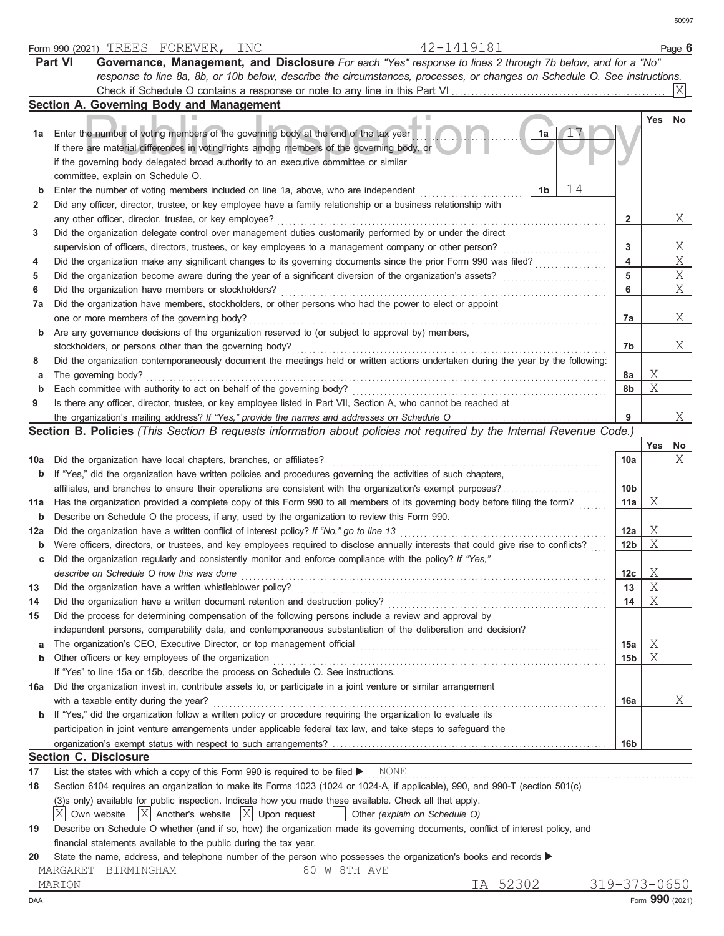|       | 42-1419181<br>Form 990 (2021) TREES FOREVER,<br>INC                                                                                 |                 |                 | Page 6  |
|-------|-------------------------------------------------------------------------------------------------------------------------------------|-----------------|-----------------|---------|
|       | <b>Part VI</b><br>Governance, Management, and Disclosure For each "Yes" response to lines 2 through 7b below, and for a "No"        |                 |                 |         |
|       | response to line 8a, 8b, or 10b below, describe the circumstances, processes, or changes on Schedule O. See instructions.           |                 |                 |         |
|       |                                                                                                                                     |                 |                 |         |
|       | Section A. Governing Body and Management                                                                                            |                 |                 |         |
|       |                                                                                                                                     |                 | Yes             | $N_{0}$ |
| 1а    | Enter the number of voting members of the governing body at the end of the tax year<br>1a                                           |                 |                 |         |
|       | If there are material differences in voting rights among members of the governing body, or                                          |                 |                 |         |
|       | if the governing body delegated broad authority to an executive committee or similar                                                |                 |                 |         |
|       |                                                                                                                                     |                 |                 |         |
|       | committee, explain on Schedule O.<br>14                                                                                             |                 |                 |         |
| b     | 1b<br>Enter the number of voting members included on line 1a, above, who are independent                                            |                 |                 |         |
| 2     | Did any officer, director, trustee, or key employee have a family relationship or a business relationship with                      |                 |                 |         |
|       | any other officer, director, trustee, or key employee?                                                                              | 2               |                 | Χ       |
| 3     | Did the organization delegate control over management duties customarily performed by or under the direct                           |                 |                 |         |
|       | supervision of officers, directors, trustees, or key employees to a management company or other person?                             | 3               |                 | Χ       |
| 4     | Did the organization make any significant changes to its governing documents since the prior Form 990 was filed?                    | 4               |                 | Χ       |
| 5     | Did the organization become aware during the year of a significant diversion of the organization's assets?                          | 5               |                 | Χ       |
| 6     | Did the organization have members or stockholders?                                                                                  | 6               |                 | Χ       |
| 7а    | Did the organization have members, stockholders, or other persons who had the power to elect or appoint                             |                 |                 |         |
|       | one or more members of the governing body?                                                                                          | 7а              |                 | Χ       |
| b     | Are any governance decisions of the organization reserved to (or subject to approval by) members,                                   |                 |                 |         |
|       | stockholders, or persons other than the governing body?                                                                             | 7b              |                 | Χ       |
| 8     | Did the organization contemporaneously document the meetings held or written actions undertaken during the year by the following:   |                 |                 |         |
| а     | The governing body?                                                                                                                 | 8a              | Χ               |         |
| b     | Each committee with authority to act on behalf of the governing body?                                                               | 8b              | Χ               |         |
| 9     | Is there any officer, director, trustee, or key employee listed in Part VII, Section A, who cannot be reached at                    |                 |                 |         |
|       |                                                                                                                                     | 9               |                 | Χ       |
|       | Section B. Policies (This Section B requests information about policies not required by the Internal Revenue Code.)                 |                 |                 |         |
|       |                                                                                                                                     |                 | Yes             | No      |
| 10a   | Did the organization have local chapters, branches, or affiliates?                                                                  | 10a             |                 | Χ       |
| b     | If "Yes," did the organization have written policies and procedures governing the activities of such chapters,                      |                 |                 |         |
|       | affiliates, and branches to ensure their operations are consistent with the organization's exempt purposes?                         | 10 <sub>b</sub> |                 |         |
| 11a l | Has the organization provided a complete copy of this Form 990 to all members of its governing body before filing the form?         | 11a             | Χ               |         |
|       |                                                                                                                                     |                 |                 |         |
| b     | Describe on Schedule O the process, if any, used by the organization to review this Form 990.                                       |                 | Χ               |         |
| 12a   | Did the organization have a written conflict of interest policy? If "No," go to line 13                                             | 12a             | Χ               |         |
| b     | Were officers, directors, or trustees, and key employees required to disclose annually interests that could give rise to conflicts? | 12 <sub>b</sub> |                 |         |
| c     | Did the organization regularly and consistently monitor and enforce compliance with the policy? If "Yes."                           |                 |                 |         |
|       | describe on Schedule O how this was done                                                                                            | 12c             | X               |         |
| 13    | Did the organization have a written whistleblower policy?                                                                           | 13              | Χ               |         |
| 14    | Did the organization have a written document retention and destruction policy?                                                      | 14              | Χ               |         |
| 15    | Did the process for determining compensation of the following persons include a review and approval by                              |                 |                 |         |
|       | independent persons, comparability data, and contemporaneous substantiation of the deliberation and decision?                       |                 |                 |         |
| a     |                                                                                                                                     | 15a             | Χ               |         |
| b     | Other officers or key employees of the organization                                                                                 | 15b             | Χ               |         |
|       | If "Yes" to line 15a or 15b, describe the process on Schedule O. See instructions.                                                  |                 |                 |         |
| 16a   | Did the organization invest in, contribute assets to, or participate in a joint venture or similar arrangement                      |                 |                 |         |
|       | with a taxable entity during the year?                                                                                              | 16a             |                 | Χ       |
| b     | If "Yes," did the organization follow a written policy or procedure requiring the organization to evaluate its                      |                 |                 |         |
|       | participation in joint venture arrangements under applicable federal tax law, and take steps to safeguard the                       |                 |                 |         |
|       |                                                                                                                                     | 16b             |                 |         |
|       | <b>Section C. Disclosure</b>                                                                                                        |                 |                 |         |
| 17    | List the states with which a copy of this Form 990 is required to be filed > NONE                                                   |                 |                 |         |
| 18    | Section 6104 requires an organization to make its Forms 1023 (1024 or 1024-A, if applicable), 990, and 990-T (section 501(c)        |                 |                 |         |
|       | (3)s only) available for public inspection. Indicate how you made these available. Check all that apply.                            |                 |                 |         |
|       | X Own website<br>$ X $ Another's website $ X $ Upon request<br>  Other (explain on Schedule O)                                      |                 |                 |         |
| 19    | Describe on Schedule O whether (and if so, how) the organization made its governing documents, conflict of interest policy, and     |                 |                 |         |
|       | financial statements available to the public during the tax year.                                                                   |                 |                 |         |
| 20    | State the name, address, and telephone number of the person who possesses the organization's books and records                      |                 |                 |         |
|       | 80 W 8TH AVE<br>MARGARET BIRMINGHAM                                                                                                 |                 |                 |         |
|       | IA 52302<br>MARION                                                                                                                  | 319-373-0650    |                 |         |
| DAA   |                                                                                                                                     |                 | Form 990 (2021) |         |
|       |                                                                                                                                     |                 |                 |         |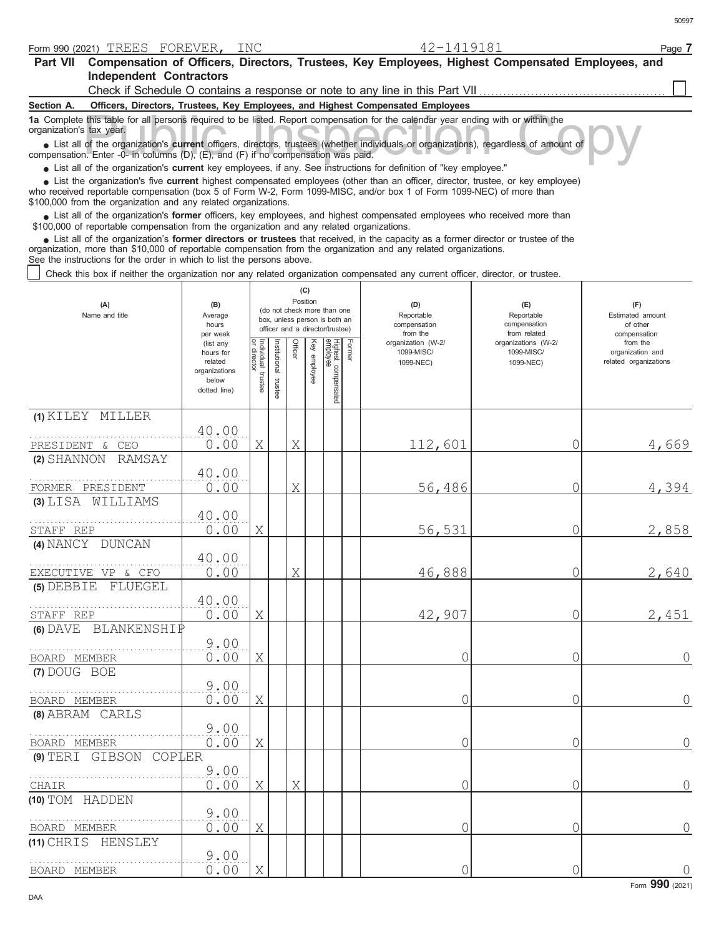| Part VII Compensation of Officers, Directors, Trustees, Key Employees, Highest Compensated Employees, and<br><b>Independent Contractors</b>                                                                                                                                                                                                                                                  |                                                                                         |                                      |                          |          |              |                                                                                                 |        |                                                                                 |                                                   |                                                                       |
|----------------------------------------------------------------------------------------------------------------------------------------------------------------------------------------------------------------------------------------------------------------------------------------------------------------------------------------------------------------------------------------------|-----------------------------------------------------------------------------------------|--------------------------------------|--------------------------|----------|--------------|-------------------------------------------------------------------------------------------------|--------|---------------------------------------------------------------------------------|---------------------------------------------------|-----------------------------------------------------------------------|
|                                                                                                                                                                                                                                                                                                                                                                                              |                                                                                         |                                      |                          |          |              |                                                                                                 |        | Check if Schedule O contains a response or note to any line in this Part VII    |                                                   |                                                                       |
| Section A.                                                                                                                                                                                                                                                                                                                                                                                   |                                                                                         |                                      |                          |          |              |                                                                                                 |        | Officers, Directors, Trustees, Key Employees, and Highest Compensated Employees |                                                   |                                                                       |
| 1a Complete this table for all persons required to be listed. Report compensation for the calendar year ending with or within the<br>organization's tax year.<br>• List all of the organization's current officers, directors, trustees (whether individuals or organizations), regardless of amount of<br>compensation. Enter -0- in columns (D), (E), and (F) if no compensation was paid. |                                                                                         |                                      |                          |          |              |                                                                                                 |        |                                                                                 |                                                   |                                                                       |
| • List all of the organization's current key employees, if any. See instructions for definition of "key employee."                                                                                                                                                                                                                                                                           |                                                                                         |                                      |                          |          |              |                                                                                                 |        |                                                                                 |                                                   |                                                                       |
| List the organization's five current highest compensated employees (other than an officer, director, trustee, or key employee)<br>who received reportable compensation (box 5 of Form W-2, Form 1099-MISC, and/or box 1 of Form 1099-NEC) of more than<br>\$100,000 from the organization and any related organizations.                                                                     |                                                                                         |                                      |                          |          |              |                                                                                                 |        |                                                                                 |                                                   |                                                                       |
| List all of the organization's former officers, key employees, and highest compensated employees who received more than<br>\$100,000 of reportable compensation from the organization and any related organizations.                                                                                                                                                                         |                                                                                         |                                      |                          |          |              |                                                                                                 |        |                                                                                 |                                                   |                                                                       |
| List all of the organization's former directors or trustees that received, in the capacity as a former director or trustee of the<br>organization, more than \$10,000 of reportable compensation from the organization and any related organizations.<br>See the instructions for the order in which to list the persons above.                                                              |                                                                                         |                                      |                          |          |              |                                                                                                 |        |                                                                                 |                                                   |                                                                       |
| Check this box if neither the organization nor any related organization compensated any current officer, director, or trustee.                                                                                                                                                                                                                                                               |                                                                                         |                                      |                          |          |              |                                                                                                 |        |                                                                                 |                                                   |                                                                       |
| (A)<br>Name and title                                                                                                                                                                                                                                                                                                                                                                        | (B)<br>Average<br>hours                                                                 |                                      |                          | Position | (C)          | (do not check more than one<br>box, unless person is both an<br>officer and a director/trustee) |        | (D)<br>Reportable<br>compensation                                               | (E)<br>Reportable<br>compensation<br>from related | (F)<br>Estimated amount<br>of other                                   |
|                                                                                                                                                                                                                                                                                                                                                                                              | per week<br>(list any<br>hours for<br>related<br>organizations<br>below<br>dotted line) | Individual<br>or director<br>trustee | Institutional<br>trustee | Officer  | Key employee | Highest compensated<br>employee                                                                 | Former | from the<br>organization (W-2/<br>1099-MISC/<br>1099-NEC)                       | organizations (W-2/<br>1099-MISC/<br>1099-NEC)    | compensation<br>from the<br>organization and<br>related organizations |
|                                                                                                                                                                                                                                                                                                                                                                                              |                                                                                         |                                      |                          |          |              |                                                                                                 |        |                                                                                 |                                                   |                                                                       |
| (1) KILEY MILLER                                                                                                                                                                                                                                                                                                                                                                             |                                                                                         |                                      |                          |          |              |                                                                                                 |        |                                                                                 |                                                   |                                                                       |
|                                                                                                                                                                                                                                                                                                                                                                                              | 40.00<br>0.00                                                                           | X                                    |                          | X        |              |                                                                                                 |        |                                                                                 | 0                                                 |                                                                       |
| PRESIDENT & CEO<br>(2) SHANNON RAMSAY                                                                                                                                                                                                                                                                                                                                                        |                                                                                         |                                      |                          |          |              |                                                                                                 |        | 112,601                                                                         |                                                   | 4,669                                                                 |
|                                                                                                                                                                                                                                                                                                                                                                                              | 40.00                                                                                   |                                      |                          |          |              |                                                                                                 |        |                                                                                 |                                                   |                                                                       |
| FORMER PRESIDENT                                                                                                                                                                                                                                                                                                                                                                             | 0.00                                                                                    |                                      |                          | Χ        |              |                                                                                                 |        | 56,486                                                                          | $\circ$                                           | 4,394                                                                 |
| (3) LISA WILLIAMS                                                                                                                                                                                                                                                                                                                                                                            |                                                                                         |                                      |                          |          |              |                                                                                                 |        |                                                                                 |                                                   |                                                                       |
|                                                                                                                                                                                                                                                                                                                                                                                              | 40.00                                                                                   |                                      |                          |          |              |                                                                                                 |        |                                                                                 |                                                   |                                                                       |
| STAFF REP<br>(4) NANCY DUNCAN                                                                                                                                                                                                                                                                                                                                                                | 0.00                                                                                    | Χ                                    |                          |          |              |                                                                                                 |        | 56,531                                                                          | $\circ$                                           | 2,858                                                                 |
|                                                                                                                                                                                                                                                                                                                                                                                              | 40.00                                                                                   |                                      |                          |          |              |                                                                                                 |        |                                                                                 |                                                   |                                                                       |
| EXECUTIVE VP & CFO                                                                                                                                                                                                                                                                                                                                                                           | 0.00                                                                                    |                                      |                          | Χ        |              |                                                                                                 |        | 46,888                                                                          | 0                                                 | 2,640                                                                 |
| (5) DEBBIE FLUEGEL                                                                                                                                                                                                                                                                                                                                                                           |                                                                                         |                                      |                          |          |              |                                                                                                 |        |                                                                                 |                                                   |                                                                       |
|                                                                                                                                                                                                                                                                                                                                                                                              | 40.00                                                                                   |                                      |                          |          |              |                                                                                                 |        |                                                                                 |                                                   |                                                                       |
| STAFF REP                                                                                                                                                                                                                                                                                                                                                                                    | 0.00                                                                                    | Χ                                    |                          |          |              |                                                                                                 |        | 42,907                                                                          | 0                                                 | 2,451                                                                 |
| <b>(6) DAVE BLANKENSHIP</b>                                                                                                                                                                                                                                                                                                                                                                  | 9.00                                                                                    |                                      |                          |          |              |                                                                                                 |        |                                                                                 |                                                   |                                                                       |
| BOARD MEMBER                                                                                                                                                                                                                                                                                                                                                                                 | 0.00                                                                                    | Χ                                    |                          |          |              |                                                                                                 |        | С                                                                               | 0                                                 | $\overline{0}$                                                        |
| (7) DOUG BOE                                                                                                                                                                                                                                                                                                                                                                                 |                                                                                         |                                      |                          |          |              |                                                                                                 |        |                                                                                 |                                                   |                                                                       |
|                                                                                                                                                                                                                                                                                                                                                                                              | 9.00                                                                                    |                                      |                          |          |              |                                                                                                 |        |                                                                                 |                                                   |                                                                       |
| BOARD MEMBER                                                                                                                                                                                                                                                                                                                                                                                 | 0.00                                                                                    | Χ                                    |                          |          |              |                                                                                                 |        |                                                                                 | 0                                                 | $\circ$                                                               |
| (8) ABRAM CARLS                                                                                                                                                                                                                                                                                                                                                                              |                                                                                         |                                      |                          |          |              |                                                                                                 |        |                                                                                 |                                                   |                                                                       |
|                                                                                                                                                                                                                                                                                                                                                                                              | 9.00                                                                                    |                                      |                          |          |              |                                                                                                 |        |                                                                                 |                                                   |                                                                       |
| BOARD MEMBER<br>(9) TERI GIBSON COPLER                                                                                                                                                                                                                                                                                                                                                       | 0.00                                                                                    | Χ                                    |                          |          |              |                                                                                                 |        |                                                                                 | 0                                                 | $\circ$                                                               |
|                                                                                                                                                                                                                                                                                                                                                                                              | 9.00                                                                                    |                                      |                          |          |              |                                                                                                 |        |                                                                                 |                                                   |                                                                       |
| CHAIR                                                                                                                                                                                                                                                                                                                                                                                        | 0.00                                                                                    | Χ                                    |                          | Χ        |              |                                                                                                 |        |                                                                                 | 0                                                 | $\circ$                                                               |
| (10) TOM HADDEN                                                                                                                                                                                                                                                                                                                                                                              |                                                                                         |                                      |                          |          |              |                                                                                                 |        |                                                                                 |                                                   |                                                                       |
|                                                                                                                                                                                                                                                                                                                                                                                              | 9.00                                                                                    |                                      |                          |          |              |                                                                                                 |        |                                                                                 |                                                   |                                                                       |
| BOARD MEMBER                                                                                                                                                                                                                                                                                                                                                                                 | 0.00                                                                                    | Χ                                    |                          |          |              |                                                                                                 |        | C                                                                               | 0                                                 | $\circ$                                                               |
| (11) CHRIS HENSLEY                                                                                                                                                                                                                                                                                                                                                                           | 9.00                                                                                    |                                      |                          |          |              |                                                                                                 |        |                                                                                 |                                                   |                                                                       |

0.00 X 0 0 0

BOARD MEMBER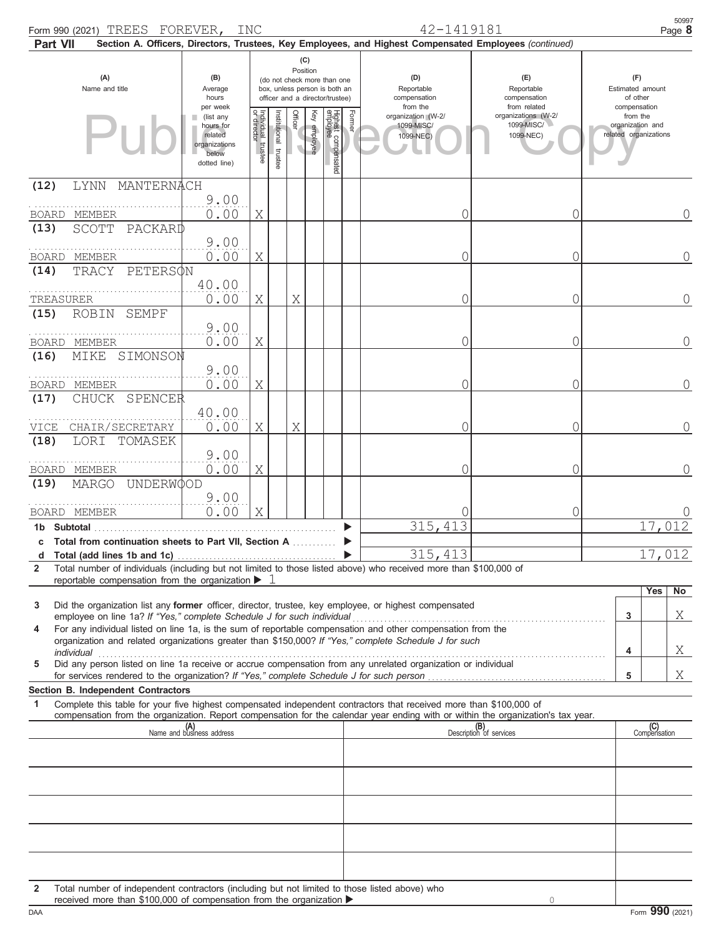| Form 990 (2021) TREES FOREVER,<br><b>Part VII</b>                                                                                                                                                                                                                                                                                                                                                                                                                                                                                                                                           |                                                                                              | INC                               |                          |                |                 |                                 |                                   | 42-1419181                                                |                                                                                                                                             |                                     |                                                                       | 50997<br>Page 8                 |
|---------------------------------------------------------------------------------------------------------------------------------------------------------------------------------------------------------------------------------------------------------------------------------------------------------------------------------------------------------------------------------------------------------------------------------------------------------------------------------------------------------------------------------------------------------------------------------------------|----------------------------------------------------------------------------------------------|-----------------------------------|--------------------------|----------------|-----------------|---------------------------------|-----------------------------------|-----------------------------------------------------------|---------------------------------------------------------------------------------------------------------------------------------------------|-------------------------------------|-----------------------------------------------------------------------|---------------------------------|
| (C)<br>Position<br>(A)<br>(B)<br>(do not check more than one<br>Name and title<br>Average<br>box, unless person is both an<br>hours<br>officer and a director/trustee)                                                                                                                                                                                                                                                                                                                                                                                                                      |                                                                                              |                                   |                          |                |                 |                                 | (D)<br>Reportable<br>compensation |                                                           | Section A. Officers, Directors, Trustees, Key Employees, and Highest Compensated Employees (continued)<br>(E)<br>Reportable<br>compensation | (F)<br>Estimated amount<br>of other |                                                                       |                                 |
|                                                                                                                                                                                                                                                                                                                                                                                                                                                                                                                                                                                             | per week<br>(list any<br>ш<br>hours for<br>related<br>organizations<br>below<br>dotted line) | Individual trustee<br>or director | Institutional<br>trustee | <b>Officer</b> | Key<br>employee | Highest compensated<br>employee | Former                            | from the<br>organization (W-2/<br>1099-MISC/<br>1099-NEC) | from related<br>organizations (W-2/<br>1099-MISC/<br>1099-NEC)                                                                              |                                     | compensation<br>from the<br>organization and<br>related organizations |                                 |
| MANTERNACH<br><b>LYNN</b><br>(12)                                                                                                                                                                                                                                                                                                                                                                                                                                                                                                                                                           | 9.00                                                                                         |                                   |                          |                |                 |                                 |                                   |                                                           |                                                                                                                                             |                                     |                                                                       |                                 |
| BOARD MEMBER<br>PACKARD<br>(13)<br>SCOTT                                                                                                                                                                                                                                                                                                                                                                                                                                                                                                                                                    | 0.00<br>9.00                                                                                 | Χ                                 |                          |                |                 |                                 |                                   | C                                                         | 0                                                                                                                                           |                                     |                                                                       | $\bigcap$                       |
| BOARD MEMBER<br>PETERSON<br>TRACY<br>(14)                                                                                                                                                                                                                                                                                                                                                                                                                                                                                                                                                   | 0.00                                                                                         | Χ                                 |                          |                |                 |                                 |                                   | 0                                                         | 0                                                                                                                                           |                                     |                                                                       | 0                               |
| TREASURER<br>(15)<br><b>ROBIN</b><br><b>SEMPF</b>                                                                                                                                                                                                                                                                                                                                                                                                                                                                                                                                           | 40.00<br>0.00                                                                                | Χ                                 |                          | Χ              |                 |                                 |                                   | 0                                                         | 0                                                                                                                                           |                                     |                                                                       | 0                               |
| BOARD MEMBER<br>MIKE<br>SIMONSON<br>(16)                                                                                                                                                                                                                                                                                                                                                                                                                                                                                                                                                    | 9.00<br>0.00                                                                                 | Χ                                 |                          |                |                 |                                 |                                   | 0                                                         | 0                                                                                                                                           |                                     |                                                                       | $\Omega$                        |
| BOARD MEMBER                                                                                                                                                                                                                                                                                                                                                                                                                                                                                                                                                                                | 9.00<br>0.00                                                                                 | Χ                                 |                          |                |                 |                                 |                                   | C                                                         | 0                                                                                                                                           |                                     |                                                                       | $\Omega$                        |
| CHUCK SPENCER<br>(17)<br>CHAIR/SECRETARY<br>VICE                                                                                                                                                                                                                                                                                                                                                                                                                                                                                                                                            | 40.00<br>0.00                                                                                | Χ                                 |                          | Χ              |                 |                                 |                                   | C                                                         | 0                                                                                                                                           |                                     |                                                                       | Ω                               |
| (18)<br>LORI<br>TOMASEK<br>BOARD MEMBER                                                                                                                                                                                                                                                                                                                                                                                                                                                                                                                                                     | 9.00<br>0.00                                                                                 | Χ                                 |                          |                |                 |                                 |                                   | 0                                                         | 0                                                                                                                                           |                                     |                                                                       | Ω                               |
| (19)<br>UNDERWOOD<br>MARGO                                                                                                                                                                                                                                                                                                                                                                                                                                                                                                                                                                  | 9.00                                                                                         |                                   |                          |                |                 |                                 |                                   |                                                           |                                                                                                                                             |                                     |                                                                       |                                 |
| BOARD MEMBER<br>1b Subtotal<br>c Total from continuation sheets to Part VII. Section A                                                                                                                                                                                                                                                                                                                                                                                                                                                                                                      | 0.00                                                                                         | Χ                                 |                          |                |                 |                                 |                                   | 315, 413                                                  | 0                                                                                                                                           |                                     |                                                                       | 17,012                          |
| d<br>Total number of individuals (including but not limited to those listed above) who received more than \$100,000 of<br>$\overline{2}$<br>reportable compensation from the organization >                                                                                                                                                                                                                                                                                                                                                                                                 |                                                                                              |                                   |                          |                |                 |                                 |                                   | 315,413                                                   |                                                                                                                                             |                                     |                                                                       | 17,012                          |
| Did the organization list any former officer, director, trustee, key employee, or highest compensated<br>3<br>employee on line 1a? If "Yes," complete Schedule J for such individual<br>For any individual listed on line 1a, is the sum of reportable compensation and other compensation from the<br>4<br>organization and related organizations greater than \$150,000? If "Yes," complete Schedule J for such<br>individual<br>Did any person listed on line 1a receive or accrue compensation from any unrelated organization or individual<br>5<br>Section B. Independent Contractors |                                                                                              |                                   |                          |                |                 |                                 |                                   |                                                           |                                                                                                                                             |                                     | 3<br>4<br>5                                                           | <b>Yes</b><br>No<br>Χ<br>Χ<br>Χ |
| Complete this table for your five highest compensated independent contractors that received more than \$100,000 of<br>1<br>compensation from the organization. Report compensation for the calendar year ending with or within the organization's tax year.                                                                                                                                                                                                                                                                                                                                 |                                                                                              |                                   |                          |                |                 |                                 |                                   |                                                           |                                                                                                                                             |                                     |                                                                       |                                 |
|                                                                                                                                                                                                                                                                                                                                                                                                                                                                                                                                                                                             | (A)<br>Name and business address                                                             |                                   |                          |                |                 |                                 |                                   |                                                           | (B)<br>Description of services                                                                                                              |                                     |                                                                       | (C)<br>Compensation             |
|                                                                                                                                                                                                                                                                                                                                                                                                                                                                                                                                                                                             |                                                                                              |                                   |                          |                |                 |                                 |                                   |                                                           |                                                                                                                                             |                                     |                                                                       |                                 |
| Total number of independent contractors (including but not limited to those listed above) who<br>$\mathbf{2}$<br>received more than \$100,000 of compensation from the organization ▶                                                                                                                                                                                                                                                                                                                                                                                                       |                                                                                              |                                   |                          |                |                 |                                 |                                   |                                                           |                                                                                                                                             |                                     |                                                                       |                                 |

|  | received more than \$100,000 of compensation from the organization $\blacktriangleright$ |  |
|--|------------------------------------------------------------------------------------------|--|
|  |                                                                                          |  |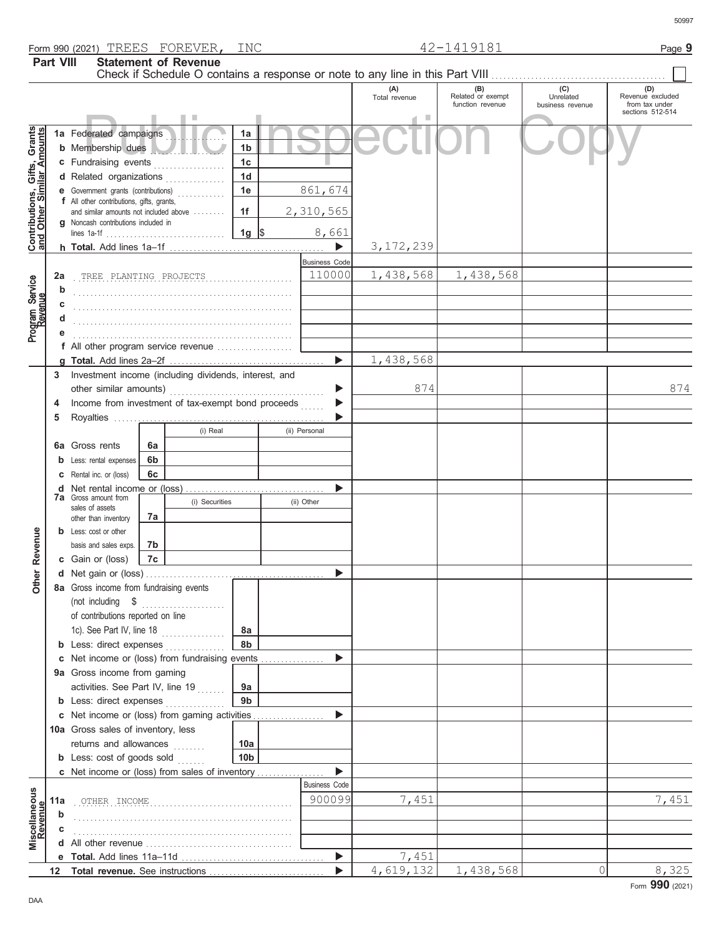|                  | Form 990 (2021) TREES FOREVER,          | INC | 419181<br>$\sqrt{2}$ | Page \ |
|------------------|-----------------------------------------|-----|----------------------|--------|
| <b>Part VIII</b> | <b>Statement of Revenue</b><br>.<br>$-$ |     |                      |        |

|                                                           | Part VIII |                                                                                                 |    | <b>Statement of Revenue</b> |                 |                      |                      |                                              | Check if Schedule O contains a response or note to any line in this Part VIII [11] [11] [11] [11] Check if Schedule O contains a response or note to any line in this Part VIII |                                                               |
|-----------------------------------------------------------|-----------|-------------------------------------------------------------------------------------------------|----|-----------------------------|-----------------|----------------------|----------------------|----------------------------------------------|---------------------------------------------------------------------------------------------------------------------------------------------------------------------------------|---------------------------------------------------------------|
|                                                           |           |                                                                                                 |    |                             |                 |                      | (A)<br>Total revenue | (B)<br>Related or exempt<br>function revenue | (C)<br>Unrelated<br>business revenue                                                                                                                                            | (D)<br>Revenue excluded<br>from tax under<br>sections 512-514 |
|                                                           |           | 1a Federated campaigns                                                                          |    |                             | 1a              |                      |                      |                                              |                                                                                                                                                                                 |                                                               |
|                                                           |           | <b>b</b> Membership dues                                                                        |    |                             | 1 <sub>b</sub>  |                      |                      |                                              |                                                                                                                                                                                 |                                                               |
|                                                           |           | c Fundraising events                                                                            |    |                             | 1 <sub>c</sub>  |                      |                      |                                              |                                                                                                                                                                                 |                                                               |
|                                                           |           | d Related organizations                                                                         |    |                             | 1 <sub>d</sub>  |                      |                      |                                              |                                                                                                                                                                                 |                                                               |
| Contributions, Gifts, Grants<br>and Other Similar Amounts |           | e Government grants (contributions)                                                             |    |                             | 1e              | 861,674              |                      |                                              |                                                                                                                                                                                 |                                                               |
|                                                           |           | f All other contributions, gifts, grants,                                                       |    |                             |                 |                      |                      |                                              |                                                                                                                                                                                 |                                                               |
|                                                           |           | and similar amounts not included above                                                          |    |                             | 1f              | 2,310,565            |                      |                                              |                                                                                                                                                                                 |                                                               |
|                                                           |           | <b>q</b> Noncash contributions included in                                                      |    |                             |                 | 8,661                |                      |                                              |                                                                                                                                                                                 |                                                               |
|                                                           |           |                                                                                                 |    |                             |                 |                      | 3, 172, 239          |                                              |                                                                                                                                                                                 |                                                               |
|                                                           |           |                                                                                                 |    |                             |                 | <b>Business Code</b> |                      |                                              |                                                                                                                                                                                 |                                                               |
|                                                           | 2a        | TREE PLANTING PROJECTS                                                                          |    |                             |                 | 110000               | 1,438,568            | 1,438,568                                    |                                                                                                                                                                                 |                                                               |
| Program Service<br>Revenue                                | b         |                                                                                                 |    |                             |                 |                      |                      |                                              |                                                                                                                                                                                 |                                                               |
|                                                           | c         |                                                                                                 |    |                             |                 |                      |                      |                                              |                                                                                                                                                                                 |                                                               |
|                                                           |           |                                                                                                 |    |                             |                 |                      |                      |                                              |                                                                                                                                                                                 |                                                               |
|                                                           | е         |                                                                                                 |    |                             |                 |                      |                      |                                              |                                                                                                                                                                                 |                                                               |
|                                                           |           | f All other program service revenue                                                             |    |                             |                 |                      |                      |                                              |                                                                                                                                                                                 |                                                               |
|                                                           |           |                                                                                                 |    |                             |                 | ▶                    | 1,438,568            |                                              |                                                                                                                                                                                 |                                                               |
|                                                           | 3         | Investment income (including dividends, interest, and                                           |    |                             |                 |                      |                      |                                              |                                                                                                                                                                                 |                                                               |
|                                                           |           |                                                                                                 |    |                             |                 | ▶                    | 874                  |                                              |                                                                                                                                                                                 | 874                                                           |
|                                                           | 4         | Income from investment of tax-exempt bond proceeds                                              |    |                             |                 |                      |                      |                                              |                                                                                                                                                                                 |                                                               |
|                                                           | 5         |                                                                                                 |    |                             |                 |                      |                      |                                              |                                                                                                                                                                                 |                                                               |
|                                                           |           |                                                                                                 |    | (i) Real                    |                 | (ii) Personal        |                      |                                              |                                                                                                                                                                                 |                                                               |
|                                                           |           | <b>6a</b> Gross rents                                                                           | 6a |                             |                 |                      |                      |                                              |                                                                                                                                                                                 |                                                               |
|                                                           |           | <b>b</b> Less: rental expenses                                                                  | 6b |                             |                 |                      |                      |                                              |                                                                                                                                                                                 |                                                               |
|                                                           |           | <b>c</b> Rental inc. or (loss)                                                                  | 6c |                             |                 |                      |                      |                                              |                                                                                                                                                                                 |                                                               |
|                                                           |           |                                                                                                 |    |                             |                 |                      |                      |                                              |                                                                                                                                                                                 |                                                               |
|                                                           |           | <b>7a</b> Gross amount from<br>sales of assets                                                  |    | (i) Securities              |                 | (ii) Other           |                      |                                              |                                                                                                                                                                                 |                                                               |
|                                                           |           | other than inventory                                                                            | 7а |                             |                 |                      |                      |                                              |                                                                                                                                                                                 |                                                               |
|                                                           |           | <b>b</b> Less: cost or other                                                                    |    |                             |                 |                      |                      |                                              |                                                                                                                                                                                 |                                                               |
| Revenue                                                   |           | basis and sales exps.                                                                           | 7b |                             |                 |                      |                      |                                              |                                                                                                                                                                                 |                                                               |
|                                                           |           | c Gain or (loss)                                                                                | 7c |                             |                 |                      |                      |                                              |                                                                                                                                                                                 |                                                               |
| <b>Other</b>                                              |           |                                                                                                 |    |                             |                 |                      |                      |                                              |                                                                                                                                                                                 |                                                               |
|                                                           |           | 8a Gross income from fundraising events                                                         |    |                             |                 |                      |                      |                                              |                                                                                                                                                                                 |                                                               |
|                                                           |           |                                                                                                 |    |                             |                 |                      |                      |                                              |                                                                                                                                                                                 |                                                               |
|                                                           |           | of contributions reported on line                                                               |    |                             |                 |                      |                      |                                              |                                                                                                                                                                                 |                                                               |
|                                                           |           | 1c). See Part IV, line 18                                                                       |    |                             | 8a<br>8b        |                      |                      |                                              |                                                                                                                                                                                 |                                                               |
|                                                           |           | <b>b</b> Less: direct expenses <i>minimum</i><br>c Net income or (loss) from fundraising events |    |                             |                 |                      |                      |                                              |                                                                                                                                                                                 |                                                               |
|                                                           |           | 9a Gross income from gaming                                                                     |    |                             |                 |                      |                      |                                              |                                                                                                                                                                                 |                                                               |
|                                                           |           | activities. See Part IV, line 19                                                                |    |                             | 9а              |                      |                      |                                              |                                                                                                                                                                                 |                                                               |
|                                                           |           | <b>b</b> Less: direct expenses <i>minimum</i>                                                   |    |                             | 9 <sub>b</sub>  |                      |                      |                                              |                                                                                                                                                                                 |                                                               |
|                                                           |           | c Net income or (loss) from gaming activities                                                   |    |                             |                 |                      |                      |                                              |                                                                                                                                                                                 |                                                               |
|                                                           |           | 10a Gross sales of inventory, less                                                              |    |                             |                 |                      |                      |                                              |                                                                                                                                                                                 |                                                               |
|                                                           |           | returns and allowances                                                                          |    |                             | 10a             |                      |                      |                                              |                                                                                                                                                                                 |                                                               |
|                                                           |           | <b>b</b> Less: cost of goods sold                                                               |    |                             | 10 <sub>b</sub> |                      |                      |                                              |                                                                                                                                                                                 |                                                               |
|                                                           |           | c Net income or (loss) from sales of inventory                                                  |    |                             |                 |                      |                      |                                              |                                                                                                                                                                                 |                                                               |
|                                                           |           |                                                                                                 |    |                             |                 | <b>Business Code</b> |                      |                                              |                                                                                                                                                                                 |                                                               |
| Miscellaneous<br>Revenue                                  |           |                                                                                                 |    |                             |                 | 900099               | 7,451                |                                              |                                                                                                                                                                                 | 7,451                                                         |
|                                                           | b         |                                                                                                 |    |                             |                 |                      |                      |                                              |                                                                                                                                                                                 |                                                               |
|                                                           | С         |                                                                                                 |    |                             |                 |                      |                      |                                              |                                                                                                                                                                                 |                                                               |
|                                                           |           |                                                                                                 |    |                             |                 |                      |                      |                                              |                                                                                                                                                                                 |                                                               |
|                                                           |           |                                                                                                 |    |                             |                 |                      | 7,451                |                                              |                                                                                                                                                                                 |                                                               |
|                                                           |           |                                                                                                 |    |                             |                 |                      | 4,619,132            | 1,438,568                                    | 0                                                                                                                                                                               | 8,325                                                         |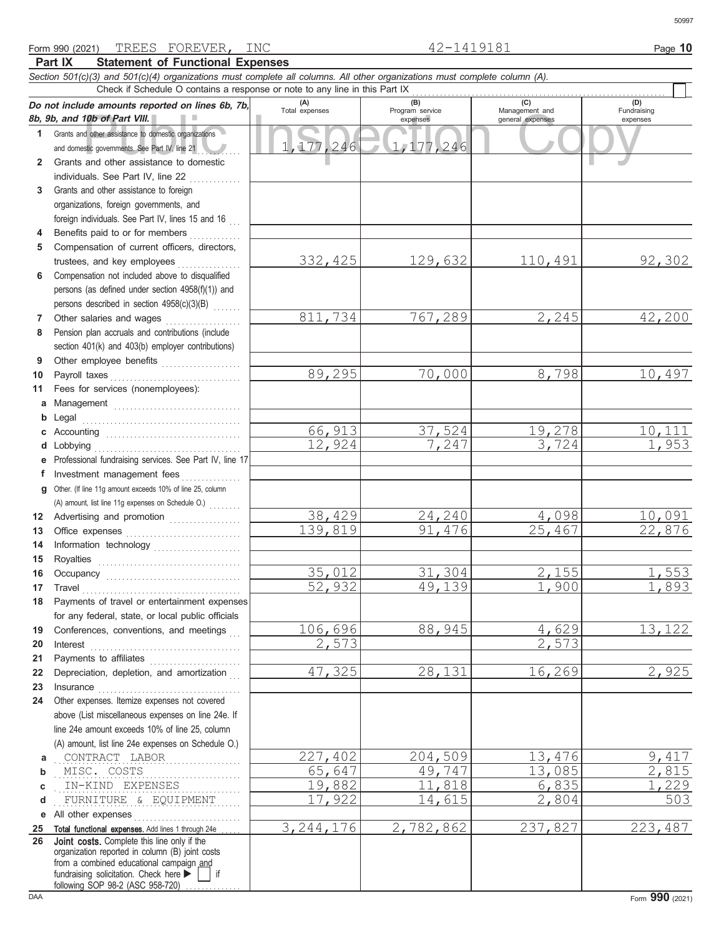|              | Section 501(c)(3) and 501(c)(4) organizations must complete all columns. All other organizations must complete column (A).                                                                                                                                                                                                                                                                                                                                                                                                  |                       |                        |                       |                    |
|--------------|-----------------------------------------------------------------------------------------------------------------------------------------------------------------------------------------------------------------------------------------------------------------------------------------------------------------------------------------------------------------------------------------------------------------------------------------------------------------------------------------------------------------------------|-----------------------|------------------------|-----------------------|--------------------|
|              | Check if Schedule O contains a response or note to any line in this Part IX                                                                                                                                                                                                                                                                                                                                                                                                                                                 |                       |                        |                       |                    |
|              | Do not include amounts reported on lines 6b, 7b,                                                                                                                                                                                                                                                                                                                                                                                                                                                                            | (A)<br>Total expenses | (B)<br>Program service | (C)<br>Management and | (D)<br>Fundraising |
|              | 8b, 9b, and 10b of Part VIII.                                                                                                                                                                                                                                                                                                                                                                                                                                                                                               |                       | expenses               | general expenses      | expenses           |
| $\mathbf{1}$ | Grants and other assistance to domestic organizations                                                                                                                                                                                                                                                                                                                                                                                                                                                                       |                       |                        |                       |                    |
|              | and domestic governments. See Part IV, line 21                                                                                                                                                                                                                                                                                                                                                                                                                                                                              | 1,177,246             | 1,177,246              |                       |                    |
| $\mathbf{2}$ | Grants and other assistance to domestic                                                                                                                                                                                                                                                                                                                                                                                                                                                                                     |                       |                        |                       |                    |
|              | individuals. See Part IV, line 22                                                                                                                                                                                                                                                                                                                                                                                                                                                                                           |                       |                        |                       |                    |
| 3            | Grants and other assistance to foreign                                                                                                                                                                                                                                                                                                                                                                                                                                                                                      |                       |                        |                       |                    |
|              | organizations, foreign governments, and                                                                                                                                                                                                                                                                                                                                                                                                                                                                                     |                       |                        |                       |                    |
|              | foreign individuals. See Part IV, lines 15 and 16<br>Benefits paid to or for members                                                                                                                                                                                                                                                                                                                                                                                                                                        |                       |                        |                       |                    |
| 4<br>5       | Compensation of current officers, directors,                                                                                                                                                                                                                                                                                                                                                                                                                                                                                |                       |                        |                       |                    |
|              | trustees, and key employees                                                                                                                                                                                                                                                                                                                                                                                                                                                                                                 | 332,425               | 129,632                | <u>110,491</u>        | 92,302             |
| 6            | Compensation not included above to disqualified                                                                                                                                                                                                                                                                                                                                                                                                                                                                             |                       |                        |                       |                    |
|              | persons (as defined under section 4958(f)(1)) and                                                                                                                                                                                                                                                                                                                                                                                                                                                                           |                       |                        |                       |                    |
|              | persons described in section 4958(c)(3)(B)                                                                                                                                                                                                                                                                                                                                                                                                                                                                                  |                       |                        |                       |                    |
| 7            | Other salaries and wages                                                                                                                                                                                                                                                                                                                                                                                                                                                                                                    | 811,734               | 767,289                | 2,245                 | 42,200             |
| 8            | .<br>Pension plan accruals and contributions (include                                                                                                                                                                                                                                                                                                                                                                                                                                                                       |                       |                        |                       |                    |
|              | section 401(k) and 403(b) employer contributions)                                                                                                                                                                                                                                                                                                                                                                                                                                                                           |                       |                        |                       |                    |
| 9            | Other employee benefits                                                                                                                                                                                                                                                                                                                                                                                                                                                                                                     |                       |                        |                       |                    |
| 10           |                                                                                                                                                                                                                                                                                                                                                                                                                                                                                                                             | 89,295                | 70,000                 | 8,798                 | 10,497             |
| 11           | Fees for services (nonemployees):                                                                                                                                                                                                                                                                                                                                                                                                                                                                                           |                       |                        |                       |                    |
| a            | Management                                                                                                                                                                                                                                                                                                                                                                                                                                                                                                                  |                       |                        |                       |                    |
| b            |                                                                                                                                                                                                                                                                                                                                                                                                                                                                                                                             |                       |                        |                       |                    |
| С            |                                                                                                                                                                                                                                                                                                                                                                                                                                                                                                                             | 66,913                | 37,524                 | 19,278                | <u>10,111</u>      |
| d            | Lobbying                                                                                                                                                                                                                                                                                                                                                                                                                                                                                                                    | 12,924                | 7,247                  | 3,724                 | 1,953              |
| е            | Professional fundraising services. See Part IV, line 17                                                                                                                                                                                                                                                                                                                                                                                                                                                                     |                       |                        |                       |                    |
| f            | Investment management fees                                                                                                                                                                                                                                                                                                                                                                                                                                                                                                  |                       |                        |                       |                    |
| q            | Other. (If line 11g amount exceeds 10% of line 25, column                                                                                                                                                                                                                                                                                                                                                                                                                                                                   |                       |                        |                       |                    |
|              | (A) amount, list line 11g expenses on Schedule O.)                                                                                                                                                                                                                                                                                                                                                                                                                                                                          |                       |                        |                       |                    |
| 12           | Advertising and promotion                                                                                                                                                                                                                                                                                                                                                                                                                                                                                                   | 38,429                | 24,240                 | 4,098                 | 10,091             |
| 13           |                                                                                                                                                                                                                                                                                                                                                                                                                                                                                                                             | 139,819               | 91,476                 | 25,467                | 22,876             |
| 14           | Information technology                                                                                                                                                                                                                                                                                                                                                                                                                                                                                                      |                       |                        |                       |                    |
| 15           |                                                                                                                                                                                                                                                                                                                                                                                                                                                                                                                             |                       |                        |                       |                    |
| 16           |                                                                                                                                                                                                                                                                                                                                                                                                                                                                                                                             | 35,012                | 31,304                 | 2,155                 | 1,553              |
| 17           | $\begin{minipage}[c]{0.9\linewidth} \begin{tabular}{l} \textbf{Travel} \end{tabular} \end{minipage} \end{minipage} \begin{minipage}[c]{0.9\linewidth} \begin{tabular}{l} \textbf{True} \end{tabular} \end{minipage} \end{minipage} \begin{minipage}[c]{0.9\linewidth} \begin{tabular}{l} \textbf{True} \end{tabular} \end{minipage} \end{minipage} \begin{minipage}[c]{0.9\linewidth} \begin{tabular}{l} \textbf{True} \end{tabular} \end{minipage} \end{minipage} \begin{minipage}[c]{0.9\linewidth} \begin{tabular}{l} \$ | 52,932                | 49,139                 | 1,900                 | 1,893              |
| 18           | Payments of travel or entertainment expenses                                                                                                                                                                                                                                                                                                                                                                                                                                                                                |                       |                        |                       |                    |
|              | for any federal, state, or local public officials                                                                                                                                                                                                                                                                                                                                                                                                                                                                           |                       |                        |                       |                    |
| 19           | Conferences, conventions, and meetings                                                                                                                                                                                                                                                                                                                                                                                                                                                                                      | 106,696               | 88,945                 | 4,629                 | 13, 122            |
| 20           | Interest                                                                                                                                                                                                                                                                                                                                                                                                                                                                                                                    | 2,573                 |                        | 2,573                 |                    |
| 21           | Payments to affiliates [11] contains a set of the set of the set of the set of the set of the set of the set of the set of the set of the set of the set of the set of the set of the set of the set of the set of the set of                                                                                                                                                                                                                                                                                               |                       |                        |                       |                    |
| 22           | Depreciation, depletion, and amortization                                                                                                                                                                                                                                                                                                                                                                                                                                                                                   | 47,325                | 28,131                 | 16,269                | 2,925              |
| 23           | Insurance with a construction of the state of the state of the state of the state of the state of the state of the state of the state of the state of the state of the state of the state of the state of the state of the sta                                                                                                                                                                                                                                                                                              |                       |                        |                       |                    |
| 24           | Other expenses. Itemize expenses not covered                                                                                                                                                                                                                                                                                                                                                                                                                                                                                |                       |                        |                       |                    |
|              | above (List miscellaneous expenses on line 24e. If                                                                                                                                                                                                                                                                                                                                                                                                                                                                          |                       |                        |                       |                    |
|              | line 24e amount exceeds 10% of line 25, column                                                                                                                                                                                                                                                                                                                                                                                                                                                                              |                       |                        |                       |                    |
|              | (A) amount, list line 24e expenses on Schedule O.)<br>CONTRACT LABOR                                                                                                                                                                                                                                                                                                                                                                                                                                                        | 227,402               | 204,509                | 13,476                | 9,417              |
| а<br>b       | MISC. COSTS                                                                                                                                                                                                                                                                                                                                                                                                                                                                                                                 | 65,647                | 49,747                 | 13,085                | 2,815              |
| с            | IN-KIND EXPENSES                                                                                                                                                                                                                                                                                                                                                                                                                                                                                                            | 19,882                | 11,818                 | 6,835                 | 1,229              |
| d            | FURNITURE & EQUIPMENT                                                                                                                                                                                                                                                                                                                                                                                                                                                                                                       | 17,922                | 14,615                 | 2,804                 | 503                |
| е            | All other expenses                                                                                                                                                                                                                                                                                                                                                                                                                                                                                                          |                       |                        |                       |                    |
| 25           | Total functional expenses. Add lines 1 through 24e                                                                                                                                                                                                                                                                                                                                                                                                                                                                          | 3, 244, 176           | 2,782,862              | 237,827               | 223,487            |
| 26           | Joint costs. Complete this line only if the                                                                                                                                                                                                                                                                                                                                                                                                                                                                                 |                       |                        |                       |                    |
|              | organization reported in column (B) joint costs                                                                                                                                                                                                                                                                                                                                                                                                                                                                             |                       |                        |                       |                    |
|              | from a combined educational campaign and<br>fundraising solicitation. Check here<br>if                                                                                                                                                                                                                                                                                                                                                                                                                                      |                       |                        |                       |                    |
|              | following SOP 98-2 (ASC 958-720)                                                                                                                                                                                                                                                                                                                                                                                                                                                                                            |                       |                        |                       |                    |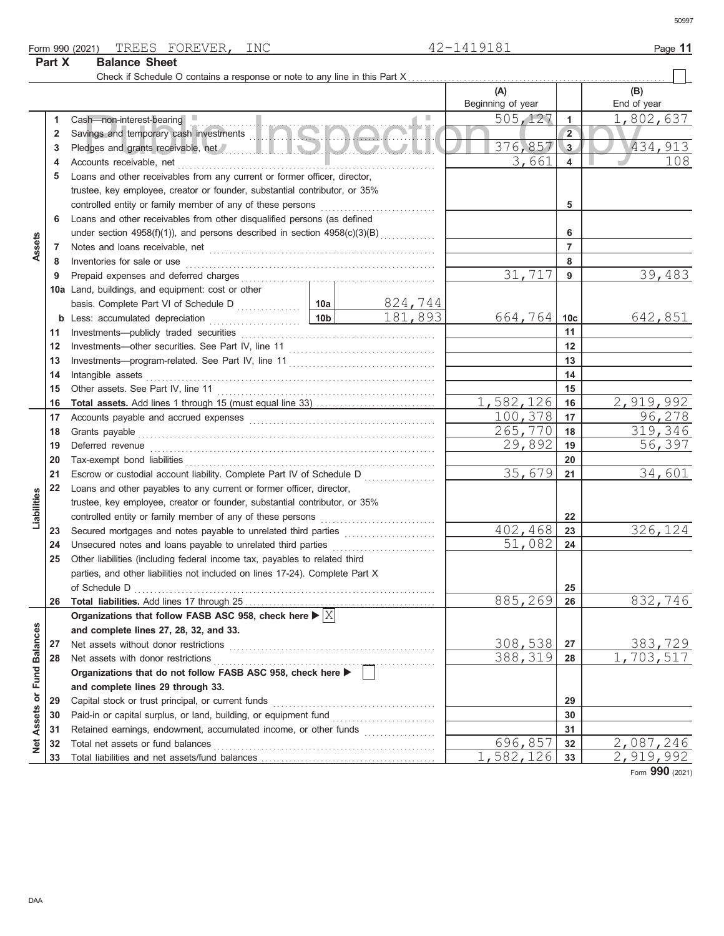Form 990 (2021) Page **11** TREES FOREVER, INC 42-1419181

**Part X Balance Sheet**

50997

| Check if Schedule O contains a response or note to any line in this Part X<br>(A)<br>(B)<br>Beginning of year<br>End of year<br>505,127<br>Cash-non-interest-bearing<br>1<br>1<br>Savings and temporary cash investments<br>$\overline{2}$<br>2<br>376,857<br>3<br>3<br>3,661<br>4<br>4<br>Loans and other receivables from any current or former officer, director,<br>5<br>trustee, key employee, creator or founder, substantial contributor, or 35%<br>5<br>Loans and other receivables from other disqualified persons (as defined<br>6<br>under section 4958(f)(1)), and persons described in section 4958(c)(3)(B)<br>6<br>Assets<br>7<br>7<br>Inventories for sale or use <b>constant of the constant of the sale or use</b> constant of the constant of the constant<br>8<br>8<br>31,717<br>9<br>9 |                             |
|-------------------------------------------------------------------------------------------------------------------------------------------------------------------------------------------------------------------------------------------------------------------------------------------------------------------------------------------------------------------------------------------------------------------------------------------------------------------------------------------------------------------------------------------------------------------------------------------------------------------------------------------------------------------------------------------------------------------------------------------------------------------------------------------------------------|-----------------------------|
|                                                                                                                                                                                                                                                                                                                                                                                                                                                                                                                                                                                                                                                                                                                                                                                                             |                             |
|                                                                                                                                                                                                                                                                                                                                                                                                                                                                                                                                                                                                                                                                                                                                                                                                             | 1,802,637<br>434,913<br>108 |
|                                                                                                                                                                                                                                                                                                                                                                                                                                                                                                                                                                                                                                                                                                                                                                                                             |                             |
|                                                                                                                                                                                                                                                                                                                                                                                                                                                                                                                                                                                                                                                                                                                                                                                                             |                             |
|                                                                                                                                                                                                                                                                                                                                                                                                                                                                                                                                                                                                                                                                                                                                                                                                             |                             |
|                                                                                                                                                                                                                                                                                                                                                                                                                                                                                                                                                                                                                                                                                                                                                                                                             |                             |
|                                                                                                                                                                                                                                                                                                                                                                                                                                                                                                                                                                                                                                                                                                                                                                                                             |                             |
|                                                                                                                                                                                                                                                                                                                                                                                                                                                                                                                                                                                                                                                                                                                                                                                                             |                             |
|                                                                                                                                                                                                                                                                                                                                                                                                                                                                                                                                                                                                                                                                                                                                                                                                             |                             |
|                                                                                                                                                                                                                                                                                                                                                                                                                                                                                                                                                                                                                                                                                                                                                                                                             | 39,483                      |
| 10a Land, buildings, and equipment: cost or other<br>824,744                                                                                                                                                                                                                                                                                                                                                                                                                                                                                                                                                                                                                                                                                                                                                |                             |
| 181,893<br>664,764<br>10 <sub>c</sub>                                                                                                                                                                                                                                                                                                                                                                                                                                                                                                                                                                                                                                                                                                                                                                       | <u>642,851</u>              |
| 11<br>11                                                                                                                                                                                                                                                                                                                                                                                                                                                                                                                                                                                                                                                                                                                                                                                                    |                             |
| 12<br>12                                                                                                                                                                                                                                                                                                                                                                                                                                                                                                                                                                                                                                                                                                                                                                                                    |                             |
| 13<br>13                                                                                                                                                                                                                                                                                                                                                                                                                                                                                                                                                                                                                                                                                                                                                                                                    |                             |
| Intangible assets with a control of the control of the control of the control of the control of the control of the control of the control of the control of the control of the control of the control of the control of the co<br>14<br>14                                                                                                                                                                                                                                                                                                                                                                                                                                                                                                                                                                  |                             |
| 15<br>15                                                                                                                                                                                                                                                                                                                                                                                                                                                                                                                                                                                                                                                                                                                                                                                                    |                             |
| 1,582,126<br>16<br>16                                                                                                                                                                                                                                                                                                                                                                                                                                                                                                                                                                                                                                                                                                                                                                                       | 2,919,992                   |
| 100,378<br>17<br>17                                                                                                                                                                                                                                                                                                                                                                                                                                                                                                                                                                                                                                                                                                                                                                                         | 96,278                      |
| 265,770<br>18<br>18                                                                                                                                                                                                                                                                                                                                                                                                                                                                                                                                                                                                                                                                                                                                                                                         | 319,346                     |
| 29,892<br>19<br>Deferred revenue <i>communication</i> and contained a series of the contained and contained a series of the contained and contained a series of the contained and contained a series of the contained and contained a series of the<br>19                                                                                                                                                                                                                                                                                                                                                                                                                                                                                                                                                   | 56,397                      |
| 20<br>20                                                                                                                                                                                                                                                                                                                                                                                                                                                                                                                                                                                                                                                                                                                                                                                                    |                             |
| 35,679<br>21<br>Escrow or custodial account liability. Complete Part IV of Schedule D<br>21                                                                                                                                                                                                                                                                                                                                                                                                                                                                                                                                                                                                                                                                                                                 | 34,601                      |
| 22<br>Loans and other payables to any current or former officer, director,                                                                                                                                                                                                                                                                                                                                                                                                                                                                                                                                                                                                                                                                                                                                  |                             |
| Liabilities<br>trustee, key employee, creator or founder, substantial contributor, or 35%<br>22                                                                                                                                                                                                                                                                                                                                                                                                                                                                                                                                                                                                                                                                                                             |                             |
| 402,468<br>Secured mortgages and notes payable to unrelated third parties<br>23<br>23                                                                                                                                                                                                                                                                                                                                                                                                                                                                                                                                                                                                                                                                                                                       | 326,124                     |
| 51,082<br>Unsecured notes and loans payable to unrelated third parties<br>24<br>24                                                                                                                                                                                                                                                                                                                                                                                                                                                                                                                                                                                                                                                                                                                          |                             |
| 25<br>Other liabilities (including federal income tax, payables to related third                                                                                                                                                                                                                                                                                                                                                                                                                                                                                                                                                                                                                                                                                                                            |                             |
| parties, and other liabilities not included on lines 17-24). Complete Part X                                                                                                                                                                                                                                                                                                                                                                                                                                                                                                                                                                                                                                                                                                                                |                             |
| of Schedule D<br>$\begin{array}{ccc}\n0 & 0 & 0 \\ 0 & 0 & 0 \\ 0 & 0 & 0\n\end{array}$<br>25                                                                                                                                                                                                                                                                                                                                                                                                                                                                                                                                                                                                                                                                                                               |                             |
| <u>885,269</u><br>26<br>26                                                                                                                                                                                                                                                                                                                                                                                                                                                                                                                                                                                                                                                                                                                                                                                  | 832,746                     |
| Organizations that follow FASB ASC 958, check here $\blacktriangleright  \mathbb{X} $                                                                                                                                                                                                                                                                                                                                                                                                                                                                                                                                                                                                                                                                                                                       |                             |
| and complete lines 27, 28, 32, and 33.                                                                                                                                                                                                                                                                                                                                                                                                                                                                                                                                                                                                                                                                                                                                                                      |                             |
| <b>Balances</b><br>308,538<br>Net assets without donor restrictions<br>27<br>27                                                                                                                                                                                                                                                                                                                                                                                                                                                                                                                                                                                                                                                                                                                             | 383,729                     |
| 388, 319<br>28<br>Net assets with donor restrictions<br>28<br>$\begin{array}{ll}\n\textbf{FAOD} & \textbf{ACO} & \textbf{APO} & \textbf{APO} & \textbf{APO} \\ \hline\n\end{array}$                                                                                                                                                                                                                                                                                                                                                                                                                                                                                                                                                                                                                         | 1,703,517                   |
| or Fund<br>Organizations that do not follow FASB ASC 958, check here ▶<br>and complete lines 29 through 33.                                                                                                                                                                                                                                                                                                                                                                                                                                                                                                                                                                                                                                                                                                 |                             |
| 29<br>Capital stock or trust principal, or current funds<br>29                                                                                                                                                                                                                                                                                                                                                                                                                                                                                                                                                                                                                                                                                                                                              |                             |
| Paid-in or capital surplus, or land, building, or equipment fund [<br>30<br>30                                                                                                                                                                                                                                                                                                                                                                                                                                                                                                                                                                                                                                                                                                                              |                             |
| Retained earnings, endowment, accumulated income, or other funds<br>31<br>31                                                                                                                                                                                                                                                                                                                                                                                                                                                                                                                                                                                                                                                                                                                                |                             |
| <b>Net Assets</b><br>696,857<br>Total net assets or fund balances<br>32<br>32                                                                                                                                                                                                                                                                                                                                                                                                                                                                                                                                                                                                                                                                                                                               | 2,087,246                   |
| 1,582,126<br>33<br>33                                                                                                                                                                                                                                                                                                                                                                                                                                                                                                                                                                                                                                                                                                                                                                                       | <u>2,919,992</u><br>nnn     |

Form **990** (2021)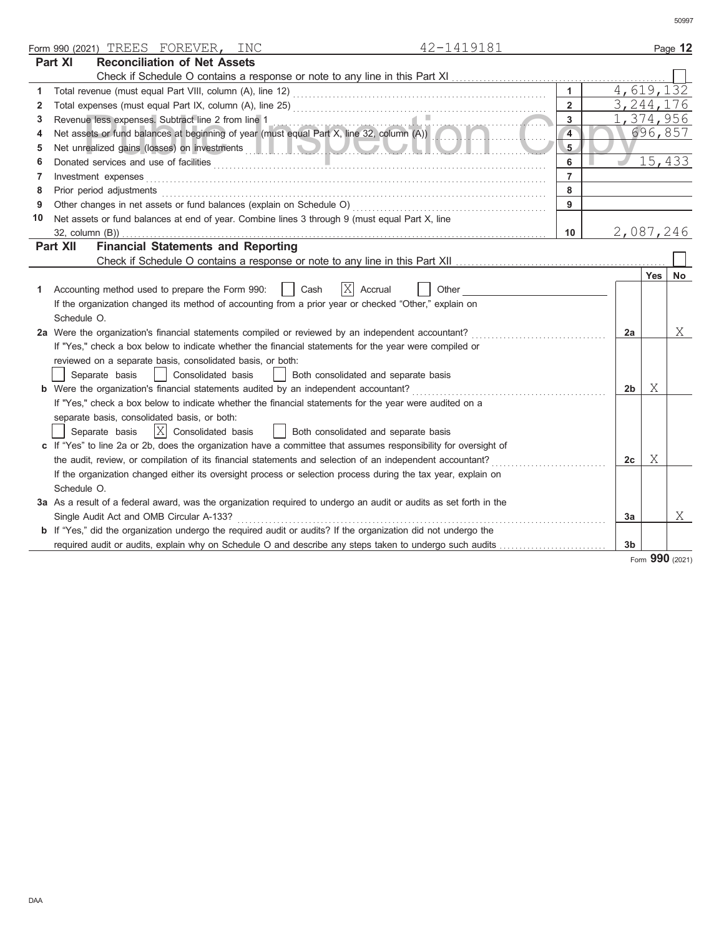|    | 42-1419181<br>Form 990 (2021) TREES FOREVER, INC                                                                                                                                                                               |                |                |           | Page 12     |
|----|--------------------------------------------------------------------------------------------------------------------------------------------------------------------------------------------------------------------------------|----------------|----------------|-----------|-------------|
|    | Part XI<br><b>Reconciliation of Net Assets</b>                                                                                                                                                                                 |                |                |           |             |
|    |                                                                                                                                                                                                                                |                |                |           |             |
| 1  |                                                                                                                                                                                                                                | $\mathbf{1}$   |                |           | 4,619,132   |
| 2  |                                                                                                                                                                                                                                | $\overline{2}$ |                |           | 3, 244, 176 |
| 3  |                                                                                                                                                                                                                                | $\mathbf{3}$   |                |           | 1,374,956   |
| 4  | Revenue less expenses. Subtract line 2 from line 1<br>Net assets or fund balances at beginning of year (must equal Part X, line 32, column (A))                                                                                | $\overline{4}$ |                |           | 696,857     |
| 5  |                                                                                                                                                                                                                                | 5              |                |           |             |
| 6  |                                                                                                                                                                                                                                | 6              |                |           | 15,433      |
| 7  |                                                                                                                                                                                                                                | $\overline{7}$ |                |           |             |
| 8  | Prior period adjustments [11] production of the contract of the contract of the contract of the contract of the contract of the contract of the contract of the contract of the contract of the contract of the contract of th | 8              |                |           |             |
| 9  |                                                                                                                                                                                                                                | 9              |                |           |             |
| 10 | Net assets or fund balances at end of year. Combine lines 3 through 9 (must equal Part X, line                                                                                                                                 |                |                |           |             |
|    | $32$ , column $(B)$ )                                                                                                                                                                                                          | 10             |                | 2,087,246 |             |
|    | <b>Financial Statements and Reporting</b><br><b>Part XII</b>                                                                                                                                                                   |                |                |           |             |
|    |                                                                                                                                                                                                                                |                |                |           |             |
|    |                                                                                                                                                                                                                                |                |                |           | Yes   No    |
| 1. | X Accrual<br>Cash<br>Accounting method used to prepare the Form 990:<br>Other                                                                                                                                                  |                |                |           |             |
|    | If the organization changed its method of accounting from a prior year or checked "Other," explain on                                                                                                                          |                |                |           |             |
|    | Schedule O.                                                                                                                                                                                                                    |                |                |           |             |
|    | 2a Were the organization's financial statements compiled or reviewed by an independent accountant?                                                                                                                             |                | 2a             |           | Χ           |
|    | If "Yes," check a box below to indicate whether the financial statements for the year were compiled or                                                                                                                         |                |                |           |             |
|    | reviewed on a separate basis, consolidated basis, or both:                                                                                                                                                                     |                |                |           |             |
|    | Separate basis<br>Consolidated basis<br>Both consolidated and separate basis                                                                                                                                                   |                |                |           |             |
|    | <b>b</b> Were the organization's financial statements audited by an independent accountant?                                                                                                                                    |                | 2b             | Χ         |             |
|    | If "Yes," check a box below to indicate whether the financial statements for the year were audited on a                                                                                                                        |                |                |           |             |
|    | separate basis, consolidated basis, or both:                                                                                                                                                                                   |                |                |           |             |
|    | $ X $ Consolidated basis<br>  Both consolidated and separate basis<br>Separate basis                                                                                                                                           |                |                |           |             |
|    | c If "Yes" to line 2a or 2b, does the organization have a committee that assumes responsibility for oversight of                                                                                                               |                |                |           |             |
|    | the audit, review, or compilation of its financial statements and selection of an independent accountant?                                                                                                                      |                | 2c             | Χ         |             |
|    | If the organization changed either its oversight process or selection process during the tax year, explain on                                                                                                                  |                |                |           |             |
|    | Schedule O.                                                                                                                                                                                                                    |                |                |           |             |
|    | 3a As a result of a federal award, was the organization required to undergo an audit or audits as set forth in the                                                                                                             |                |                |           |             |
|    | Single Audit Act and OMB Circular A-133?                                                                                                                                                                                       |                | 3a             |           | X           |
|    | <b>b</b> If "Yes," did the organization undergo the required audit or audits? If the organization did not undergo the                                                                                                          |                |                |           |             |
|    |                                                                                                                                                                                                                                |                | 3 <sub>b</sub> | $\sim$    |             |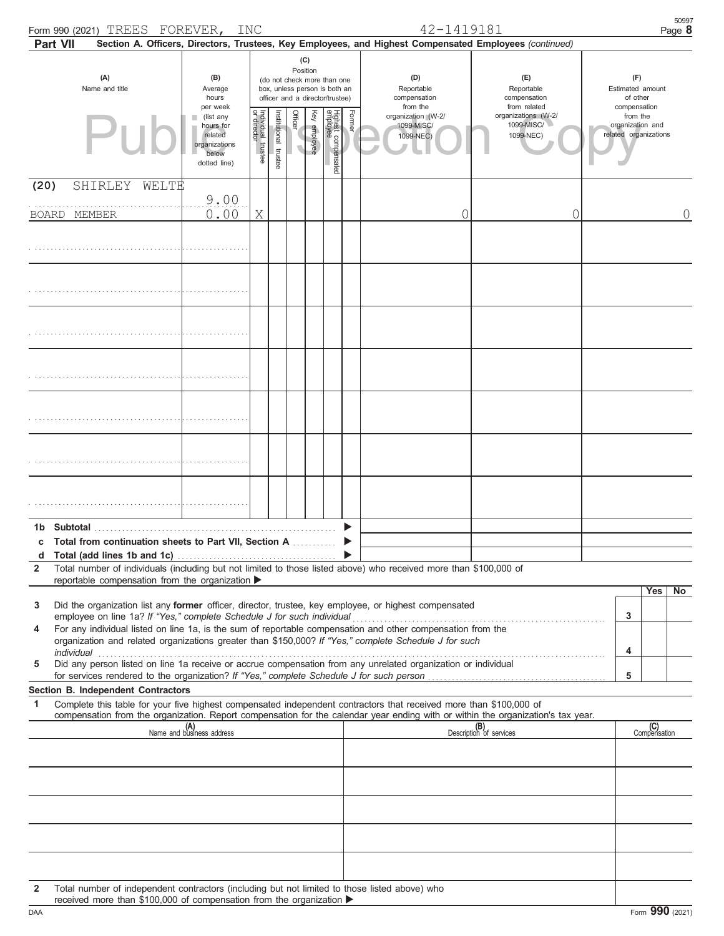|                   | Form 990 (2021) TREES FOREVER, INC<br>Part VII                                                                                                                                                                                                                                                                                                                                                                                                                                                                                                                                                                       |                                                                                         |                                   |                          |          |              |                                                                                                 |        | 42-1419181<br>Section A. Officers, Directors, Trustees, Key Employees, and Highest Compensated Employees (continued) |                                                                |             |                                                                       | 50997<br>Page 8 |
|-------------------|----------------------------------------------------------------------------------------------------------------------------------------------------------------------------------------------------------------------------------------------------------------------------------------------------------------------------------------------------------------------------------------------------------------------------------------------------------------------------------------------------------------------------------------------------------------------------------------------------------------------|-----------------------------------------------------------------------------------------|-----------------------------------|--------------------------|----------|--------------|-------------------------------------------------------------------------------------------------|--------|----------------------------------------------------------------------------------------------------------------------|----------------------------------------------------------------|-------------|-----------------------------------------------------------------------|-----------------|
|                   | (A)<br>Name and title                                                                                                                                                                                                                                                                                                                                                                                                                                                                                                                                                                                                | (B)<br>Average<br>hours                                                                 |                                   |                          | Position | (C)          | (do not check more than one<br>box, unless person is both an<br>officer and a director/trustee) |        | (D)<br>Reportable<br>compensation                                                                                    | (E)<br>Reportable<br>compensation                              |             | (F)<br>Estimated amount<br>of other                                   |                 |
|                   | Pu                                                                                                                                                                                                                                                                                                                                                                                                                                                                                                                                                                                                                   | per week<br>(list any<br>hours for<br>related<br>organizations<br>below<br>dotted line) | Individual trustee<br>or director | Institutional<br>trustee | Officer  | Key employee | Highest compensated<br>employee                                                                 | Former | from the<br>organization (W-2/<br>1099-MISC/<br>1099-NEC)                                                            | from related<br>organizations (W-2/<br>1099-MISC/<br>1099-NEC) |             | compensation<br>from the<br>organization and<br>related organizations |                 |
| (20)              | SHIRLEY WELTE<br>BOARD MEMBER                                                                                                                                                                                                                                                                                                                                                                                                                                                                                                                                                                                        | 9.00<br>0.00                                                                            | Χ                                 |                          |          |              |                                                                                                 |        | 0                                                                                                                    | 0                                                              |             |                                                                       | 0               |
|                   |                                                                                                                                                                                                                                                                                                                                                                                                                                                                                                                                                                                                                      |                                                                                         |                                   |                          |          |              |                                                                                                 |        |                                                                                                                      |                                                                |             |                                                                       |                 |
|                   |                                                                                                                                                                                                                                                                                                                                                                                                                                                                                                                                                                                                                      |                                                                                         |                                   |                          |          |              |                                                                                                 |        |                                                                                                                      |                                                                |             |                                                                       |                 |
|                   |                                                                                                                                                                                                                                                                                                                                                                                                                                                                                                                                                                                                                      |                                                                                         |                                   |                          |          |              |                                                                                                 |        |                                                                                                                      |                                                                |             |                                                                       |                 |
|                   |                                                                                                                                                                                                                                                                                                                                                                                                                                                                                                                                                                                                                      |                                                                                         |                                   |                          |          |              |                                                                                                 |        |                                                                                                                      |                                                                |             |                                                                       |                 |
|                   |                                                                                                                                                                                                                                                                                                                                                                                                                                                                                                                                                                                                                      |                                                                                         |                                   |                          |          |              |                                                                                                 |        |                                                                                                                      |                                                                |             |                                                                       |                 |
|                   |                                                                                                                                                                                                                                                                                                                                                                                                                                                                                                                                                                                                                      |                                                                                         |                                   |                          |          |              |                                                                                                 |        |                                                                                                                      |                                                                |             |                                                                       |                 |
|                   |                                                                                                                                                                                                                                                                                                                                                                                                                                                                                                                                                                                                                      |                                                                                         |                                   |                          |          |              |                                                                                                 |        |                                                                                                                      |                                                                |             |                                                                       |                 |
| d<br>$\mathbf{2}$ | c Total from continuation sheets to Part VII, Section A<br>Total number of individuals (including but not limited to those listed above) who received more than \$100,000 of<br>reportable compensation from the organization >                                                                                                                                                                                                                                                                                                                                                                                      |                                                                                         |                                   |                          |          |              |                                                                                                 |        |                                                                                                                      |                                                                |             |                                                                       |                 |
| 3<br>4<br>5       | Did the organization list any former officer, director, trustee, key employee, or highest compensated<br>employee on line 1a? If "Yes," complete Schedule J for such individual<br>For any individual listed on line 1a, is the sum of reportable compensation and other compensation from the<br>organization and related organizations greater than \$150,000? If "Yes," complete Schedule J for such<br>Did any person listed on line 1a receive or accrue compensation from any unrelated organization or individual<br>for services rendered to the organization? If "Yes," complete Schedule J for such person |                                                                                         |                                   |                          |          |              |                                                                                                 |        |                                                                                                                      |                                                                | 3<br>4<br>5 | Yes                                                                   | No              |
| 1                 | Section B. Independent Contractors<br>Complete this table for your five highest compensated independent contractors that received more than \$100,000 of                                                                                                                                                                                                                                                                                                                                                                                                                                                             |                                                                                         |                                   |                          |          |              |                                                                                                 |        |                                                                                                                      |                                                                |             |                                                                       |                 |
|                   | compensation from the organization. Report compensation for the calendar year ending with or within the organization's tax year.                                                                                                                                                                                                                                                                                                                                                                                                                                                                                     | (A)<br>Name and business address                                                        |                                   |                          |          |              |                                                                                                 |        |                                                                                                                      | (B)<br>Description of services                                 |             | (C)<br>Compensation                                                   |                 |
|                   |                                                                                                                                                                                                                                                                                                                                                                                                                                                                                                                                                                                                                      |                                                                                         |                                   |                          |          |              |                                                                                                 |        |                                                                                                                      |                                                                |             |                                                                       |                 |
|                   |                                                                                                                                                                                                                                                                                                                                                                                                                                                                                                                                                                                                                      |                                                                                         |                                   |                          |          |              |                                                                                                 |        |                                                                                                                      |                                                                |             |                                                                       |                 |
|                   |                                                                                                                                                                                                                                                                                                                                                                                                                                                                                                                                                                                                                      |                                                                                         |                                   |                          |          |              |                                                                                                 |        |                                                                                                                      |                                                                |             |                                                                       |                 |
| $\mathbf{2}$      | Total number of independent contractors (including but not limited to those listed above) who                                                                                                                                                                                                                                                                                                                                                                                                                                                                                                                        |                                                                                         |                                   |                          |          |              |                                                                                                 |        |                                                                                                                      |                                                                |             |                                                                       |                 |

DAA Form 990 (2021) received more than \$100,000 of compensation from the organization  $\blacktriangleright$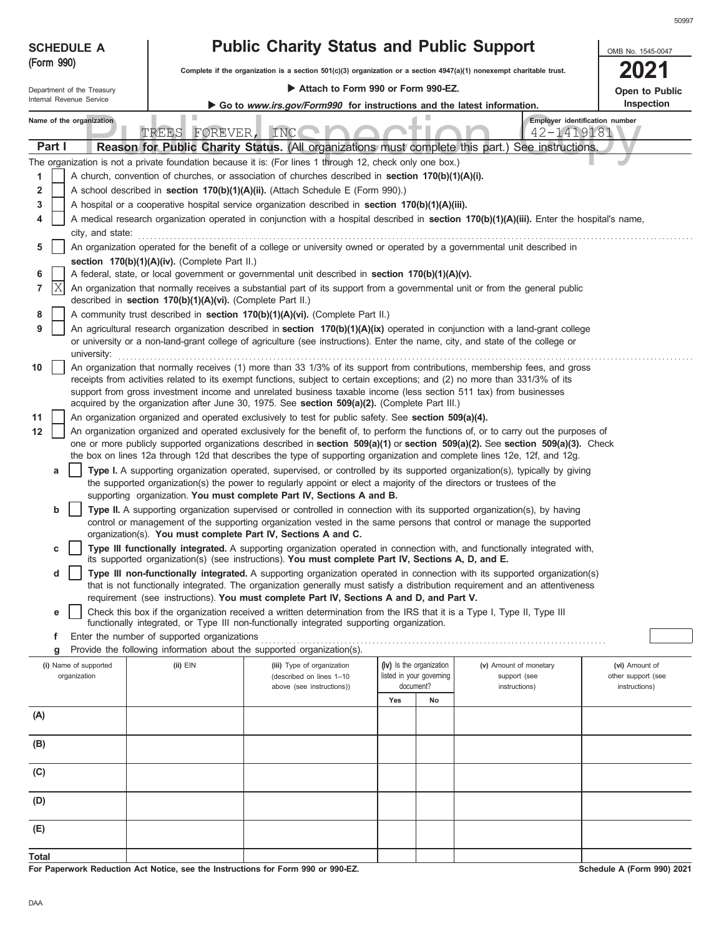| <b>SCHEDULE A</b>                     |                                                            | <b>Public Charity Status and Public Support</b>                                                                                                                                                                                  |                                                                        |                                                                                                                                            | OMB No. 1545-0047                    |  |  |  |
|---------------------------------------|------------------------------------------------------------|----------------------------------------------------------------------------------------------------------------------------------------------------------------------------------------------------------------------------------|------------------------------------------------------------------------|--------------------------------------------------------------------------------------------------------------------------------------------|--------------------------------------|--|--|--|
| (Form 990)                            |                                                            | Complete if the organization is a section $501(c)(3)$ organization or a section $4947(a)(1)$ nonexempt charitable trust.                                                                                                         |                                                                        |                                                                                                                                            |                                      |  |  |  |
| Department of the Treasury            |                                                            | Attach to Form 990 or Form 990-EZ.                                                                                                                                                                                               |                                                                        |                                                                                                                                            | Open to Public                       |  |  |  |
| Internal Revenue Service              |                                                            |                                                                                                                                                                                                                                  | Go to www.irs.gov/Form990 for instructions and the latest information. |                                                                                                                                            |                                      |  |  |  |
| Name of the organization              | TREES FOREVER, INC                                         |                                                                                                                                                                                                                                  |                                                                        | Employer identification number<br>42-1419181                                                                                               |                                      |  |  |  |
| Part I                                |                                                            |                                                                                                                                                                                                                                  |                                                                        | Reason for Public Charity Status. (All organizations must complete this part.) See instructions.                                           |                                      |  |  |  |
|                                       |                                                            | The organization is not a private foundation because it is: (For lines 1 through 12, check only one box.)                                                                                                                        |                                                                        |                                                                                                                                            |                                      |  |  |  |
| 1                                     |                                                            | A church, convention of churches, or association of churches described in <b>section 170(b)(1)(A)(i).</b>                                                                                                                        |                                                                        |                                                                                                                                            |                                      |  |  |  |
| 2<br>3                                |                                                            | A school described in section 170(b)(1)(A)(ii). (Attach Schedule E (Form 990).)<br>A hospital or a cooperative hospital service organization described in section 170(b)(1)(A)(iii).                                             |                                                                        |                                                                                                                                            |                                      |  |  |  |
| 4                                     |                                                            |                                                                                                                                                                                                                                  |                                                                        | A medical research organization operated in conjunction with a hospital described in section 170(b)(1)(A)(iii). Enter the hospital's name, |                                      |  |  |  |
| city, and state:                      |                                                            |                                                                                                                                                                                                                                  |                                                                        |                                                                                                                                            |                                      |  |  |  |
| 5                                     |                                                            | An organization operated for the benefit of a college or university owned or operated by a governmental unit described in                                                                                                        |                                                                        |                                                                                                                                            |                                      |  |  |  |
|                                       | section 170(b)(1)(A)(iv). (Complete Part II.)              |                                                                                                                                                                                                                                  |                                                                        |                                                                                                                                            |                                      |  |  |  |
| 6<br>ΙX<br>7                          |                                                            | A federal, state, or local government or governmental unit described in section 170(b)(1)(A)(v).<br>An organization that normally receives a substantial part of its support from a governmental unit or from the general public |                                                                        |                                                                                                                                            |                                      |  |  |  |
|                                       | described in section 170(b)(1)(A)(vi). (Complete Part II.) |                                                                                                                                                                                                                                  |                                                                        |                                                                                                                                            |                                      |  |  |  |
| 8                                     |                                                            | A community trust described in section 170(b)(1)(A)(vi). (Complete Part II.)                                                                                                                                                     |                                                                        |                                                                                                                                            |                                      |  |  |  |
| 9<br>university:                      |                                                            | or university or a non-land-grant college of agriculture (see instructions). Enter the name, city, and state of the college or                                                                                                   |                                                                        | An agricultural research organization described in section 170(b)(1)(A)(ix) operated in conjunction with a land-grant college              |                                      |  |  |  |
| 10                                    |                                                            |                                                                                                                                                                                                                                  |                                                                        | An organization that normally receives (1) more than 33 1/3% of its support from contributions, membership fees, and gross                 |                                      |  |  |  |
|                                       |                                                            | receipts from activities related to its exempt functions, subject to certain exceptions; and (2) no more than 331/3% of its                                                                                                      |                                                                        |                                                                                                                                            |                                      |  |  |  |
|                                       |                                                            | support from gross investment income and unrelated business taxable income (less section 511 tax) from businesses<br>acquired by the organization after June 30, 1975. See section 509(a)(2). (Complete Part III.)               |                                                                        |                                                                                                                                            |                                      |  |  |  |
| 11                                    |                                                            | An organization organized and operated exclusively to test for public safety. See section 509(a)(4).                                                                                                                             |                                                                        |                                                                                                                                            |                                      |  |  |  |
| 12                                    |                                                            |                                                                                                                                                                                                                                  |                                                                        | An organization organized and operated exclusively for the benefit of, to perform the functions of, or to carry out the purposes of        |                                      |  |  |  |
|                                       |                                                            | the box on lines 12a through 12d that describes the type of supporting organization and complete lines 12e, 12f, and 12g.                                                                                                        |                                                                        | one or more publicly supported organizations described in section 509(a)(1) or section 509(a)(2). See section 509(a)(3). Check             |                                      |  |  |  |
| a                                     |                                                            |                                                                                                                                                                                                                                  |                                                                        | Type I. A supporting organization operated, supervised, or controlled by its supported organization(s), typically by giving                |                                      |  |  |  |
|                                       |                                                            | the supported organization(s) the power to regularly appoint or elect a majority of the directors or trustees of the                                                                                                             |                                                                        |                                                                                                                                            |                                      |  |  |  |
|                                       |                                                            | supporting organization. You must complete Part IV, Sections A and B.                                                                                                                                                            |                                                                        |                                                                                                                                            |                                      |  |  |  |
| b                                     |                                                            | Type II. A supporting organization supervised or controlled in connection with its supported organization(s), by having                                                                                                          |                                                                        | control or management of the supporting organization vested in the same persons that control or manage the supported                       |                                      |  |  |  |
|                                       |                                                            | organization(s). You must complete Part IV, Sections A and C.                                                                                                                                                                    |                                                                        |                                                                                                                                            |                                      |  |  |  |
| c                                     |                                                            | its supported organization(s) (see instructions). You must complete Part IV, Sections A, D, and E.                                                                                                                               |                                                                        | Type III functionally integrated. A supporting organization operated in connection with, and functionally integrated with,                 |                                      |  |  |  |
| d                                     |                                                            |                                                                                                                                                                                                                                  |                                                                        | Type III non-functionally integrated. A supporting organization operated in connection with its supported organization(s)                  |                                      |  |  |  |
|                                       |                                                            |                                                                                                                                                                                                                                  |                                                                        | that is not functionally integrated. The organization generally must satisfy a distribution requirement and an attentiveness               |                                      |  |  |  |
|                                       |                                                            | requirement (see instructions). You must complete Part IV, Sections A and D, and Part V.                                                                                                                                         |                                                                        |                                                                                                                                            |                                      |  |  |  |
| е                                     |                                                            | Check this box if the organization received a written determination from the IRS that it is a Type I, Type II, Type III<br>functionally integrated, or Type III non-functionally integrated supporting organization.             |                                                                        |                                                                                                                                            |                                      |  |  |  |
| f                                     | Enter the number of supported organizations                |                                                                                                                                                                                                                                  |                                                                        |                                                                                                                                            |                                      |  |  |  |
| g                                     |                                                            | Provide the following information about the supported organization(s).                                                                                                                                                           |                                                                        |                                                                                                                                            |                                      |  |  |  |
| (i) Name of supported<br>organization | $(ii)$ $EIN$                                               | (iii) Type of organization<br>(described on lines 1-10                                                                                                                                                                           | (iv) Is the organization<br>listed in your governing                   | (v) Amount of monetary<br>support (see                                                                                                     | (vi) Amount of<br>other support (see |  |  |  |
|                                       |                                                            | above (see instructions))                                                                                                                                                                                                        | document?                                                              | instructions)                                                                                                                              | instructions)                        |  |  |  |
|                                       |                                                            |                                                                                                                                                                                                                                  | Yes<br>No                                                              |                                                                                                                                            |                                      |  |  |  |
| (A)                                   |                                                            |                                                                                                                                                                                                                                  |                                                                        |                                                                                                                                            |                                      |  |  |  |
| (B)                                   |                                                            |                                                                                                                                                                                                                                  |                                                                        |                                                                                                                                            |                                      |  |  |  |
| (C)                                   |                                                            |                                                                                                                                                                                                                                  |                                                                        |                                                                                                                                            |                                      |  |  |  |
| (D)                                   |                                                            |                                                                                                                                                                                                                                  |                                                                        |                                                                                                                                            |                                      |  |  |  |
|                                       |                                                            |                                                                                                                                                                                                                                  |                                                                        |                                                                                                                                            |                                      |  |  |  |
| (E)                                   |                                                            |                                                                                                                                                                                                                                  |                                                                        |                                                                                                                                            |                                      |  |  |  |
| <b>Total</b>                          |                                                            |                                                                                                                                                                                                                                  |                                                                        |                                                                                                                                            |                                      |  |  |  |

**For Paperwork Reduction Act Notice, see the Instructions for Form 990 or 990-EZ.**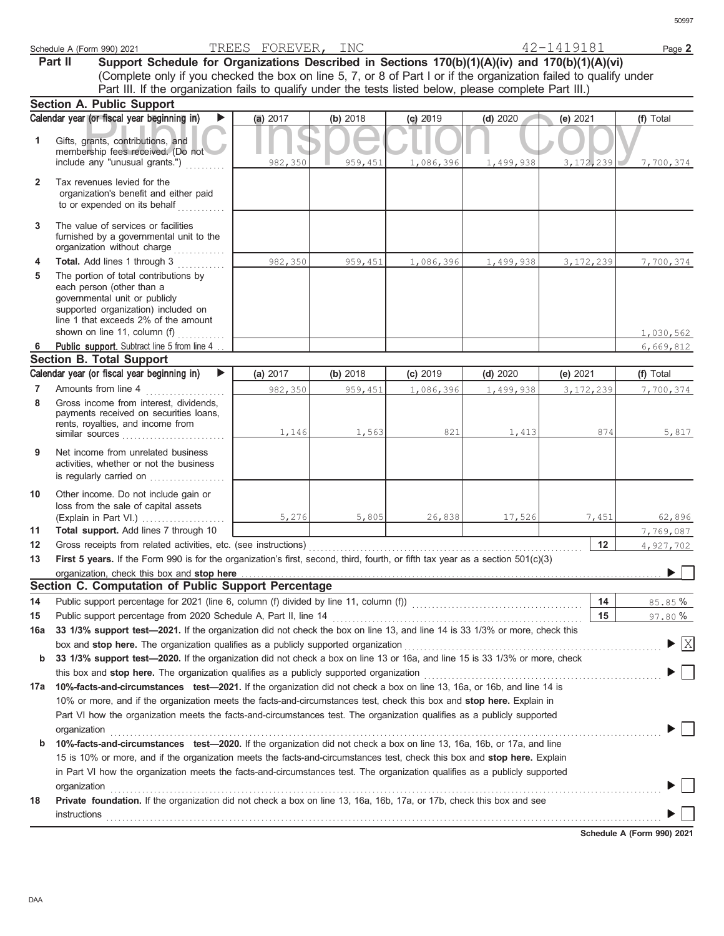|                     | Schedule A (Form 990) 2021                                                                                                                                                                                                                             | TREES FOREVER, INC |          |           |           | 42-1419181  | Page 2                                   |
|---------------------|--------------------------------------------------------------------------------------------------------------------------------------------------------------------------------------------------------------------------------------------------------|--------------------|----------|-----------|-----------|-------------|------------------------------------------|
|                     | Support Schedule for Organizations Described in Sections 170(b)(1)(A)(iv) and 170(b)(1)(A)(vi)<br>Part II                                                                                                                                              |                    |          |           |           |             |                                          |
|                     | (Complete only if you checked the box on line 5, 7, or 8 of Part I or if the organization failed to qualify under                                                                                                                                      |                    |          |           |           |             |                                          |
|                     | Part III. If the organization fails to qualify under the tests listed below, please complete Part III.)                                                                                                                                                |                    |          |           |           |             |                                          |
|                     | <b>Section A. Public Support</b>                                                                                                                                                                                                                       |                    |          |           |           |             |                                          |
|                     | Calendar year (or fiscal year beginning in)<br>▶                                                                                                                                                                                                       | (a) 2017           | (b) 2018 | (c) 2019  | (d) 2020  | (e) $2021$  | (f) Total                                |
| 1                   | Gifts, grants, contributions, and<br>membership fees received. (Do not                                                                                                                                                                                 |                    |          |           |           |             |                                          |
|                     | include any "unusual grants.")                                                                                                                                                                                                                         | 982,350            | 959,451  | 1,086,396 | 1,499,938 | 3, 172, 239 | 7,700,374                                |
| $\mathbf{2}$        | Tax revenues levied for the<br>organization's benefit and either paid<br>to or expended on its behalf                                                                                                                                                  |                    |          |           |           |             |                                          |
| 3                   | The value of services or facilities<br>furnished by a governmental unit to the<br>organization without charge                                                                                                                                          |                    |          |           |           |             |                                          |
| 4                   | Total. Add lines 1 through 3<br>a sa salawa                                                                                                                                                                                                            | 982,350            | 959,451  | 1,086,396 | 1,499,938 | 3, 172, 239 | 7,700,374                                |
| 5                   | The portion of total contributions by<br>each person (other than a<br>governmental unit or publicly<br>supported organization) included on<br>line 1 that exceeds 2% of the amount                                                                     |                    |          |           |           |             |                                          |
|                     | shown on line 11, column (f)                                                                                                                                                                                                                           |                    |          |           |           |             | 1,030,562                                |
| 6                   | Public support. Subtract line 5 from line 4                                                                                                                                                                                                            |                    |          |           |           |             | 6,669,812                                |
|                     | <b>Section B. Total Support</b>                                                                                                                                                                                                                        |                    |          |           |           |             |                                          |
|                     | Calendar year (or fiscal year beginning in)                                                                                                                                                                                                            | (a) 2017           | (b) 2018 | (c) 2019  | (d) 2020  | (e) 2021    | (f) Total                                |
| $\overline{7}$<br>8 | Amounts from line 4<br>Gross income from interest, dividends,<br>payments received on securities loans,<br>rents, royalties, and income from                                                                                                           | 982,350            | 959,451  | 1,086,396 | 1,499,938 | 3, 172, 239 | 7,700,374                                |
| 9                   | similar sources<br>Net income from unrelated business                                                                                                                                                                                                  | 1,146              | 1,563    | 821       | 1,413     | 874         | 5,817                                    |
|                     | activities, whether or not the business<br>is regularly carried on                                                                                                                                                                                     |                    |          |           |           |             |                                          |
| 10                  | Other income. Do not include gain or<br>loss from the sale of capital assets<br>(Explain in Part VI.)                                                                                                                                                  | 5,276              | 5,805    | 26,838    | 17,526    | 7,451       | 62,896                                   |
| 11                  | Total support. Add lines 7 through 10                                                                                                                                                                                                                  |                    |          |           |           |             | 7,769,087                                |
| 12                  | Gross receipts from related activities, etc. (see instructions)                                                                                                                                                                                        |                    |          |           |           | 12          | 4,927,702                                |
| 13                  | First 5 years. If the Form 990 is for the organization's first, second, third, fourth, or fifth tax year as a section 501(c)(3)                                                                                                                        |                    |          |           |           |             |                                          |
|                     | organization, check this box and stop here <b>construction and construction</b> construction of the state of the state of the state of the state of the state of the state of the state of the state of the state of the state of t                    |                    |          |           |           |             | $\blacktriangleright \Box$               |
|                     | Section C. Computation of Public Support Percentage                                                                                                                                                                                                    |                    |          |           |           |             |                                          |
| 14                  |                                                                                                                                                                                                                                                        |                    |          |           |           | 14          | 85.85%                                   |
| 15                  |                                                                                                                                                                                                                                                        |                    |          |           |           | 15          | 97.80%                                   |
| 16a                 | 33 1/3% support test-2021. If the organization did not check the box on line 13, and line 14 is 33 1/3% or more, check this                                                                                                                            |                    |          |           |           |             |                                          |
|                     | box and stop here. The organization qualifies as a publicly supported organization <i>contenameleram contenameleram</i>                                                                                                                                |                    |          |           |           |             | $\blacktriangleright$ $\boxed{\text{X}}$ |
| b                   | 33 1/3% support test-2020. If the organization did not check a box on line 13 or 16a, and line 15 is 33 1/3% or more, check                                                                                                                            |                    |          |           |           |             |                                          |
|                     |                                                                                                                                                                                                                                                        |                    |          |           |           |             |                                          |
|                     | 17a 10%-facts-and-circumstances test-2021. If the organization did not check a box on line 13, 16a, or 16b, and line 14 is                                                                                                                             |                    |          |           |           |             |                                          |
|                     | 10% or more, and if the organization meets the facts-and-circumstances test, check this box and stop here. Explain in                                                                                                                                  |                    |          |           |           |             |                                          |
|                     | Part VI how the organization meets the facts-and-circumstances test. The organization qualifies as a publicly supported                                                                                                                                |                    |          |           |           |             |                                          |
|                     | organization www.community.com/www.community.com/www.community.com/www.community.com/www.community.com/www.com                                                                                                                                         |                    |          |           |           |             |                                          |
| b                   | 10%-facts-and-circumstances test-2020. If the organization did not check a box on line 13, 16a, 16b, or 17a, and line                                                                                                                                  |                    |          |           |           |             |                                          |
|                     | 15 is 10% or more, and if the organization meets the facts-and-circumstances test, check this box and stop here. Explain<br>in Part VI how the organization meets the facts-and-circumstances test. The organization qualifies as a publicly supported |                    |          |           |           |             |                                          |
|                     |                                                                                                                                                                                                                                                        |                    |          |           |           |             |                                          |
| 18                  | organization<br><u>expanization</u><br>Private foundation. If the organization did not check a box on line 13, 16a, 16b, 17a, or 17b, check this box and see                                                                                           |                    |          |           |           |             |                                          |
|                     | <b>instructions</b>                                                                                                                                                                                                                                    |                    |          |           |           |             |                                          |

**Schedule A (Form 990) 2021**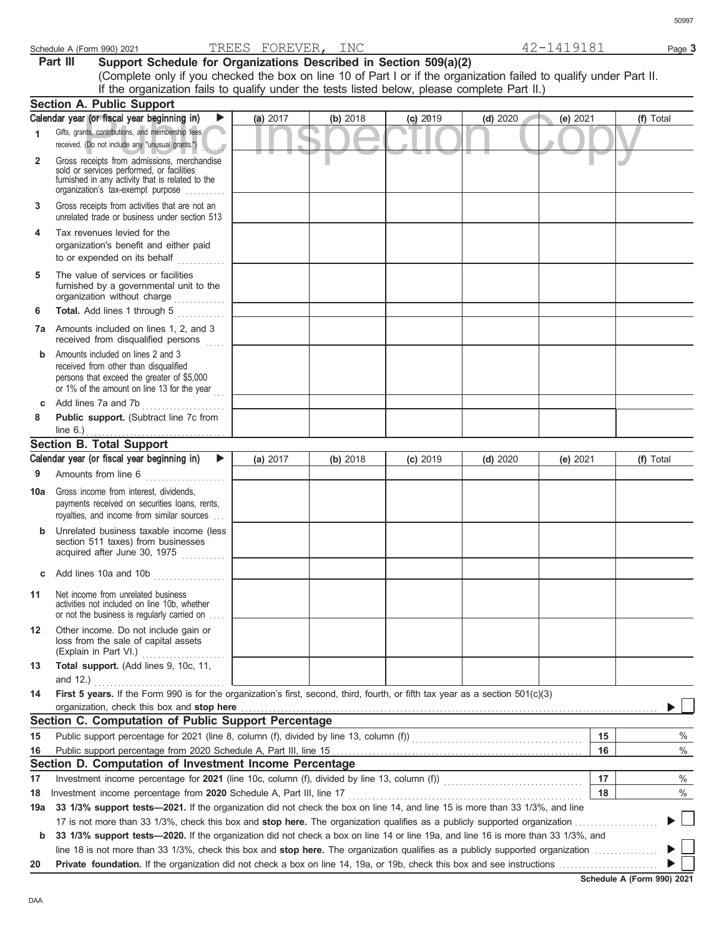| I |
|---|

| INC<br>пn 1<br><b>DH'H'</b><br>$\overline{\phantom{a}}$<br>2021 (990<br>$\prime$<br>Schedule A<br>'L'<br>н.<br>.<br>) K H<br>(Form<br>$\overline{ }$<br>$\sim$<br>ـ ستانا<br>◡∸<br>.<br>$\overline{\phantom{0}}$ | $\overline{\phantom{a}}$<br>Page 5 |  |
|------------------------------------------------------------------------------------------------------------------------------------------------------------------------------------------------------------------|------------------------------------|--|
|------------------------------------------------------------------------------------------------------------------------------------------------------------------------------------------------------------------|------------------------------------|--|

**Part III** Support Schedule for Organizations Described in Section 509(a)(2) (Complete only if you checked the box on line 10 of Part I or if the organization failed to qualify under Part II. If the organization fails to qualify under the tests listed below, please complete Part II.)

|                | <b>Section A. Public Support</b>                                                                                                                                                   |          |          |            |          |          |           |
|----------------|------------------------------------------------------------------------------------------------------------------------------------------------------------------------------------|----------|----------|------------|----------|----------|-----------|
|                | Calendar year (or fiscal year beginning in)<br>▶                                                                                                                                   | (a) 2017 | (b) 2018 | $(c)$ 2019 | (d) 2020 | (e) 2021 | (f) Total |
| 1              | Gifts, grants, contributions, and membership fees<br>received. (Do not include any "unusual grants.")                                                                              |          | ۰        |            |          |          |           |
| $\overline{2}$ | Gross receipts from admissions, merchandise<br>sold or services performed, or facilities<br>furnished in any activity that is related to the<br>organization's tax-exempt purpose  |          |          |            |          |          |           |
| 3              | Gross receipts from activities that are not an<br>unrelated trade or business under section 513                                                                                    |          |          |            |          |          |           |
| 4              | Tax revenues levied for the<br>organization's benefit and either paid<br>to or expended on its behalf                                                                              |          |          |            |          |          |           |
| 5              | The value of services or facilities<br>furnished by a governmental unit to the<br>organization without charge                                                                      |          |          |            |          |          |           |
| 6              | Total. Add lines 1 through 5                                                                                                                                                       |          |          |            |          |          |           |
|                | <b>7a</b> Amounts included on lines 1, 2, and 3<br>received from disqualified persons<br>.                                                                                         |          |          |            |          |          |           |
| $\mathbf b$    | Amounts included on lines 2 and 3<br>received from other than disqualified<br>persons that exceed the greater of \$5,000<br>or 1% of the amount on line 13 for the year            |          |          |            |          |          |           |
| C              | Add lines 7a and 7b<br>.                                                                                                                                                           |          |          |            |          |          |           |
| 8              | Public support. (Subtract line 7c from<br>line 6.)                                                                                                                                 |          |          |            |          |          |           |
|                | <b>Section B. Total Support</b>                                                                                                                                                    |          |          |            |          |          |           |
|                | Calendar year (or fiscal year beginning in)<br>▶                                                                                                                                   | (a) 2017 | (b) 2018 | $(c)$ 2019 | (d) 2020 | (e) 2021 | (f) Total |
| 9              | Amounts from line 6<br>.                                                                                                                                                           |          |          |            |          |          |           |
| 10a            | Gross income from interest, dividends,<br>payments received on securities loans, rents,<br>royalties, and income from similar sources                                              |          |          |            |          |          |           |
| b              | Unrelated business taxable income (less<br>section 511 taxes) from businesses<br>acquired after June 30, 1975                                                                      |          |          |            |          |          |           |
|                | c Add lines 10a and 10b $\ldots$                                                                                                                                                   |          |          |            |          |          |           |
| 11             | Net income from unrelated business<br>activities not included on line 10b, whether<br>or not the business is regularly carried on                                                  |          |          |            |          |          |           |
| 12             | Other income. Do not include gain or<br>loss from the sale of capital assets<br>(Explain in Part VI.)                                                                              |          |          |            |          |          |           |
| 13             | Total support. (Add lines 9, 10c, 11,<br>and $12.$ )                                                                                                                               |          |          |            |          |          |           |
| 14             | .<br>First 5 years. If the Form 990 is for the organization's first, second, third, fourth, or fifth tax year as a section 501(c)(3)<br>organization, check this box and stop here |          |          |            |          |          |           |
|                | Section C. Computation of Public Support Percentage                                                                                                                                |          |          |            |          |          |           |
| 15             | Public support percentage for 2021 (line 8, column (f), divided by line 13, column (f)) [[[[[[[[[[[[[[[[[[[[[                                                                      |          |          |            |          | 15       | $\%$      |
| 16             |                                                                                                                                                                                    |          |          |            |          | 16       | $\%$      |
|                | Section D. Computation of Investment Income Percentage                                                                                                                             |          |          |            |          |          |           |
| 17             | Investment income percentage for 2021 (line 10c, column (f), divided by line 13, column (f)) [[[[[[[[[[[[[[[[                                                                      |          |          |            |          | 17       | %         |
| 18             | Investment income percentage from 2020 Schedule A, Part III, line 17                                                                                                               |          |          |            |          | 18       | %         |
| 19a            | 33 1/3% support tests-2021. If the organization did not check the box on line 14, and line 15 is more than 33 1/3%, and line                                                       |          |          |            |          |          |           |
|                | 17 is not more than 33 1/3%, check this box and stop here. The organization qualifies as a publicly supported organization                                                         |          |          |            |          |          | $\Box$    |
| $\mathbf b$    | 33 1/3% support tests-2020. If the organization did not check a box on line 14 or line 19a, and line 16 is more than 33 1/3%, and                                                  |          |          |            |          |          |           |
|                | line 18 is not more than 33 1/3%, check this box and stop here. The organization qualifies as a publicly supported organization                                                    |          |          |            |          |          |           |
| 20             |                                                                                                                                                                                    |          |          |            |          |          |           |

### **Schedule A (Form 990) 2021**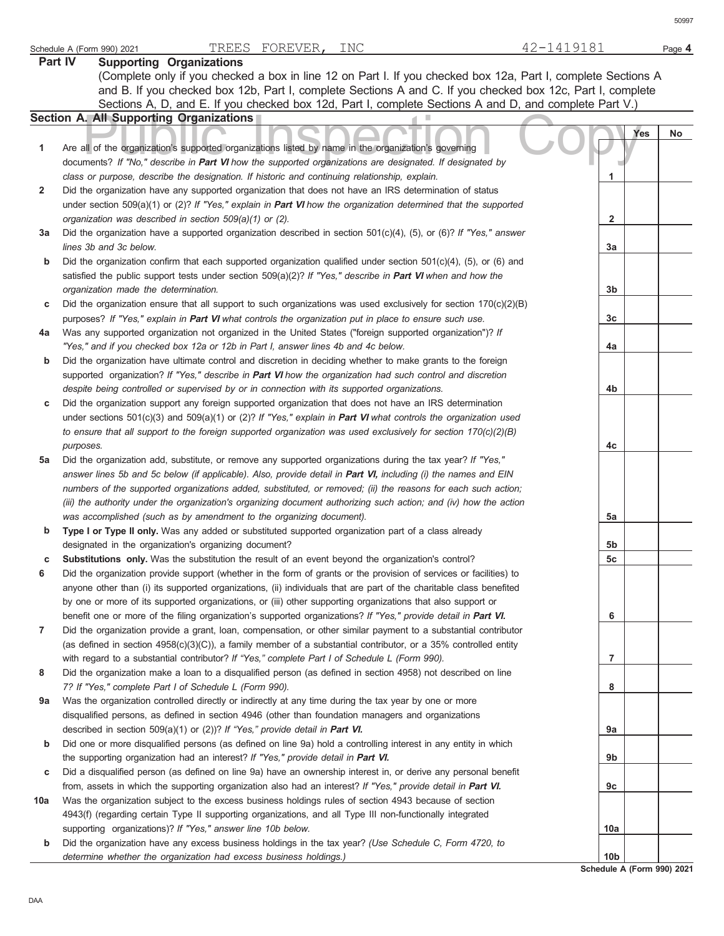| Part IV | <b>Supporting Organizations</b>                                                                                                                                                                                                 |                 |     |    |
|---------|---------------------------------------------------------------------------------------------------------------------------------------------------------------------------------------------------------------------------------|-----------------|-----|----|
|         | (Complete only if you checked a box in line 12 on Part I. If you checked box 12a, Part I, complete Sections A                                                                                                                   |                 |     |    |
|         | and B. If you checked box 12b, Part I, complete Sections A and C. If you checked box 12c, Part I, complete                                                                                                                      |                 |     |    |
|         | Sections A, D, and E. If you checked box 12d, Part I, complete Sections A and D, and complete Part V.)                                                                                                                          |                 |     |    |
|         | <b>Section A. All Supporting Organizations</b>                                                                                                                                                                                  |                 |     |    |
|         |                                                                                                                                                                                                                                 |                 | Yes | No |
| 1       | Are all of the organization's supported organizations listed by name in the organization's governing                                                                                                                            |                 |     |    |
|         | documents? If "No," describe in Part VI how the supported organizations are designated. If designated by                                                                                                                        |                 |     |    |
|         | class or purpose, describe the designation. If historic and continuing relationship, explain.                                                                                                                                   | 1               |     |    |
| 2       | Did the organization have any supported organization that does not have an IRS determination of status                                                                                                                          |                 |     |    |
|         | under section 509(a)(1) or (2)? If "Yes," explain in Part VI how the organization determined that the supported                                                                                                                 |                 |     |    |
|         | organization was described in section 509(a)(1) or (2).                                                                                                                                                                         | 2               |     |    |
| За      | Did the organization have a supported organization described in section $501(c)(4)$ , (5), or (6)? If "Yes," answer                                                                                                             |                 |     |    |
|         | lines 3b and 3c below.                                                                                                                                                                                                          | За              |     |    |
| b       | Did the organization confirm that each supported organization qualified under section $501(c)(4)$ , (5), or (6) and                                                                                                             |                 |     |    |
|         | satisfied the public support tests under section $509(a)(2)?$ If "Yes," describe in <b>Part VI</b> when and how the                                                                                                             |                 |     |    |
|         | organization made the determination.                                                                                                                                                                                            | 3b              |     |    |
| c       | Did the organization ensure that all support to such organizations was used exclusively for section $170(c)(2)(B)$                                                                                                              |                 |     |    |
|         | purposes? If "Yes," explain in Part VI what controls the organization put in place to ensure such use.                                                                                                                          | 3c              |     |    |
| 4a      | Was any supported organization not organized in the United States ("foreign supported organization")? If                                                                                                                        |                 |     |    |
|         | "Yes," and if you checked box 12a or 12b in Part I, answer lines 4b and 4c below.                                                                                                                                               | 4a              |     |    |
| b       | Did the organization have ultimate control and discretion in deciding whether to make grants to the foreign                                                                                                                     |                 |     |    |
|         | supported organization? If "Yes," describe in Part VI how the organization had such control and discretion                                                                                                                      |                 |     |    |
|         | despite being controlled or supervised by or in connection with its supported organizations.                                                                                                                                    | 4b              |     |    |
| c       | Did the organization support any foreign supported organization that does not have an IRS determination                                                                                                                         |                 |     |    |
|         | under sections 501(c)(3) and 509(a)(1) or (2)? If "Yes," explain in Part VI what controls the organization used                                                                                                                 |                 |     |    |
|         | to ensure that all support to the foreign supported organization was used exclusively for section 170(c)(2)(B)                                                                                                                  |                 |     |    |
|         | purposes.                                                                                                                                                                                                                       | 4c              |     |    |
| 5a      | Did the organization add, substitute, or remove any supported organizations during the tax year? If "Yes,"                                                                                                                      |                 |     |    |
|         | answer lines 5b and 5c below (if applicable). Also, provide detail in Part VI, including (i) the names and EIN                                                                                                                  |                 |     |    |
|         | numbers of the supported organizations added, substituted, or removed; (ii) the reasons for each such action;                                                                                                                   |                 |     |    |
|         | (iii) the authority under the organization's organizing document authorizing such action; and (iv) how the action                                                                                                               |                 |     |    |
|         | was accomplished (such as by amendment to the organizing document).                                                                                                                                                             | 5a              |     |    |
| b       | Type I or Type II only. Was any added or substituted supported organization part of a class already                                                                                                                             |                 |     |    |
|         | designated in the organization's organizing document?                                                                                                                                                                           | 5b              |     |    |
| с       | Substitutions only. Was the substitution the result of an event beyond the organization's control?                                                                                                                              | 5 <sub>c</sub>  |     |    |
| 6       | Did the organization provide support (whether in the form of grants or the provision of services or facilities) to                                                                                                              |                 |     |    |
|         | anyone other than (i) its supported organizations, (ii) individuals that are part of the charitable class benefited                                                                                                             |                 |     |    |
|         | by one or more of its supported organizations, or (iii) other supporting organizations that also support or                                                                                                                     |                 |     |    |
|         | benefit one or more of the filing organization's supported organizations? If "Yes," provide detail in Part VI.                                                                                                                  | 6               |     |    |
| 7       | Did the organization provide a grant, loan, compensation, or other similar payment to a substantial contributor                                                                                                                 |                 |     |    |
|         | (as defined in section $4958(c)(3)(C)$ ), a family member of a substantial contributor, or a 35% controlled entity                                                                                                              |                 |     |    |
|         | with regard to a substantial contributor? If "Yes," complete Part I of Schedule L (Form 990).                                                                                                                                   | 7               |     |    |
| 8       | Did the organization make a loan to a disqualified person (as defined in section 4958) not described on line                                                                                                                    |                 |     |    |
|         | 7? If "Yes," complete Part I of Schedule L (Form 990).                                                                                                                                                                          | 8               |     |    |
| 9a      | Was the organization controlled directly or indirectly at any time during the tax year by one or more                                                                                                                           |                 |     |    |
|         | disqualified persons, as defined in section 4946 (other than foundation managers and organizations                                                                                                                              |                 |     |    |
|         | described in section 509(a)(1) or (2))? If "Yes," provide detail in Part VI.                                                                                                                                                    | 9а              |     |    |
| b       | Did one or more disqualified persons (as defined on line 9a) hold a controlling interest in any entity in which                                                                                                                 |                 |     |    |
|         | the supporting organization had an interest? If "Yes," provide detail in Part VI.                                                                                                                                               | 9b              |     |    |
| c       | Did a disqualified person (as defined on line 9a) have an ownership interest in, or derive any personal benefit<br>from, assets in which the supporting organization also had an interest? If "Yes," provide detail in Part VI. | 9c              |     |    |
| 10a     | Was the organization subject to the excess business holdings rules of section 4943 because of section                                                                                                                           |                 |     |    |
|         | 4943(f) (regarding certain Type II supporting organizations, and all Type III non-functionally integrated                                                                                                                       |                 |     |    |
|         | supporting organizations)? If "Yes," answer line 10b below.                                                                                                                                                                     | 10a             |     |    |
| b       | Did the organization have any excess business holdings in the tax year? (Use Schedule C, Form 4720, to                                                                                                                          |                 |     |    |
|         | determine whether the organization had excess business holdings.)                                                                                                                                                               | 10 <sub>b</sub> |     |    |
|         |                                                                                                                                                                                                                                 |                 |     |    |

**Schedule A (Form 990) 2021**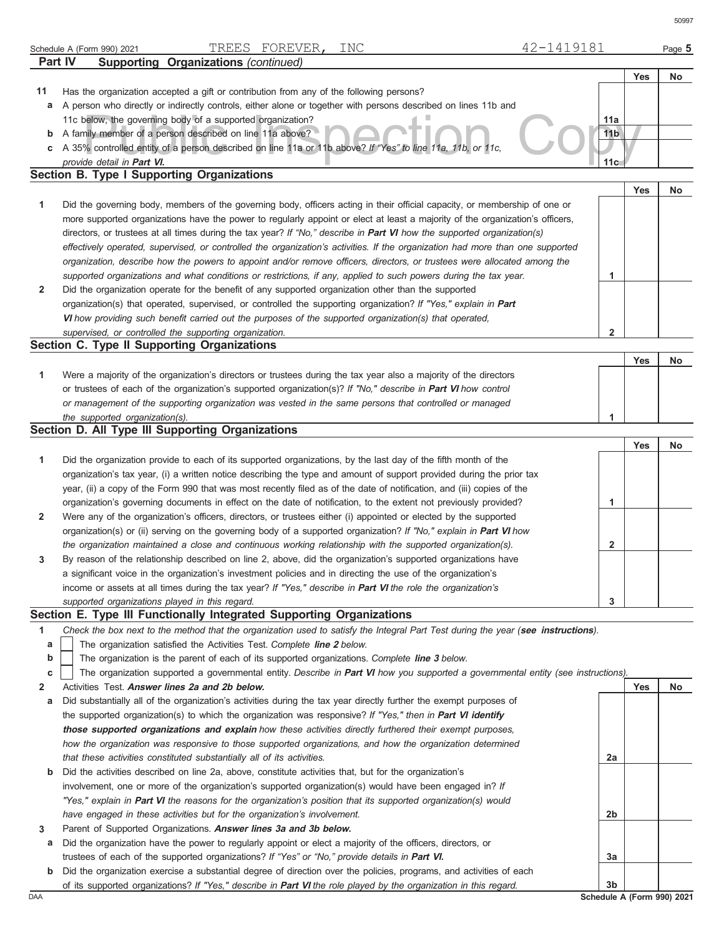|     | Part IV<br><b>Supporting Organizations (continued)</b>                                                                                                                                                                    |                 |            |                            |
|-----|---------------------------------------------------------------------------------------------------------------------------------------------------------------------------------------------------------------------------|-----------------|------------|----------------------------|
|     |                                                                                                                                                                                                                           |                 | Yes        | No                         |
| 11  | Has the organization accepted a gift or contribution from any of the following persons?                                                                                                                                   |                 |            |                            |
|     | a A person who directly or indirectly controls, either alone or together with persons described on lines 11b and                                                                                                          |                 |            |                            |
|     | 11c below, the governing body of a supported organization?                                                                                                                                                                | 11a             |            |                            |
| b   | A family member of a person described on line 11a above?                                                                                                                                                                  | 11 <sub>b</sub> |            |                            |
| c   | A 35% controlled entity of a person described on line 11a or 11b above? If "Yes" to line 11a, 11b, or 11c,                                                                                                                |                 |            |                            |
|     | provide detail in Part VI.                                                                                                                                                                                                | 11c             |            |                            |
|     | <b>Section B. Type I Supporting Organizations</b>                                                                                                                                                                         |                 |            |                            |
|     |                                                                                                                                                                                                                           |                 | <b>Yes</b> | No                         |
| 1   | Did the governing body, members of the governing body, officers acting in their official capacity, or membership of one or                                                                                                |                 |            |                            |
|     | more supported organizations have the power to regularly appoint or elect at least a majority of the organization's officers,                                                                                             |                 |            |                            |
|     | directors, or trustees at all times during the tax year? If "No," describe in Part VI how the supported organization(s)                                                                                                   |                 |            |                            |
|     | effectively operated, supervised, or controlled the organization's activities. If the organization had more than one supported                                                                                            |                 |            |                            |
|     | organization, describe how the powers to appoint and/or remove officers, directors, or trustees were allocated among the                                                                                                  |                 |            |                            |
|     | supported organizations and what conditions or restrictions, if any, applied to such powers during the tax year.                                                                                                          | 1               |            |                            |
| 2   | Did the organization operate for the benefit of any supported organization other than the supported                                                                                                                       |                 |            |                            |
|     |                                                                                                                                                                                                                           |                 |            |                            |
|     | organization(s) that operated, supervised, or controlled the supporting organization? If "Yes," explain in Part<br>VI how providing such benefit carried out the purposes of the supported organization(s) that operated. |                 |            |                            |
|     |                                                                                                                                                                                                                           |                 |            |                            |
|     | supervised, or controlled the supporting organization.                                                                                                                                                                    | $\overline{2}$  |            |                            |
|     | Section C. Type II Supporting Organizations                                                                                                                                                                               |                 |            |                            |
|     |                                                                                                                                                                                                                           |                 | Yes        | No                         |
| 1   | Were a majority of the organization's directors or trustees during the tax year also a majority of the directors                                                                                                          |                 |            |                            |
|     | or trustees of each of the organization's supported organization(s)? If "No," describe in Part VI how control                                                                                                             |                 |            |                            |
|     | or management of the supporting organization was vested in the same persons that controlled or managed                                                                                                                    |                 |            |                            |
|     | the supported organization(s).                                                                                                                                                                                            | 1               |            |                            |
|     | Section D. All Type III Supporting Organizations                                                                                                                                                                          |                 |            |                            |
|     |                                                                                                                                                                                                                           |                 | <b>Yes</b> | No                         |
| 1   | Did the organization provide to each of its supported organizations, by the last day of the fifth month of the                                                                                                            |                 |            |                            |
|     | organization's tax year, (i) a written notice describing the type and amount of support provided during the prior tax                                                                                                     |                 |            |                            |
|     | year, (ii) a copy of the Form 990 that was most recently filed as of the date of notification, and (iii) copies of the                                                                                                    |                 |            |                            |
|     | organization's governing documents in effect on the date of notification, to the extent not previously provided?                                                                                                          | 1               |            |                            |
| 2   | Were any of the organization's officers, directors, or trustees either (i) appointed or elected by the supported                                                                                                          |                 |            |                            |
|     | organization(s) or (ii) serving on the governing body of a supported organization? If "No," explain in Part VI how                                                                                                        |                 |            |                            |
|     | the organization maintained a close and continuous working relationship with the supported organization(s).                                                                                                               | 2               |            |                            |
| 3   | By reason of the relationship described on line 2, above, did the organization's supported organizations have                                                                                                             |                 |            |                            |
|     | a significant voice in the organization's investment policies and in directing the use of the organization's                                                                                                              |                 |            |                            |
|     | income or assets at all times during the tax year? If "Yes," describe in Part VI the role the organization's                                                                                                              |                 |            |                            |
|     | supported organizations played in this regard.                                                                                                                                                                            | 3               |            |                            |
|     | Section E. Type III Functionally Integrated Supporting Organizations                                                                                                                                                      |                 |            |                            |
| 1   | Check the box next to the method that the organization used to satisfy the Integral Part Test during the year (see instructions).                                                                                         |                 |            |                            |
| a   | The organization satisfied the Activities Test. Complete line 2 below.                                                                                                                                                    |                 |            |                            |
| b   | The organization is the parent of each of its supported organizations. Complete line 3 below.                                                                                                                             |                 |            |                            |
| C   | The organization supported a governmental entity. Describe in Part VI how you supported a governmental entity (see instructions).                                                                                         |                 |            |                            |
| 2   | Activities Test. Answer lines 2a and 2b below.                                                                                                                                                                            |                 | Yes        | No                         |
| а   | Did substantially all of the organization's activities during the tax year directly further the exempt purposes of                                                                                                        |                 |            |                            |
|     | the supported organization(s) to which the organization was responsive? If "Yes," then in Part VI identify                                                                                                                |                 |            |                            |
|     | those supported organizations and explain how these activities directly furthered their exempt purposes,                                                                                                                  |                 |            |                            |
|     | how the organization was responsive to those supported organizations, and how the organization determined                                                                                                                 |                 |            |                            |
|     | that these activities constituted substantially all of its activities.                                                                                                                                                    | 2a              |            |                            |
| b   | Did the activities described on line 2a, above, constitute activities that, but for the organization's                                                                                                                    |                 |            |                            |
|     | involvement, one or more of the organization's supported organization(s) would have been engaged in? If                                                                                                                   |                 |            |                            |
|     | "Yes," explain in Part VI the reasons for the organization's position that its supported organization(s) would                                                                                                            |                 |            |                            |
|     | have engaged in these activities but for the organization's involvement.                                                                                                                                                  | 2b              |            |                            |
| 3   | Parent of Supported Organizations. Answer lines 3a and 3b below.                                                                                                                                                          |                 |            |                            |
| а   | Did the organization have the power to regularly appoint or elect a majority of the officers, directors, or                                                                                                               |                 |            |                            |
|     | trustees of each of the supported organizations? If "Yes" or "No," provide details in Part VI.                                                                                                                            | За              |            |                            |
| b   |                                                                                                                                                                                                                           |                 |            |                            |
|     | Did the organization exercise a substantial degree of direction over the policies, programs, and activities of each                                                                                                       | 3b              |            |                            |
| DAA | of its supported organizations? If "Yes," describe in Part VI the role played by the organization in this regard.                                                                                                         |                 |            | Schedule A (Form 990) 2021 |
|     |                                                                                                                                                                                                                           |                 |            |                            |

Schedule A (Form 990) 2021 Page **5** TREES FOREVER, INC 42-1419181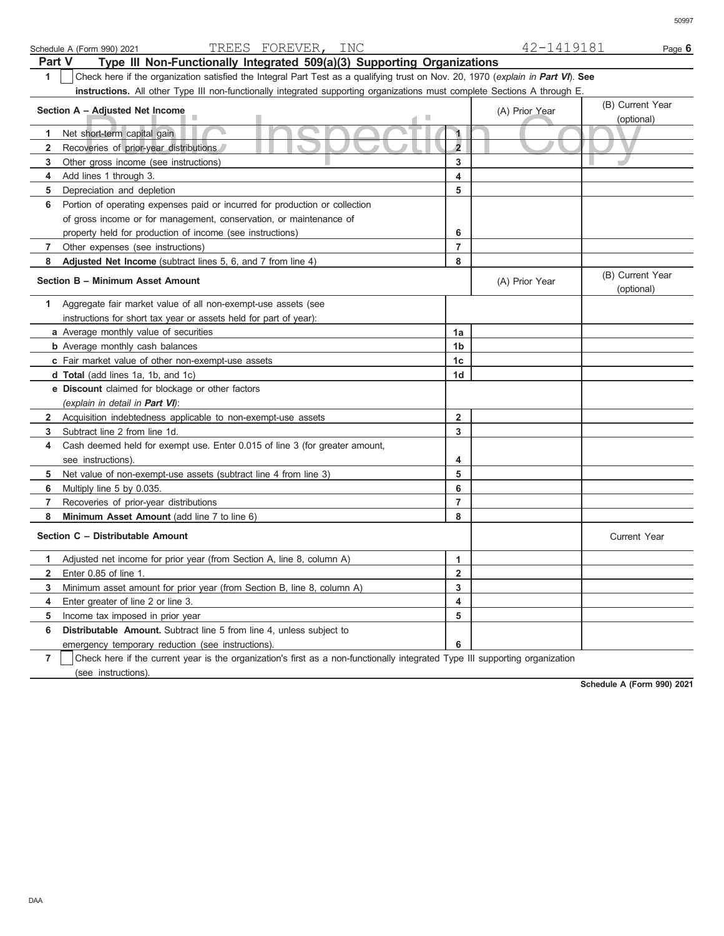|                | TREES FOREVER, INC<br>Schedule A (Form 990) 2021                                                                                 |                         | 42-1419181     | Page 6                         |
|----------------|----------------------------------------------------------------------------------------------------------------------------------|-------------------------|----------------|--------------------------------|
| <b>Part V</b>  | Type III Non-Functionally Integrated 509(a)(3) Supporting Organizations                                                          |                         |                |                                |
| $\mathbf{1}$   | Check here if the organization satisfied the Integral Part Test as a qualifying trust on Nov. 20, 1970 (explain in Part VI). See |                         |                |                                |
|                | instructions. All other Type III non-functionally integrated supporting organizations must complete Sections A through E.        |                         |                |                                |
|                |                                                                                                                                  |                         |                | (B) Current Year               |
|                | Section A - Adjusted Net Income                                                                                                  |                         | (A) Prior Year | (optional)                     |
| 1              | Net short-term capital gain                                                                                                      | $\mathbf{1}$            |                |                                |
| $\mathbf{2}$   | Recoveries of prior-year distributions                                                                                           | $\overline{2}$          |                |                                |
| 3              | Other gross income (see instructions)                                                                                            | 3                       |                |                                |
| 4              | Add lines 1 through 3.                                                                                                           | 4                       |                |                                |
| 5              | Depreciation and depletion                                                                                                       | 5                       |                |                                |
| 6              | Portion of operating expenses paid or incurred for production or collection                                                      |                         |                |                                |
|                | of gross income or for management, conservation, or maintenance of                                                               |                         |                |                                |
|                | property held for production of income (see instructions)                                                                        | 6                       |                |                                |
| 7              | Other expenses (see instructions)                                                                                                | $\overline{7}$          |                |                                |
| 8              | Adjusted Net Income (subtract lines 5, 6, and 7 from line 4)                                                                     | 8                       |                |                                |
|                | Section B - Minimum Asset Amount                                                                                                 |                         | (A) Prior Year | (B) Current Year<br>(optional) |
| 1              | Aggregate fair market value of all non-exempt-use assets (see                                                                    |                         |                |                                |
|                | instructions for short tax year or assets held for part of year):                                                                |                         |                |                                |
|                | a Average monthly value of securities                                                                                            | 1a                      |                |                                |
|                | <b>b</b> Average monthly cash balances                                                                                           | 1b                      |                |                                |
|                | c Fair market value of other non-exempt-use assets                                                                               | 1 <sub>c</sub>          |                |                                |
|                | d Total (add lines 1a, 1b, and 1c)                                                                                               | 1d                      |                |                                |
|                | e Discount claimed for blockage or other factors                                                                                 |                         |                |                                |
|                | (explain in detail in <b>Part VI</b> ):                                                                                          |                         |                |                                |
| $\mathbf{2}$   | Acquisition indebtedness applicable to non-exempt-use assets                                                                     | $\overline{\mathbf{2}}$ |                |                                |
| 3              | Subtract line 2 from line 1d.                                                                                                    | 3                       |                |                                |
| 4              | Cash deemed held for exempt use. Enter 0.015 of line 3 (for greater amount,                                                      |                         |                |                                |
|                | see instructions).                                                                                                               | 4                       |                |                                |
| 5              | Net value of non-exempt-use assets (subtract line 4 from line 3)                                                                 | 5                       |                |                                |
| 6              | Multiply line 5 by 0.035.                                                                                                        | 6                       |                |                                |
| 7              | Recoveries of prior-year distributions                                                                                           | $\overline{7}$          |                |                                |
| 8              | Minimum Asset Amount (add line 7 to line 6)                                                                                      | 8                       |                |                                |
|                | Section C - Distributable Amount                                                                                                 |                         |                | <b>Current Year</b>            |
| 1.             | Adjusted net income for prior year (from Section A, line 8, column A)                                                            | 1                       |                |                                |
| 2              | Enter 0.85 of line 1.                                                                                                            | 2                       |                |                                |
| 3              | Minimum asset amount for prior year (from Section B, line 8, column A)                                                           | 3                       |                |                                |
| 4              | Enter greater of line 2 or line 3.                                                                                               | 4                       |                |                                |
| 5              | Income tax imposed in prior year                                                                                                 | 5                       |                |                                |
| 6              | Distributable Amount. Subtract line 5 from line 4, unless subject to                                                             |                         |                |                                |
|                | emergency temporary reduction (see instructions).                                                                                | 6                       |                |                                |
| $\overline{7}$ | Check here if the current year is the organization's first as a non-functionally integrated Type III supporting organization     |                         |                |                                |

(see instructions).

**Schedule A (Form 990) 2021**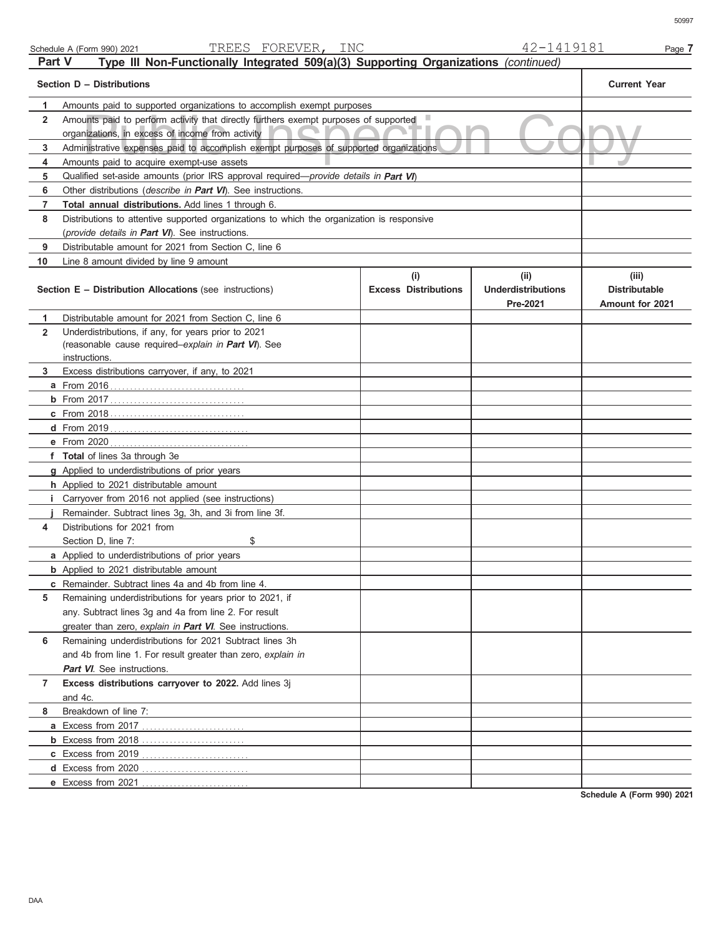| Schedule A (Form 990) 2021 |  |  |
|----------------------------|--|--|
|----------------------------|--|--|

|                | TREES FOREVER, INC<br>Schedule A (Form 990) 2021                                           |                                    | 42-1419181                                    | Page 7                                                  |
|----------------|--------------------------------------------------------------------------------------------|------------------------------------|-----------------------------------------------|---------------------------------------------------------|
| <b>Part V</b>  | Type III Non-Functionally Integrated 509(a)(3) Supporting Organizations (continued)        |                                    |                                               |                                                         |
|                | Section D - Distributions                                                                  |                                    |                                               | <b>Current Year</b>                                     |
| 1              | Amounts paid to supported organizations to accomplish exempt purposes                      |                                    |                                               |                                                         |
| $\overline{2}$ | Amounts paid to perform activity that directly furthers exempt purposes of supported       |                                    |                                               |                                                         |
|                | organizations, in excess of income from activity                                           |                                    |                                               |                                                         |
| 3              | Administrative expenses paid to accomplish exempt purposes of supported organizations      |                                    |                                               |                                                         |
| 4              | Amounts paid to acquire exempt-use assets                                                  |                                    |                                               |                                                         |
| 5              | Qualified set-aside amounts (prior IRS approval required—provide details in Part VI)       |                                    |                                               |                                                         |
| 6              | Other distributions (describe in Part VI). See instructions.                               |                                    |                                               |                                                         |
| 7              | Total annual distributions. Add lines 1 through 6.                                         |                                    |                                               |                                                         |
| 8              | Distributions to attentive supported organizations to which the organization is responsive |                                    |                                               |                                                         |
|                | (provide details in Part VI). See instructions.                                            |                                    |                                               |                                                         |
| 9              | Distributable amount for 2021 from Section C, line 6                                       |                                    |                                               |                                                         |
| 10             | Line 8 amount divided by line 9 amount                                                     |                                    |                                               |                                                         |
|                | Section E - Distribution Allocations (see instructions)                                    | (i)<br><b>Excess Distributions</b> | (ii)<br><b>Underdistributions</b><br>Pre-2021 | (iii)<br><b>Distributable</b><br><b>Amount for 2021</b> |
| 1              | Distributable amount for 2021 from Section C, line 6                                       |                                    |                                               |                                                         |
| $\overline{2}$ | Underdistributions, if any, for years prior to 2021                                        |                                    |                                               |                                                         |
|                | (reasonable cause required-explain in Part VI). See                                        |                                    |                                               |                                                         |
| 3              | instructions.<br>Excess distributions carryover, if any, to 2021                           |                                    |                                               |                                                         |
|                | <b>a</b> From 2016                                                                         |                                    |                                               |                                                         |
|                |                                                                                            |                                    |                                               |                                                         |
|                |                                                                                            |                                    |                                               |                                                         |
|                |                                                                                            |                                    |                                               |                                                         |
|                | e From 2020                                                                                |                                    |                                               |                                                         |
|                | f Total of lines 3a through 3e                                                             |                                    |                                               |                                                         |
|                | g Applied to underdistributions of prior years                                             |                                    |                                               |                                                         |
|                | h Applied to 2021 distributable amount                                                     |                                    |                                               |                                                         |
|                | <i>i</i> Carryover from 2016 not applied (see instructions)                                |                                    |                                               |                                                         |
|                | Remainder. Subtract lines 3g, 3h, and 3i from line 3f.                                     |                                    |                                               |                                                         |
| 4              | Distributions for 2021 from                                                                |                                    |                                               |                                                         |
|                | Section D, line 7:<br>\$                                                                   |                                    |                                               |                                                         |
|                | a Applied to underdistributions of prior years                                             |                                    |                                               |                                                         |
|                | <b>b</b> Applied to 2021 distributable amount                                              |                                    |                                               |                                                         |
|                | c Remainder. Subtract lines 4a and 4b from line 4.                                         |                                    |                                               |                                                         |
| 5              | Remaining underdistributions for years prior to 2021, if                                   |                                    |                                               |                                                         |
|                | any. Subtract lines 3g and 4a from line 2. For result                                      |                                    |                                               |                                                         |
|                | greater than zero, explain in Part VI. See instructions.                                   |                                    |                                               |                                                         |
| 6              | Remaining underdistributions for 2021 Subtract lines 3h                                    |                                    |                                               |                                                         |
|                | and 4b from line 1. For result greater than zero, explain in                               |                                    |                                               |                                                         |
|                | <b>Part VI</b> . See instructions.                                                         |                                    |                                               |                                                         |
| 7              | Excess distributions carryover to 2022. Add lines 3j                                       |                                    |                                               |                                                         |
|                | and 4c.                                                                                    |                                    |                                               |                                                         |
| 8              | Breakdown of line 7:                                                                       |                                    |                                               |                                                         |
|                |                                                                                            |                                    |                                               |                                                         |
|                | <b>b</b> Excess from 2018                                                                  |                                    |                                               |                                                         |
|                | c Excess from 2019                                                                         |                                    |                                               |                                                         |
|                | d Excess from 2020                                                                         |                                    |                                               |                                                         |
|                | e Excess from 2021                                                                         |                                    |                                               | 0.00100                                                 |

**Schedule A (Form 990) 2021**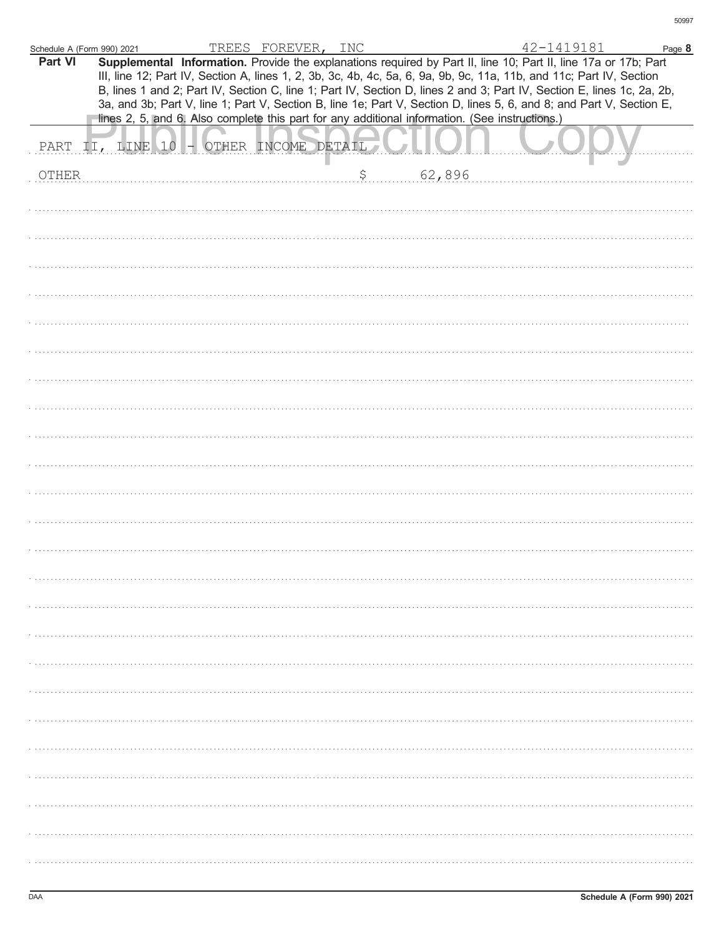| Schedule A (Form 990) 2021<br>Part VI |                  |  | TREES FOREVER, INC    | Supplemental Information. Provide the explanations required by Part II, line 10; Part II, line 17a or 17b; Part<br>III, line 12; Part IV, Section A, lines 1, 2, 3b, 3c, 4b, 4c, 5a, 6, 9a, 9b, 9c, 11a, 11b, and 11c; Part IV, Section<br>B, lines 1 and 2; Part IV, Section C, line 1; Part IV, Section D, lines 2 and 3; Part IV, Section E, lines 1c, 2a, 2b,<br>3a, and 3b; Part V, line 1; Part V, Section B, line 1e; Part V, Section D, lines 5, 6, and 8; and Part V, Section E, | 42-1419181 | Page 8 |
|---------------------------------------|------------------|--|-----------------------|-------------------------------------------------------------------------------------------------------------------------------------------------------------------------------------------------------------------------------------------------------------------------------------------------------------------------------------------------------------------------------------------------------------------------------------------------------------------------------------------|------------|--------|
|                                       |                  |  |                       | lines 2, 5, and 6. Also complete this part for any additional information. (See instructions.)                                                                                                                                                                                                                                                                                                                                                                                            |            |        |
|                                       | PART II, LINE 10 |  | - OTHER INCOME DETAIL |                                                                                                                                                                                                                                                                                                                                                                                                                                                                                           |            |        |
| <b>OTHER</b>                          |                  |  |                       | \$<br>62,896                                                                                                                                                                                                                                                                                                                                                                                                                                                                              |            |        |
|                                       |                  |  |                       |                                                                                                                                                                                                                                                                                                                                                                                                                                                                                           |            |        |
|                                       |                  |  |                       |                                                                                                                                                                                                                                                                                                                                                                                                                                                                                           |            |        |
|                                       |                  |  |                       |                                                                                                                                                                                                                                                                                                                                                                                                                                                                                           |            |        |
|                                       |                  |  |                       |                                                                                                                                                                                                                                                                                                                                                                                                                                                                                           |            |        |
|                                       |                  |  |                       |                                                                                                                                                                                                                                                                                                                                                                                                                                                                                           |            |        |
|                                       |                  |  |                       |                                                                                                                                                                                                                                                                                                                                                                                                                                                                                           |            |        |
|                                       |                  |  |                       |                                                                                                                                                                                                                                                                                                                                                                                                                                                                                           |            |        |
|                                       |                  |  |                       |                                                                                                                                                                                                                                                                                                                                                                                                                                                                                           |            |        |
|                                       |                  |  |                       |                                                                                                                                                                                                                                                                                                                                                                                                                                                                                           |            |        |
|                                       |                  |  |                       |                                                                                                                                                                                                                                                                                                                                                                                                                                                                                           |            |        |
|                                       |                  |  |                       |                                                                                                                                                                                                                                                                                                                                                                                                                                                                                           |            |        |
|                                       |                  |  |                       |                                                                                                                                                                                                                                                                                                                                                                                                                                                                                           |            |        |
|                                       |                  |  |                       |                                                                                                                                                                                                                                                                                                                                                                                                                                                                                           |            |        |
|                                       |                  |  |                       |                                                                                                                                                                                                                                                                                                                                                                                                                                                                                           |            |        |
|                                       |                  |  |                       |                                                                                                                                                                                                                                                                                                                                                                                                                                                                                           |            |        |
|                                       |                  |  |                       |                                                                                                                                                                                                                                                                                                                                                                                                                                                                                           |            |        |
|                                       |                  |  |                       |                                                                                                                                                                                                                                                                                                                                                                                                                                                                                           |            |        |
|                                       |                  |  |                       |                                                                                                                                                                                                                                                                                                                                                                                                                                                                                           |            |        |
|                                       |                  |  |                       |                                                                                                                                                                                                                                                                                                                                                                                                                                                                                           |            |        |
|                                       |                  |  |                       |                                                                                                                                                                                                                                                                                                                                                                                                                                                                                           |            |        |
|                                       |                  |  |                       |                                                                                                                                                                                                                                                                                                                                                                                                                                                                                           |            |        |
|                                       |                  |  |                       |                                                                                                                                                                                                                                                                                                                                                                                                                                                                                           |            |        |
|                                       |                  |  |                       |                                                                                                                                                                                                                                                                                                                                                                                                                                                                                           |            |        |
|                                       |                  |  |                       |                                                                                                                                                                                                                                                                                                                                                                                                                                                                                           |            |        |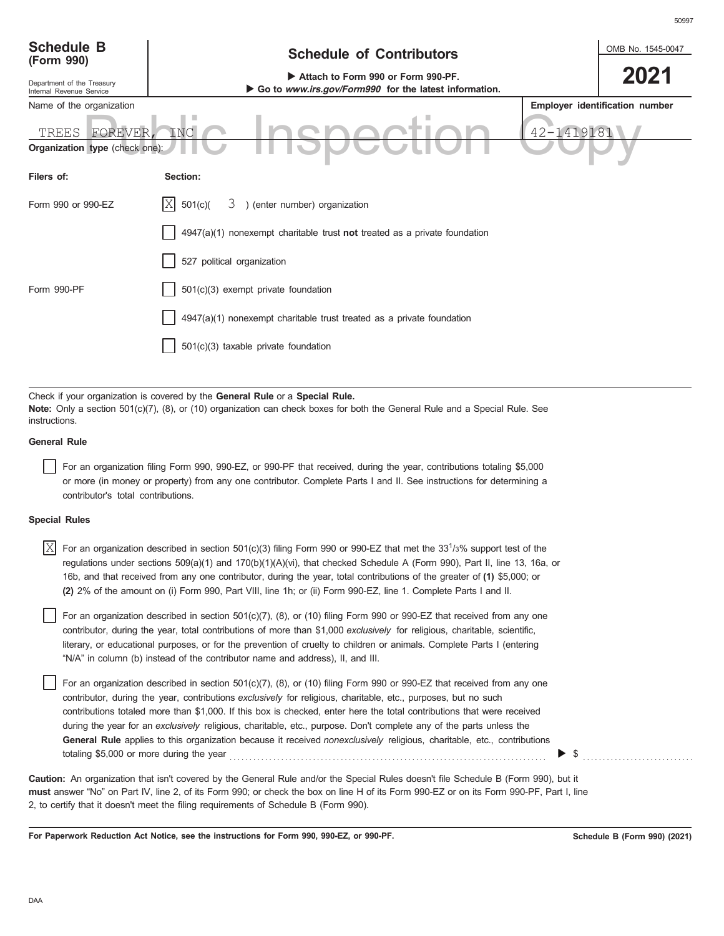| <b>Schedule B</b><br>(Form 990)                                         | <b>Schedule of Contributors</b>                                                             | OMB No. 1545-0047 |                                |  |  |  |
|-------------------------------------------------------------------------|---------------------------------------------------------------------------------------------|-------------------|--------------------------------|--|--|--|
| Department of the Treasury<br>Internal Revenue Service                  | Attach to Form 990 or Form 990-PF.<br>Go to www.irs.gov/Form990 for the latest information. |                   | 2021                           |  |  |  |
| Name of the organization                                                |                                                                                             |                   | Employer identification number |  |  |  |
| 42-1419181<br>TREES<br>FOREVER<br>INC<br>Organization type (check one): |                                                                                             |                   |                                |  |  |  |
| Filers of:                                                              | Section:                                                                                    |                   |                                |  |  |  |
| Form 990 or 990-EZ                                                      | X <br>3 ) (enter number) organization<br>501(c)                                             |                   |                                |  |  |  |
|                                                                         | $4947(a)(1)$ nonexempt charitable trust not treated as a private foundation                 |                   |                                |  |  |  |
|                                                                         | 527 political organization                                                                  |                   |                                |  |  |  |
| Form 990-PF                                                             | 501(c)(3) exempt private foundation                                                         |                   |                                |  |  |  |
|                                                                         | 4947(a)(1) nonexempt charitable trust treated as a private foundation                       |                   |                                |  |  |  |
|                                                                         | 501(c)(3) taxable private foundation                                                        |                   |                                |  |  |  |
|                                                                         |                                                                                             |                   |                                |  |  |  |

Check if your organization is covered by the **General Rule** or a **Special Rule. Note:** Only a section 501(c)(7), (8), or (10) organization can check boxes for both the General Rule and a Special Rule. See instructions.

### **General Rule**

For an organization filing Form 990, 990-EZ, or 990-PF that received, during the year, contributions totaling \$5,000 or more (in money or property) from any one contributor. Complete Parts I and II. See instructions for determining a contributor's total contributions.

#### **Special Rules**

 $\overline{X}$  For an organization described in section 501(c)(3) filing Form 990 or 990-EZ that met the 331/3% support test of the regulations under sections 509(a)(1) and 170(b)(1)(A)(vi), that checked Schedule A (Form 990), Part II, line 13, 16a, or 16b, and that received from any one contributor, during the year, total contributions of the greater of **(1)** \$5,000; or **(2)** 2% of the amount on (i) Form 990, Part VIII, line 1h; or (ii) Form 990-EZ, line 1. Complete Parts I and II.

literary, or educational purposes, or for the prevention of cruelty to children or animals. Complete Parts I (entering For an organization described in section 501(c)(7), (8), or (10) filing Form 990 or 990-EZ that received from any one contributor, during the year, total contributions of more than \$1,000 *exclusively* for religious, charitable, scientific, "N/A" in column (b) instead of the contributor name and address), II, and III.

For an organization described in section 501(c)(7), (8), or (10) filing Form 990 or 990-EZ that received from any one contributor, during the year, contributions *exclusively* for religious, charitable, etc., purposes, but no such contributions totaled more than \$1,000. If this box is checked, enter here the total contributions that were received during the year for an *exclusively* religious, charitable, etc., purpose. Don't complete any of the parts unless the **General Rule** applies to this organization because it received *nonexclusively* religious, charitable, etc., contributions totaling \$5,000 or more during the year . . . . . . . . . . . . . . . . . . . . . . . . . . . . . . . . . . . . . . . . . . . . . . . . . . . . . . . . . . . . . . . . . . . . . . . . . . . . . . . . \$ . . . . . . . . . . . . . . . . . . . . . . . . . . . .

**must** answer "No" on Part IV, line 2, of its Form 990; or check the box on line H of its Form 990-EZ or on its Form 990-PF, Part I, line 2, to certify that it doesn't meet the filing requirements of Schedule B (Form 990). **Caution:** An organization that isn't covered by the General Rule and/or the Special Rules doesn't file Schedule B (Form 990), but it

**For Paperwork Reduction Act Notice, see the instructions for Form 990, 990-EZ, or 990-PF.**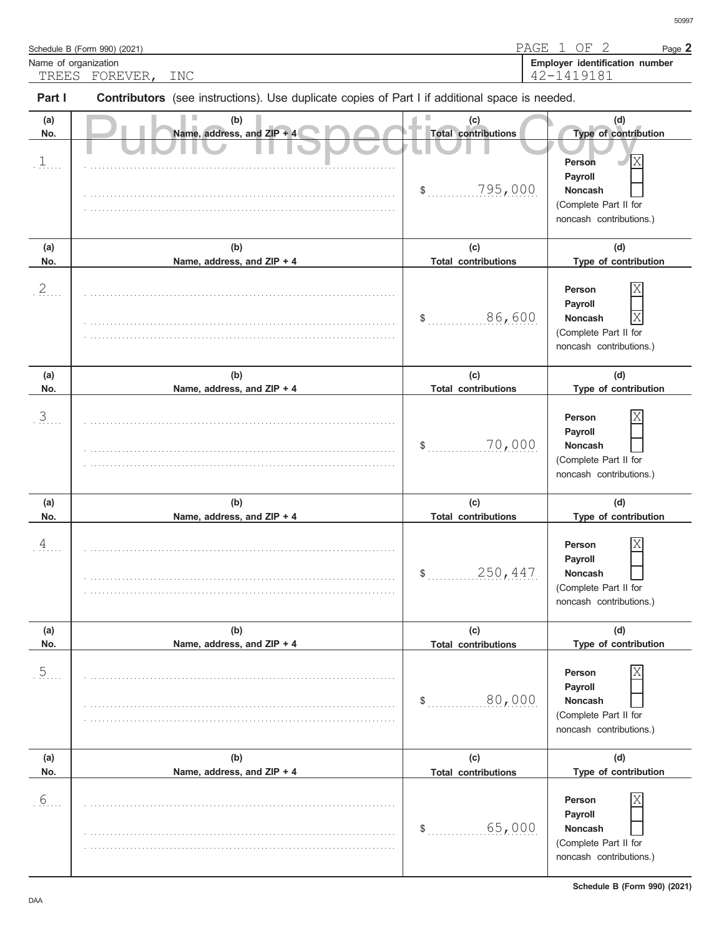| Name of organization           | Schedule B (Form 990) (2021)                                                                                             | PAGE                                               | 2<br>OF<br>1<br>Page 2<br>Employer identification number                                                        |
|--------------------------------|--------------------------------------------------------------------------------------------------------------------------|----------------------------------------------------|-----------------------------------------------------------------------------------------------------------------|
| TREES<br>Part I                | FOREVER,<br><b>INC</b><br>Contributors (see instructions). Use duplicate copies of Part I if additional space is needed. |                                                    | 42-1419181                                                                                                      |
| (a)<br>No.<br>$\overline{a}$ . | (b)<br>Name, address, and ZIP + 4                                                                                        | (c)<br><b>Total contributions</b><br>795,000<br>\$ | (d)<br>Type of contribution<br>Person<br>Payroll<br>Noncash<br>(Complete Part II for<br>noncash contributions.) |
| (a)<br>No.                     | (b)<br>Name, address, and ZIP + 4                                                                                        | (c)<br><b>Total contributions</b>                  | (d)<br>Type of contribution                                                                                     |
| 2.                             |                                                                                                                          | .86, 600<br>\$                                     | Person<br>Payroll<br>Χ<br>Noncash<br>(Complete Part II for<br>noncash contributions.)                           |
| (a)<br>No.                     | (b)<br>Name, address, and ZIP + 4                                                                                        | (c)<br><b>Total contributions</b>                  | (d)<br>Type of contribution                                                                                     |
| $\mathfrak{Z}$                 |                                                                                                                          | 70,000<br>\$                                       | Person<br>Payroll<br><b>Noncash</b><br>(Complete Part II for<br>noncash contributions.)                         |
| (a)<br>No.                     | (b)<br>Name, address, and ZIP + 4                                                                                        | (c)<br><b>Total contributions</b>                  | (d)<br>Type of contribution                                                                                     |
| $\overline{4}$                 |                                                                                                                          | 250, 447<br>$\mathsf{\$}$                          | Person<br>Payroll<br><b>Noncash</b><br>(Complete Part II for<br>noncash contributions.)                         |
| (a)<br>No.                     | (b)<br>Name, address, and ZIP + 4                                                                                        | (c)<br><b>Total contributions</b>                  | (d)<br>Type of contribution                                                                                     |
| 5                              |                                                                                                                          | .80, .000<br>\$                                    | Person<br>Payroll<br><b>Noncash</b><br>(Complete Part II for<br>noncash contributions.)                         |
| (a)<br>No.                     | (b)<br>Name, address, and ZIP + 4                                                                                        | (c)<br><b>Total contributions</b>                  | (d)<br>Type of contribution                                                                                     |
| $6.$ .                         |                                                                                                                          | .65,000<br>\$                                      | Person<br>Payroll<br>Noncash<br>(Complete Part II for<br>noncash contributions.)                                |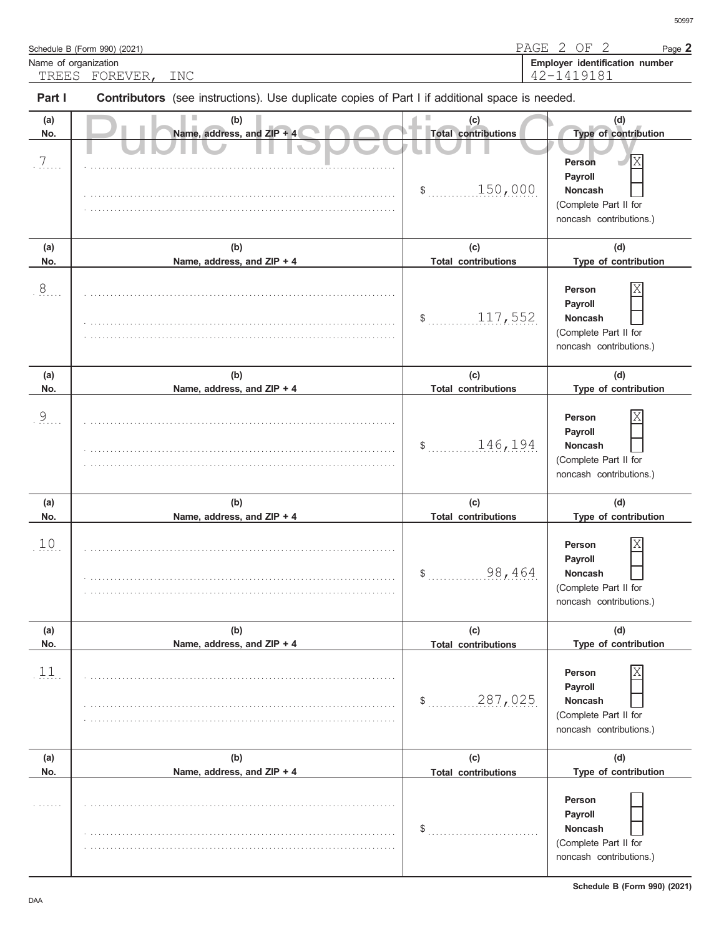| Name of organization | Schedule B (Form 990) (2021)                                                                                                   |                                                    | PAGE 2 OF 2<br>Page 2<br>Employer identification number                                                              |
|----------------------|--------------------------------------------------------------------------------------------------------------------------------|----------------------------------------------------|----------------------------------------------------------------------------------------------------------------------|
| Part I               | TREES FOREVER,<br><b>INC</b><br>Contributors (see instructions). Use duplicate copies of Part I if additional space is needed. |                                                    | 42-1419181                                                                                                           |
| (a)<br>No.<br>7      | (b)<br>Name, address, and ZIP + 4                                                                                              | (c)<br><b>Total contributions</b><br>150,000<br>\$ | (d)<br>Type of contribution<br>Χ<br>Person<br>Payroll<br>Noncash<br>(Complete Part II for<br>noncash contributions.) |
| (a)<br>No.           | (b)<br>Name, address, and ZIP + 4                                                                                              | (c)<br><b>Total contributions</b>                  | (d)<br>Type of contribution                                                                                          |
| $\overline{8}$       |                                                                                                                                | 117,552<br>\$                                      | Person<br>Payroll<br>Noncash<br>(Complete Part II for<br>noncash contributions.)                                     |
| (a)<br>No.           | (b)<br>Name, address, and ZIP + 4                                                                                              | (c)<br><b>Total contributions</b>                  | (d)<br>Type of contribution                                                                                          |
| $\overline{9}$       |                                                                                                                                | 146, 194<br>\$                                     | Person<br>Payroll<br>Noncash<br>(Complete Part II for<br>noncash contributions.)                                     |
| (a)<br>No.           | (b)<br>Name, address, and ZIP + 4                                                                                              | (c)<br><b>Total contributions</b>                  | (d)<br>Type of contribution                                                                                          |
| 10 <sub>1</sub>      |                                                                                                                                | 98,464                                             | IX<br>Person<br>Payroll<br>Noncash<br>(Complete Part II for<br>noncash contributions.)                               |
| (a)<br>No.           | (b)<br>Name, address, and ZIP + 4                                                                                              | (c)<br><b>Total contributions</b>                  | (d)<br>Type of contribution                                                                                          |
| 11.                  |                                                                                                                                | 287,025<br>\$                                      | Person<br>Payroll<br><b>Noncash</b><br>(Complete Part II for<br>noncash contributions.)                              |
| (a)<br>No.           | (b)<br>Name, address, and ZIP + 4                                                                                              | (c)<br><b>Total contributions</b>                  | (d)<br>Type of contribution                                                                                          |
|                      |                                                                                                                                | \$                                                 | Person<br>Payroll<br><b>Noncash</b><br>(Complete Part II for<br>noncash contributions.)                              |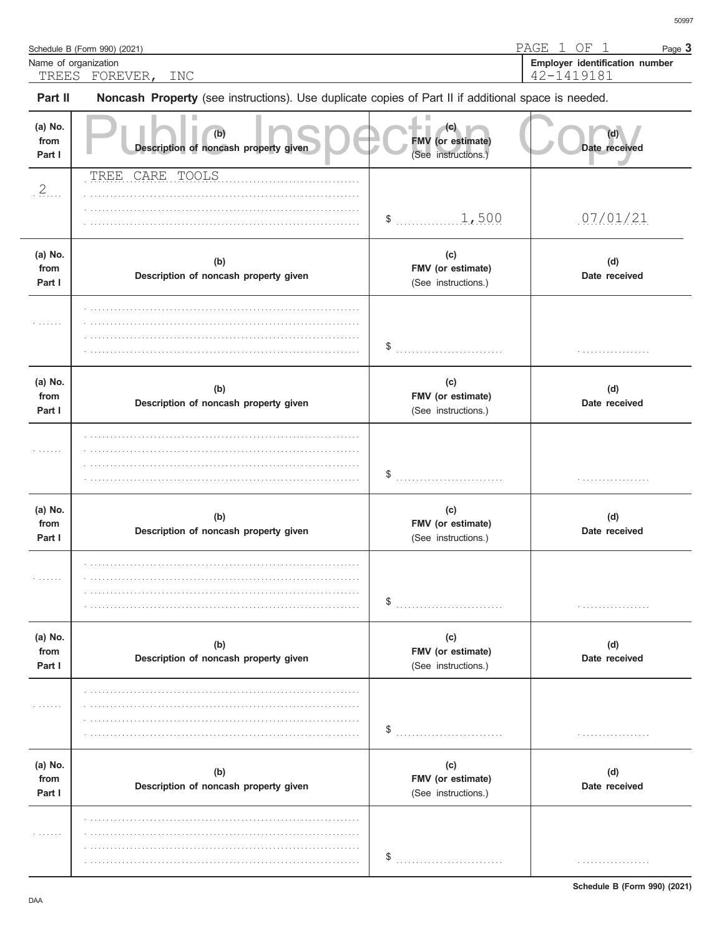| Name of organization<br>TREES | FOREVER,<br><b>INC</b>                                                                              |                                                 | Employer identification number<br>42-1419181 |
|-------------------------------|-----------------------------------------------------------------------------------------------------|-------------------------------------------------|----------------------------------------------|
| Part II                       | Noncash Property (see instructions). Use duplicate copies of Part II if additional space is needed. |                                                 |                                              |
| (a) No.<br>from<br>Part I     | (b)<br>Description of noncash property given                                                        | (C)<br>FMV (or estimate)<br>(See instructions.) | Date received                                |
| .2                            | CARE TOOLS<br><b>TREE</b>                                                                           |                                                 |                                              |
|                               |                                                                                                     | \$1,500                                         | 07/01/21                                     |
| (a) No.<br>from<br>Part I     | (b)<br>Description of noncash property given                                                        | (c)<br>FMV (or estimate)<br>(See instructions.) | (d)<br>Date received                         |
|                               |                                                                                                     |                                                 | .                                            |
| (a) No.<br>from<br>Part I     | (b)<br>Description of noncash property given                                                        | (c)<br>FMV (or estimate)<br>(See instructions.) | (d)<br>Date received                         |
|                               |                                                                                                     |                                                 | .                                            |
| (a) No.<br>from<br>Part I     | (b)<br>Description of noncash property given                                                        | (c)<br>FMV (or estimate)<br>(See instructions.) | (d)<br>Date received                         |
|                               |                                                                                                     | \$                                              | .                                            |
| (a) No.<br>from<br>Part I     | (b)<br>Description of noncash property given                                                        | (c)<br>FMV (or estimate)<br>(See instructions.) | (d)<br>Date received                         |
| .                             |                                                                                                     |                                                 | .                                            |
| (a) No.<br>from<br>Part I     | (b)<br>Description of noncash property given                                                        | (c)<br>FMV (or estimate)<br>(See instructions.) | (d)<br>Date received                         |
| .                             |                                                                                                     |                                                 | .                                            |

Schedule B (Form 990) (2021)

Page 3

PAGE 1 OF 1

Schedule B (Form 990) (2021)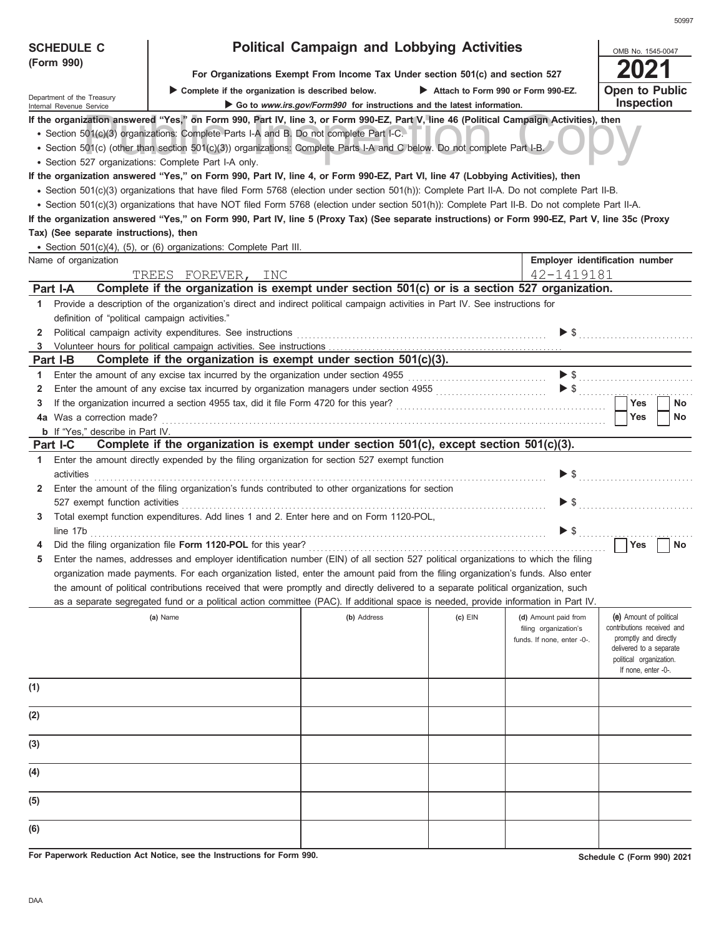| <b>SCHEDULE C</b>                                      |                                                                                                                                                                                                                                | <b>Political Campaign and Lobbying Activities</b>                      |                                    |                              | OMB No. 1545-0047                                   |  |  |
|--------------------------------------------------------|--------------------------------------------------------------------------------------------------------------------------------------------------------------------------------------------------------------------------------|------------------------------------------------------------------------|------------------------------------|------------------------------|-----------------------------------------------------|--|--|
| (Form 990)                                             | For Organizations Exempt From Income Tax Under section 501(c) and section 527                                                                                                                                                  |                                                                        |                                    |                              |                                                     |  |  |
|                                                        | Complete if the organization is described below.                                                                                                                                                                               |                                                                        | Attach to Form 990 or Form 990-EZ. |                              | Open to Public                                      |  |  |
| Department of the Treasury<br>Internal Revenue Service |                                                                                                                                                                                                                                | Go to www.irs.gov/Form990 for instructions and the latest information. |                                    |                              | <b>Inspection</b>                                   |  |  |
|                                                        | If the organization answered "Yes," on Form 990, Part IV, line 3, or Form 990-EZ, Part V, line 46 (Political Campaign Activities), then                                                                                        |                                                                        |                                    |                              |                                                     |  |  |
|                                                        | · Section 501(c)(3) organizations: Complete Parts I-A and B. Do not complete Part I-C.                                                                                                                                         |                                                                        |                                    |                              |                                                     |  |  |
|                                                        | • Section 501(c) (other than section 501(c)(3)) organizations: Complete Parts I-A and C below. Do not complete Part I-B.                                                                                                       |                                                                        |                                    |                              |                                                     |  |  |
| • Section 527 organizations: Complete Part I-A only.   |                                                                                                                                                                                                                                |                                                                        |                                    |                              |                                                     |  |  |
|                                                        | If the organization answered "Yes," on Form 990, Part IV, line 4, or Form 990-EZ, Part VI, line 47 (Lobbying Activities), then                                                                                                 |                                                                        |                                    |                              |                                                     |  |  |
|                                                        | · Section 501(c)(3) organizations that have filed Form 5768 (election under section 501(h)): Complete Part II-A. Do not complete Part II-B.                                                                                    |                                                                        |                                    |                              |                                                     |  |  |
|                                                        | • Section 501(c)(3) organizations that have NOT filed Form 5768 (election under section 501(h)): Complete Part II-B. Do not complete Part II-A.                                                                                |                                                                        |                                    |                              |                                                     |  |  |
|                                                        | If the organization answered "Yes," on Form 990, Part IV, line 5 (Proxy Tax) (See separate instructions) or Form 990-EZ, Part V, line 35c (Proxy                                                                               |                                                                        |                                    |                              |                                                     |  |  |
| Tax) (See separate instructions), then                 |                                                                                                                                                                                                                                |                                                                        |                                    |                              |                                                     |  |  |
|                                                        | • Section 501(c)(4), (5), or (6) organizations: Complete Part III.                                                                                                                                                             |                                                                        |                                    |                              |                                                     |  |  |
| Name of organization                                   |                                                                                                                                                                                                                                |                                                                        |                                    |                              | Employer identification number                      |  |  |
|                                                        | TREES FOREVER, INC                                                                                                                                                                                                             |                                                                        |                                    | 42-1419181                   |                                                     |  |  |
| Part I-A                                               | Complete if the organization is exempt under section 501(c) or is a section 527 organization.                                                                                                                                  |                                                                        |                                    |                              |                                                     |  |  |
| 1.                                                     | Provide a description of the organization's direct and indirect political campaign activities in Part IV. See instructions for                                                                                                 |                                                                        |                                    |                              |                                                     |  |  |
| definition of "political campaign activities."         |                                                                                                                                                                                                                                |                                                                        |                                    |                              |                                                     |  |  |
| 2                                                      | Political campaign activity expenditures. See instructions [11] productions and the control of the control of the control of the control of the control of the control of the control of the control of the control of the con |                                                                        |                                    |                              | $\triangleright$ \$                                 |  |  |
| 3                                                      |                                                                                                                                                                                                                                |                                                                        |                                    |                              |                                                     |  |  |
| Part I-B                                               | Complete if the organization is exempt under section $501(c)(3)$ .                                                                                                                                                             |                                                                        |                                    |                              |                                                     |  |  |
| 1.                                                     | Enter the amount of any excise tax incurred by the organization under section 4955 [[[[[[[[[[[[[[[[[[[[[[[[[[[                                                                                                                 |                                                                        |                                    |                              |                                                     |  |  |
| 2                                                      | Enter the amount of any excise tax incurred by organization managers under section 4955 [[[[[[[[[[[[[[[[[[[[[                                                                                                                  |                                                                        |                                    |                              |                                                     |  |  |
| 3                                                      |                                                                                                                                                                                                                                |                                                                        |                                    |                              | <b>Yes</b><br>No                                    |  |  |
| 4a Was a correction made?                              |                                                                                                                                                                                                                                |                                                                        |                                    |                              | Yes<br>No                                           |  |  |
| <b>b</b> If "Yes," describe in Part IV.                |                                                                                                                                                                                                                                |                                                                        |                                    |                              |                                                     |  |  |
| Part I-C                                               | Complete if the organization is exempt under section 501(c), except section 501(c)(3).                                                                                                                                         |                                                                        |                                    |                              |                                                     |  |  |
| 1.<br>activities                                       | Enter the amount directly expended by the filing organization for section 527 exempt function                                                                                                                                  |                                                                        |                                    |                              |                                                     |  |  |
| 2                                                      | Enter the amount of the filing organization's funds contributed to other organizations for section                                                                                                                             |                                                                        |                                    |                              |                                                     |  |  |
| 527 exempt function activities                         |                                                                                                                                                                                                                                |                                                                        |                                    | $\triangleright$ \$          |                                                     |  |  |
| 3                                                      | Total exempt function expenditures. Add lines 1 and 2. Enter here and on Form 1120-POL,                                                                                                                                        |                                                                        |                                    |                              |                                                     |  |  |
| line 17b                                               |                                                                                                                                                                                                                                |                                                                        |                                    | $\blacktriangleright$ s<br>. |                                                     |  |  |
|                                                        |                                                                                                                                                                                                                                |                                                                        |                                    |                              | <b>Yes</b><br>No                                    |  |  |
|                                                        | Enter the names, addresses and employer identification number (EIN) of all section 527 political organizations to which the filing                                                                                             |                                                                        |                                    |                              |                                                     |  |  |
|                                                        | organization made payments. For each organization listed, enter the amount paid from the filing organization's funds. Also enter                                                                                               |                                                                        |                                    |                              |                                                     |  |  |
|                                                        | the amount of political contributions received that were promptly and directly delivered to a separate political organization, such                                                                                            |                                                                        |                                    |                              |                                                     |  |  |
|                                                        | as a separate segregated fund or a political action committee (PAC). If additional space is needed, provide information in Part IV.                                                                                            |                                                                        |                                    |                              |                                                     |  |  |
|                                                        | (a) Name                                                                                                                                                                                                                       | (b) Address                                                            | $(c)$ EIN                          | (d) Amount paid from         | (e) Amount of political                             |  |  |
|                                                        |                                                                                                                                                                                                                                |                                                                        |                                    | filing organization's        | contributions received and<br>promptly and directly |  |  |
|                                                        |                                                                                                                                                                                                                                |                                                                        |                                    | funds. If none, enter -0-.   | delivered to a separate                             |  |  |
|                                                        |                                                                                                                                                                                                                                |                                                                        |                                    |                              | political organization.                             |  |  |
|                                                        |                                                                                                                                                                                                                                |                                                                        |                                    |                              | If none, enter -0-.                                 |  |  |
| (1)                                                    |                                                                                                                                                                                                                                |                                                                        |                                    |                              |                                                     |  |  |
|                                                        |                                                                                                                                                                                                                                |                                                                        |                                    |                              |                                                     |  |  |
| (2)                                                    |                                                                                                                                                                                                                                |                                                                        |                                    |                              |                                                     |  |  |
|                                                        |                                                                                                                                                                                                                                |                                                                        |                                    |                              |                                                     |  |  |
| (3)                                                    |                                                                                                                                                                                                                                |                                                                        |                                    |                              |                                                     |  |  |
|                                                        |                                                                                                                                                                                                                                |                                                                        |                                    |                              |                                                     |  |  |
| (4)                                                    |                                                                                                                                                                                                                                |                                                                        |                                    |                              |                                                     |  |  |
| (5)                                                    |                                                                                                                                                                                                                                |                                                                        |                                    |                              |                                                     |  |  |
|                                                        |                                                                                                                                                                                                                                |                                                                        |                                    |                              |                                                     |  |  |
| (6)                                                    |                                                                                                                                                                                                                                |                                                                        |                                    |                              |                                                     |  |  |
|                                                        |                                                                                                                                                                                                                                |                                                                        |                                    |                              |                                                     |  |  |

**For Paperwork Reduction Act Notice, see the Instructions for Form 990.**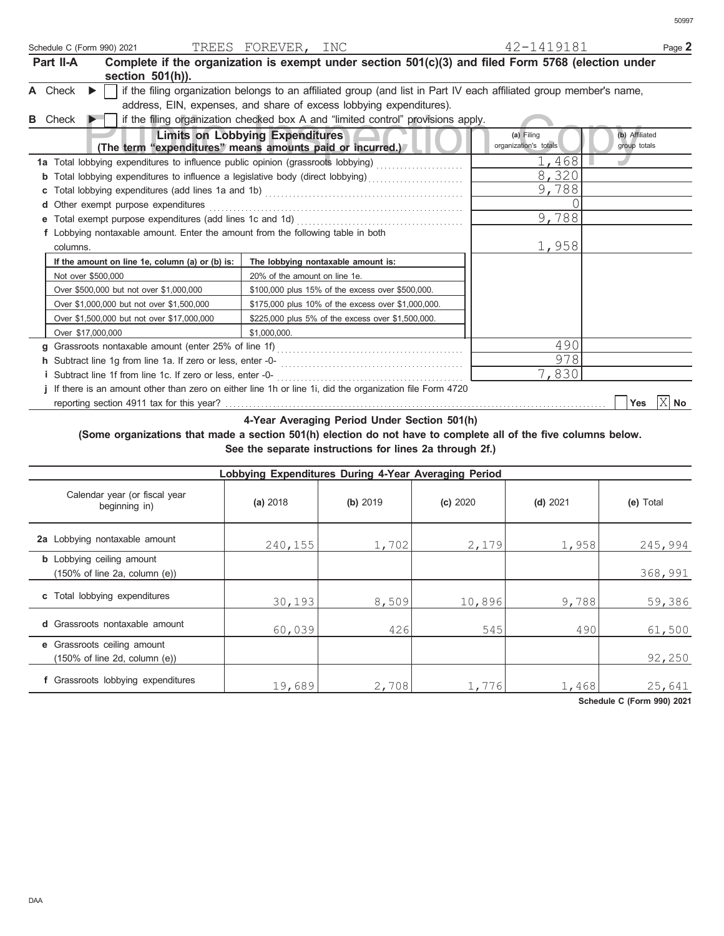| Schedule C (Form 990) 2021                                                                                          | TREES FOREVER, INC            |                                                    |  | 42-1419181                                                                                                          | Page 2                         |
|---------------------------------------------------------------------------------------------------------------------|-------------------------------|----------------------------------------------------|--|---------------------------------------------------------------------------------------------------------------------|--------------------------------|
| Complete if the organization is exempt under section $501(c)(3)$ and filed Form 5768 (election under<br>Part II-A   |                               |                                                    |  |                                                                                                                     |                                |
| section 501(h)).                                                                                                    |                               |                                                    |  |                                                                                                                     |                                |
| A Check                                                                                                             |                               |                                                    |  | if the filing organization belongs to an affiliated group (and list in Part IV each affiliated group member's name, |                                |
| address, EIN, expenses, and share of excess lobbying expenditures).                                                 |                               |                                                    |  |                                                                                                                     |                                |
| if the filing organization checked box A and "limited control" provisions apply.<br><b>B</b> Check                  |                               |                                                    |  |                                                                                                                     |                                |
| <b>Limits on Lobbying Expenditures</b><br>(The term "expenditures" means amounts paid or incurred.)                 |                               |                                                    |  | (a) Filing<br>organization's totals                                                                                 | (b) Affiliated<br>group totals |
| 1a Total lobbying expenditures to influence public opinion (grassroots lobbying)                                    |                               |                                                    |  | 1,468                                                                                                               |                                |
| Total lobbying expenditures to influence a legislative body (direct lobbying) [[[[[[[[[[[[[[[[[[[[[[[[[[[[[[]]]]]]] |                               |                                                    |  | 8,320                                                                                                               |                                |
|                                                                                                                     |                               |                                                    |  | 9,788                                                                                                               |                                |
| Other exempt purpose expenditures                                                                                   |                               |                                                    |  | ∩                                                                                                                   |                                |
|                                                                                                                     |                               |                                                    |  | 9,788                                                                                                               |                                |
| f Lobbying nontaxable amount. Enter the amount from the following table in both                                     |                               |                                                    |  |                                                                                                                     |                                |
| columns.                                                                                                            |                               |                                                    |  | 1,958                                                                                                               |                                |
| If the amount on line 1e, column (a) or (b) is:                                                                     |                               | The lobbying nontaxable amount is:                 |  |                                                                                                                     |                                |
| Not over \$500,000                                                                                                  | 20% of the amount on line 1e. |                                                    |  |                                                                                                                     |                                |
| Over \$500,000 but not over \$1,000,000                                                                             |                               | \$100,000 plus 15% of the excess over \$500,000.   |  |                                                                                                                     |                                |
| Over \$1,000,000 but not over \$1,500,000                                                                           |                               | \$175,000 plus 10% of the excess over \$1,000,000. |  |                                                                                                                     |                                |
| Over \$1,500,000 but not over \$17,000,000                                                                          |                               | \$225,000 plus 5% of the excess over \$1,500,000.  |  |                                                                                                                     |                                |
| Over \$17,000,000                                                                                                   | \$1,000,000.                  |                                                    |  |                                                                                                                     |                                |
| q                                                                                                                   |                               |                                                    |  | 490                                                                                                                 |                                |
|                                                                                                                     |                               |                                                    |  | 978                                                                                                                 |                                |
| <i>i</i> Subtract line 1f from line 1c. If zero or less, enter -0-                                                  |                               |                                                    |  | 7,830                                                                                                               |                                |
| If there is an amount other than zero on either line 1h or line 1i, did the organization file Form 4720             |                               |                                                    |  |                                                                                                                     |                                |
|                                                                                                                     |                               |                                                    |  |                                                                                                                     | X<br>Yes<br>No                 |

**4-Year Averaging Period Under Section 501(h)**

### **(Some organizations that made a section 501(h) election do not have to complete all of the five columns below. See the separate instructions for lines 2a through 2f.)**

| Lobbying Expenditures During 4-Year Averaging Period                                   |          |          |          |            |           |  |  |  |
|----------------------------------------------------------------------------------------|----------|----------|----------|------------|-----------|--|--|--|
| Calendar year (or fiscal year<br>beginning in)                                         | (a) 2018 | (b) 2019 | (c) 2020 | $(d)$ 2021 | (e) Total |  |  |  |
| 2a Lobbying nontaxable amount                                                          | 240,155  | 1,702    | 2,179    | 1,958      | 245,994   |  |  |  |
| <b>b</b> Lobbying ceiling amount<br>$(150\% \text{ of line } 2a, \text{ column } (e))$ |          |          |          |            | 368,991   |  |  |  |
| c Total lobbying expenditures                                                          | 30,193   | 8,509    | 10,896   | 9,788      | 59,386    |  |  |  |
| <b>d</b> Grassroots nontaxable amount                                                  | 60,039   | 426      | 545      | 490        | 61,500    |  |  |  |
| e Grassroots ceiling amount<br>$(150\% \text{ of line } 2d, \text{ column } (e))$      |          |          |          |            | 92,250    |  |  |  |
| f Grassroots lobbying expenditures                                                     | 19,689   | 2,708    | 1,776    | 1,468      | 25,641    |  |  |  |

**Schedule C (Form 990) 2021**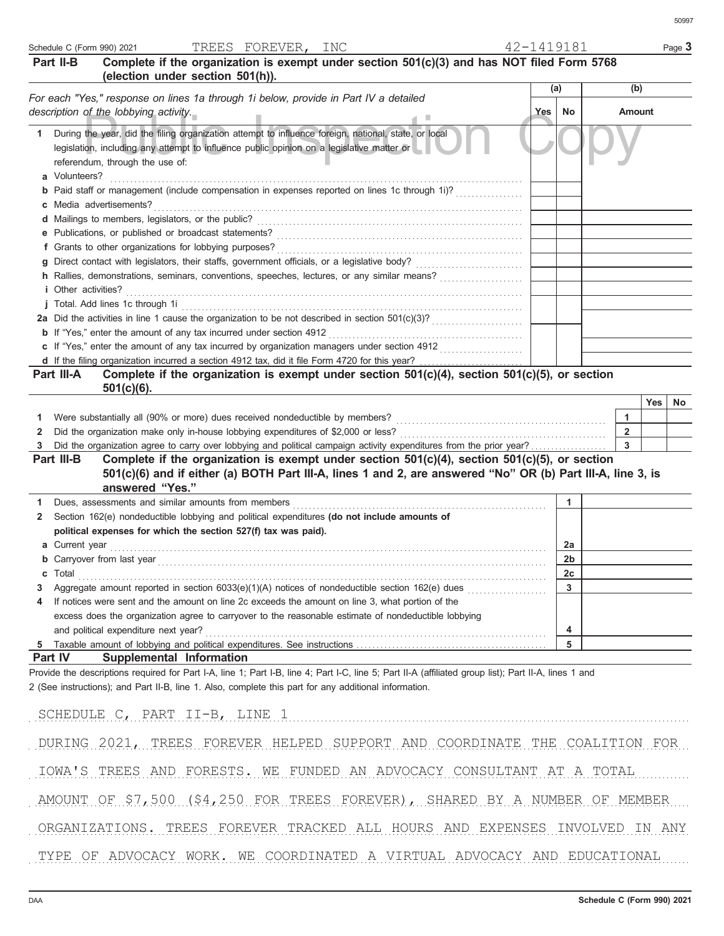|        | Part II-B<br>Complete if the organization is exempt under section 501(c)(3) and has NOT filed Form 5768<br>(election under section 501(h)).                                                                                                                    |     |    |                              |     |     |
|--------|----------------------------------------------------------------------------------------------------------------------------------------------------------------------------------------------------------------------------------------------------------------|-----|----|------------------------------|-----|-----|
|        | For each "Yes," response on lines 1a through 1i below, provide in Part IV a detailed                                                                                                                                                                           | (a) |    | (b)                          |     |     |
|        | description of the lobbying activity.<br>ш                                                                                                                                                                                                                     | Yes | No | Amount                       |     |     |
| 1      | During the year, did the filing organization attempt to influence foreign, national, state, or local<br>legislation, including any attempt to influence public opinion on a legislative matter or<br>referendum, through the use of:                           |     |    |                              |     |     |
|        | a Volunteers?                                                                                                                                                                                                                                                  |     |    |                              |     |     |
|        | <b>b</b> Paid staff or management (include compensation in expenses reported on lines 1c through 1i)?                                                                                                                                                          |     |    |                              |     |     |
|        | c Media advertisements?                                                                                                                                                                                                                                        |     |    |                              |     |     |
|        |                                                                                                                                                                                                                                                                |     |    |                              |     |     |
|        |                                                                                                                                                                                                                                                                |     |    |                              |     |     |
|        |                                                                                                                                                                                                                                                                |     |    |                              |     |     |
|        | h Rallies, demonstrations, seminars, conventions, speeches, lectures, or any similar means?                                                                                                                                                                    |     |    |                              |     |     |
|        | <i>i</i> Other activities?                                                                                                                                                                                                                                     |     |    |                              |     |     |
|        |                                                                                                                                                                                                                                                                |     |    |                              |     |     |
|        |                                                                                                                                                                                                                                                                |     |    |                              |     |     |
|        |                                                                                                                                                                                                                                                                |     |    |                              |     |     |
|        | c If "Yes," enter the amount of any tax incurred by organization managers under section 4912                                                                                                                                                                   |     |    |                              |     |     |
|        |                                                                                                                                                                                                                                                                |     |    |                              |     |     |
|        | Complete if the organization is exempt under section 501(c)(4), section 501(c)(5), or section<br>Part III-A                                                                                                                                                    |     |    |                              |     |     |
|        | $501(c)(6)$ .                                                                                                                                                                                                                                                  |     |    |                              |     |     |
|        |                                                                                                                                                                                                                                                                |     |    |                              | Yes | No. |
| 1<br>2 |                                                                                                                                                                                                                                                                |     |    | 1<br>$\overline{\mathbf{2}}$ |     |     |
| 3      | Did the organization agree to carry over lobbying and political campaign activity expenditures from the prior year?                                                                                                                                            |     |    | 3                            |     |     |
|        | Complete if the organization is exempt under section $501(c)(4)$ , section $501(c)(5)$ , or section<br>Part III-B                                                                                                                                              |     |    |                              |     |     |
|        | 501(c)(6) and if either (a) BOTH Part III-A, lines 1 and 2, are answered "No" OR (b) Part III-A, line 3, is<br>answered "Yes."                                                                                                                                 |     |    |                              |     |     |
| 1      | Dues, assessments and similar amounts from members                                                                                                                                                                                                             |     | 1  |                              |     |     |
| 2      | Section 162(e) nondeductible lobbying and political expenditures (do not include amounts of                                                                                                                                                                    |     |    |                              |     |     |
|        | political expenses for which the section 527(f) tax was paid).                                                                                                                                                                                                 |     |    |                              |     |     |
|        | <b>a</b> Current year                                                                                                                                                                                                                                          |     | 2a |                              |     |     |
|        |                                                                                                                                                                                                                                                                |     | 2b |                              |     |     |
|        |                                                                                                                                                                                                                                                                |     | 2c |                              |     |     |
|        | Aggregate amount reported in section 6033(e)(1)(A) notices of nondeductible section 162(e) dues                                                                                                                                                                |     | 3  |                              |     |     |
|        | If notices were sent and the amount on line 2c exceeds the amount on line 3, what portion of the                                                                                                                                                               |     |    |                              |     |     |
|        | excess does the organization agree to carryover to the reasonable estimate of nondeductible lobbying                                                                                                                                                           |     |    |                              |     |     |
|        | and political expenditure next year?                                                                                                                                                                                                                           |     | 4  |                              |     |     |
| - 5    |                                                                                                                                                                                                                                                                |     | 5  |                              |     |     |
|        | <b>Part IV</b><br>Supplemental Information                                                                                                                                                                                                                     |     |    |                              |     |     |
|        | Provide the descriptions required for Part I-A, line 1; Part I-B, line 4; Part I-C, line 5; Part II-A (affiliated group list); Part II-A, lines 1 and<br>2 (See instructions); and Part II-B, line 1. Also, complete this part for any additional information. |     |    |                              |     |     |
|        | SCHEDULE C, PART II-B, LINE 1                                                                                                                                                                                                                                  |     |    |                              |     |     |
|        | TREES FOREVER HELPED SUPPORT AND COORDINATE THE COALITION FOR<br>DURING 2021,                                                                                                                                                                                  |     |    |                              |     |     |
|        | IOWA'S TREES AND FORESTS. WE FUNDED AN ADVOCACY CONSULTANT AT A TOTAL                                                                                                                                                                                          |     |    |                              |     |     |
|        | AMOUNT OF \$7,500 (\$4,250 FOR TREES FOREVER), SHARED BY A NUMBER OF MEMBER                                                                                                                                                                                    |     |    |                              |     |     |
|        | ORGANIZATIONS. TREES FOREVER TRACKED ALL HOURS AND EXPENSES INVOLVED IN ANY                                                                                                                                                                                    |     |    |                              |     |     |
|        | TYPE OF ADVOCACY WORK. WE COORDINATED A VIRTUAL ADVOCACY AND EDUCATIONAL                                                                                                                                                                                       |     |    |                              |     |     |

Schedule C (Form 990) 2021 TREES FOREVER, INC 4 2-1 4 1 9 1 8 1 Page **3** 

TREES FOREVER, INC 42-1419181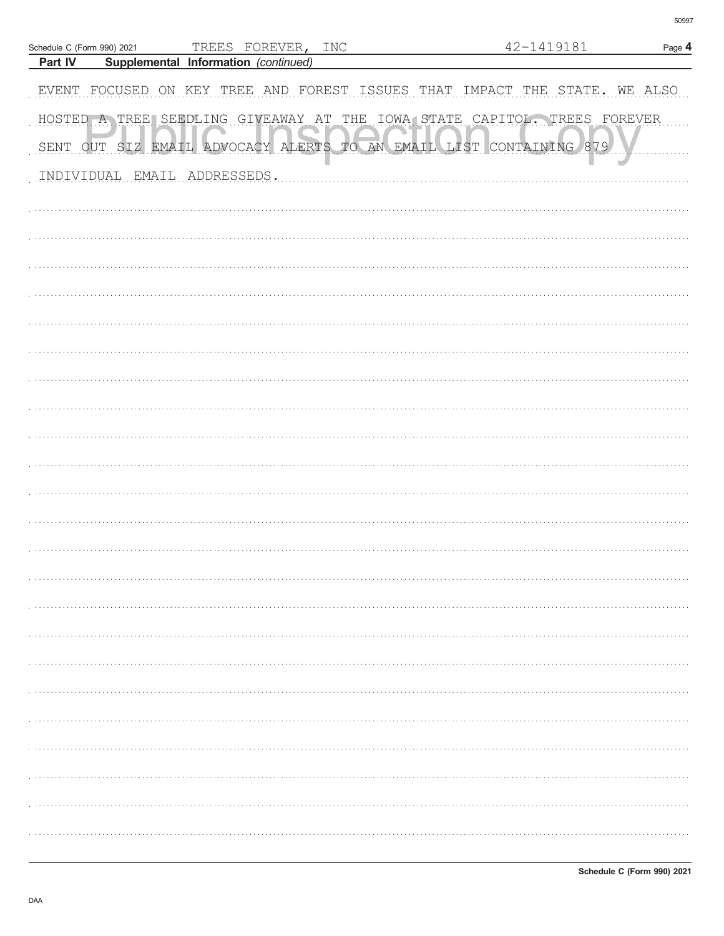|         | Schedule C (Form 990) 2021 |                                      | TREES FOREVER, INC |                                                                    | 42-1419181                                                               | Page 4  |
|---------|----------------------------|--------------------------------------|--------------------|--------------------------------------------------------------------|--------------------------------------------------------------------------|---------|
| Part IV |                            | Supplemental Information (continued) |                    |                                                                    |                                                                          |         |
|         |                            |                                      |                    | EVENT FOCUSED ON KEY TREE AND FOREST ISSUES THAT IMPACT THE STATE. |                                                                          | WE ALSO |
|         |                            |                                      |                    |                                                                    | HOSTED A TREE SEEDLING GIVEAWAY AT THE IOWA STATE CAPITOL. TREES FOREVER |         |
|         |                            |                                      |                    | SENT OUT SIZ EMAIL ADVOCACY ALERTS TO AN EMAIL LIST CONTAINING 879 |                                                                          |         |
|         |                            | INDIVIDUAL EMAIL ADDRESSEDS.         |                    |                                                                    |                                                                          |         |
|         |                            |                                      |                    |                                                                    |                                                                          |         |
|         |                            |                                      |                    |                                                                    |                                                                          |         |
|         |                            |                                      |                    |                                                                    |                                                                          |         |
|         |                            |                                      |                    |                                                                    |                                                                          |         |
|         |                            |                                      |                    |                                                                    |                                                                          |         |
|         |                            |                                      |                    |                                                                    |                                                                          |         |
|         |                            |                                      |                    |                                                                    |                                                                          |         |
|         |                            |                                      |                    |                                                                    |                                                                          |         |
|         |                            |                                      |                    |                                                                    |                                                                          |         |
|         |                            |                                      |                    |                                                                    |                                                                          |         |
|         |                            |                                      |                    |                                                                    |                                                                          |         |
|         |                            |                                      |                    |                                                                    |                                                                          |         |
|         |                            |                                      |                    |                                                                    |                                                                          |         |
|         |                            |                                      |                    |                                                                    |                                                                          |         |
|         |                            |                                      |                    |                                                                    |                                                                          |         |
|         |                            |                                      |                    |                                                                    |                                                                          |         |
|         |                            |                                      |                    |                                                                    |                                                                          |         |
|         |                            |                                      |                    |                                                                    |                                                                          |         |
|         |                            |                                      |                    |                                                                    |                                                                          |         |
|         |                            |                                      |                    |                                                                    |                                                                          |         |
|         |                            |                                      |                    |                                                                    |                                                                          |         |
|         |                            |                                      |                    |                                                                    |                                                                          |         |
|         |                            |                                      |                    |                                                                    |                                                                          |         |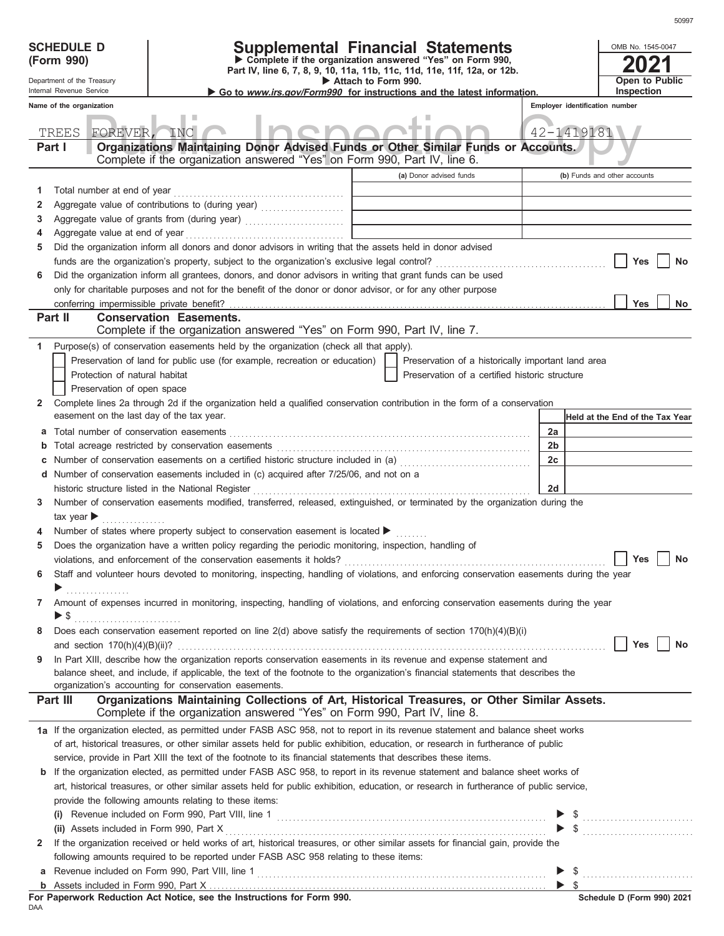## **SCHEDULE D Supplemental Financial Statements**

**Part IV, line 6, 7, 8, 9, 10, 11a, 11b, 11c, 11d, 11e, 11f, 12a, or 12b. Complete if the organization answered "Yes" on Form 990,**

|  | his contract the common booking |
|--|---------------------------------|

DAA

 **Attach to Form 990.** 

|        | OMB No. 1545-0047                   |
|--------|-------------------------------------|
|        | 2021                                |
|        | <b>Open to Public</b><br>Inspection |
|        | identification number               |
| 419181 |                                     |
| S.     |                                     |
|        | ) Funds and other accounts          |
|        |                                     |

|                | Department of the Treasury<br>Internal Revenue Service |                                |                                                                                                                                                                                                                                                                                 | Attach to Form 990. | Go to <i>www.irs.gov/Form990</i> for instructions and the latest information. |                                | Open to Public<br>Inspection           |
|----------------|--------------------------------------------------------|--------------------------------|---------------------------------------------------------------------------------------------------------------------------------------------------------------------------------------------------------------------------------------------------------------------------------|---------------------|-------------------------------------------------------------------------------|--------------------------------|----------------------------------------|
|                | Name of the organization                               |                                |                                                                                                                                                                                                                                                                                 |                     |                                                                               | Employer identification number |                                        |
|                |                                                        |                                |                                                                                                                                                                                                                                                                                 |                     |                                                                               |                                |                                        |
|                | TREES                                                  | FOREVER, INC                   |                                                                                                                                                                                                                                                                                 |                     |                                                                               | 42-1419181                     |                                        |
|                | Part I                                                 |                                | Organizations Maintaining Donor Advised Funds or Other Similar Funds or Accounts.<br>Complete if the organization answered "Yes" on Form 990, Part IV, line 6.                                                                                                                  |                     |                                                                               |                                |                                        |
|                |                                                        |                                |                                                                                                                                                                                                                                                                                 |                     | (a) Donor advised funds                                                       |                                | (b) Funds and other accounts           |
| 1.             |                                                        | Total number at end of year    |                                                                                                                                                                                                                                                                                 |                     |                                                                               |                                |                                        |
| 2              |                                                        |                                |                                                                                                                                                                                                                                                                                 |                     | <u> 1980 - Johann Barbara, martxa al</u>                                      |                                |                                        |
| 3              |                                                        |                                | Aggregate value of grants from (during year)                                                                                                                                                                                                                                    |                     |                                                                               |                                |                                        |
| 4              |                                                        | Aggregate value at end of year |                                                                                                                                                                                                                                                                                 |                     |                                                                               |                                |                                        |
| 5              |                                                        |                                | Did the organization inform all donors and donor advisors in writing that the assets held in donor advised                                                                                                                                                                      |                     |                                                                               |                                |                                        |
|                |                                                        |                                |                                                                                                                                                                                                                                                                                 |                     |                                                                               |                                | Yes<br>No                              |
| 6              |                                                        |                                | Did the organization inform all grantees, donors, and donor advisors in writing that grant funds can be used                                                                                                                                                                    |                     |                                                                               |                                |                                        |
|                |                                                        |                                | only for charitable purposes and not for the benefit of the donor or donor advisor, or for any other purpose                                                                                                                                                                    |                     |                                                                               |                                |                                        |
|                |                                                        |                                |                                                                                                                                                                                                                                                                                 |                     |                                                                               |                                | <b>Yes</b><br>No                       |
|                | Part II                                                |                                | <b>Conservation Easements.</b><br>Complete if the organization answered "Yes" on Form 990, Part IV, line 7.                                                                                                                                                                     |                     |                                                                               |                                |                                        |
| 1.             |                                                        |                                | Purpose(s) of conservation easements held by the organization (check all that apply).                                                                                                                                                                                           |                     |                                                                               |                                |                                        |
|                |                                                        |                                | Preservation of land for public use (for example, recreation or education)                                                                                                                                                                                                      |                     | Preservation of a historically important land area                            |                                |                                        |
|                |                                                        | Protection of natural habitat  |                                                                                                                                                                                                                                                                                 |                     | Preservation of a certified historic structure                                |                                |                                        |
|                |                                                        | Preservation of open space     |                                                                                                                                                                                                                                                                                 |                     |                                                                               |                                |                                        |
| $\mathbf{2}^-$ |                                                        |                                | Complete lines 2a through 2d if the organization held a qualified conservation contribution in the form of a conservation                                                                                                                                                       |                     |                                                                               |                                |                                        |
|                |                                                        |                                | easement on the last day of the tax year.                                                                                                                                                                                                                                       |                     |                                                                               |                                | <b>Held at the End of the Tax Year</b> |
| а              |                                                        |                                |                                                                                                                                                                                                                                                                                 |                     |                                                                               | 2a                             |                                        |
| b              |                                                        |                                |                                                                                                                                                                                                                                                                                 |                     |                                                                               | 2b                             |                                        |
| c              |                                                        |                                |                                                                                                                                                                                                                                                                                 |                     |                                                                               | 2c                             |                                        |
| d              |                                                        |                                | Number of conservation easements included in (c) acquired after 7/25/06, and not on a                                                                                                                                                                                           |                     |                                                                               |                                |                                        |
|                |                                                        |                                | historic structure listed in the National Register                                                                                                                                                                                                                              |                     |                                                                               | 2d                             |                                        |
| 3.             |                                                        |                                | Number of conservation easements modified, transferred, released, extinguished, or terminated by the organization during the                                                                                                                                                    |                     |                                                                               |                                |                                        |
|                | tax year                                               |                                |                                                                                                                                                                                                                                                                                 |                     |                                                                               |                                |                                        |
|                |                                                        |                                | Number of states where property subject to conservation easement is located ▶                                                                                                                                                                                                   |                     |                                                                               |                                |                                        |
| 5              |                                                        |                                | Does the organization have a written policy regarding the periodic monitoring, inspection, handling of                                                                                                                                                                          |                     |                                                                               |                                |                                        |
|                |                                                        |                                | violations, and enforcement of the conservation easements it holds?                                                                                                                                                                                                             |                     |                                                                               |                                | Yes<br><b>No</b>                       |
| 6              |                                                        |                                | Staff and volunteer hours devoted to monitoring, inspecting, handling of violations, and enforcing conservation easements during the year                                                                                                                                       |                     |                                                                               |                                |                                        |
|                |                                                        |                                |                                                                                                                                                                                                                                                                                 |                     |                                                                               |                                |                                        |
|                | $\blacktriangleright$ \$                               |                                | 7 Amount of expenses incurred in monitoring, inspecting, handling of violations, and enforcing conservation easements during the year                                                                                                                                           |                     |                                                                               |                                |                                        |
| 8              |                                                        |                                | Does each conservation easement reported on line $2(d)$ above satisfy the requirements of section $170(h)(4)(B)(i)$                                                                                                                                                             |                     |                                                                               |                                |                                        |
|                |                                                        |                                |                                                                                                                                                                                                                                                                                 |                     |                                                                               |                                | Yes<br>No                              |
| 9              |                                                        |                                | In Part XIII, describe how the organization reports conservation easements in its revenue and expense statement and                                                                                                                                                             |                     |                                                                               |                                |                                        |
|                |                                                        |                                | balance sheet, and include, if applicable, the text of the footnote to the organization's financial statements that describes the                                                                                                                                               |                     |                                                                               |                                |                                        |
|                |                                                        |                                | organization's accounting for conservation easements.                                                                                                                                                                                                                           |                     |                                                                               |                                |                                        |
|                | Part III                                               |                                | Organizations Maintaining Collections of Art, Historical Treasures, or Other Similar Assets.                                                                                                                                                                                    |                     |                                                                               |                                |                                        |
|                |                                                        |                                | Complete if the organization answered "Yes" on Form 990, Part IV, line 8.                                                                                                                                                                                                       |                     |                                                                               |                                |                                        |
|                |                                                        |                                | 1a If the organization elected, as permitted under FASB ASC 958, not to report in its revenue statement and balance sheet works                                                                                                                                                 |                     |                                                                               |                                |                                        |
|                |                                                        |                                | of art, historical treasures, or other similar assets held for public exhibition, education, or research in furtherance of public                                                                                                                                               |                     |                                                                               |                                |                                        |
|                |                                                        |                                | service, provide in Part XIII the text of the footnote to its financial statements that describes these items.                                                                                                                                                                  |                     |                                                                               |                                |                                        |
|                |                                                        |                                | <b>b</b> If the organization elected, as permitted under FASB ASC 958, to report in its revenue statement and balance sheet works of<br>art, historical treasures, or other similar assets held for public exhibition, education, or research in furtherance of public service, |                     |                                                                               |                                |                                        |
|                |                                                        |                                | provide the following amounts relating to these items:                                                                                                                                                                                                                          |                     |                                                                               |                                |                                        |
|                |                                                        |                                |                                                                                                                                                                                                                                                                                 |                     |                                                                               |                                |                                        |
|                |                                                        |                                | (ii) Assets included in Form 990, Part X                                                                                                                                                                                                                                        |                     |                                                                               |                                | $\frac{1}{2}$                          |
| $\mathbf{z}$   |                                                        |                                | If the organization received or held works of art, historical treasures, or other similar assets for financial gain, provide the                                                                                                                                                |                     |                                                                               |                                |                                        |
|                |                                                        |                                | following amounts required to be reported under FASB ASC 958 relating to these items:                                                                                                                                                                                           |                     |                                                                               |                                |                                        |
|                |                                                        |                                |                                                                                                                                                                                                                                                                                 |                     |                                                                               |                                |                                        |
|                |                                                        |                                |                                                                                                                                                                                                                                                                                 |                     |                                                                               |                                |                                        |
|                |                                                        |                                | For Paperwork Reduction Act Notice, see the Instructions for Form 990.                                                                                                                                                                                                          |                     |                                                                               |                                | Schedule D (Form 990) 2021             |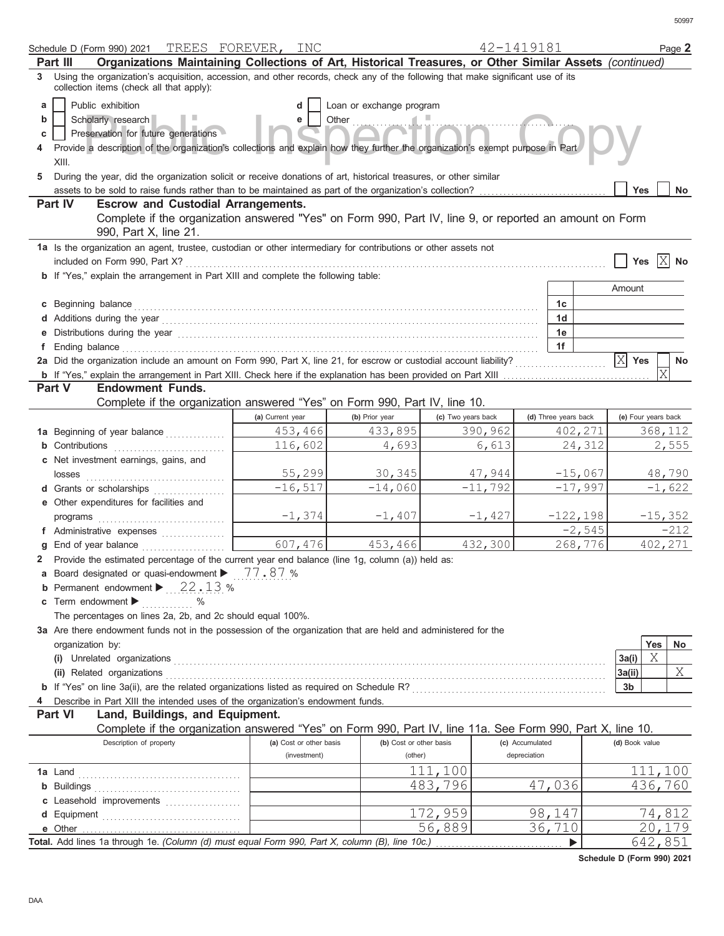|    | Schedule D (Form 990) 2021 TREES FOREVER, INC                                                                                                                                                                                        |                         |                          |                    | 42-1419181           |                       |         | Page 2    |
|----|--------------------------------------------------------------------------------------------------------------------------------------------------------------------------------------------------------------------------------------|-------------------------|--------------------------|--------------------|----------------------|-----------------------|---------|-----------|
|    | Organizations Maintaining Collections of Art, Historical Treasures, or Other Similar Assets (continued)<br>Part III                                                                                                                  |                         |                          |                    |                      |                       |         |           |
| 3  | Using the organization's acquisition, accession, and other records, check any of the following that make significant use of its<br>collection items (check all that apply):                                                          |                         |                          |                    |                      |                       |         |           |
| a  | Public exhibition                                                                                                                                                                                                                    |                         | Loan or exchange program |                    |                      |                       |         |           |
| b  | Scholarly research                                                                                                                                                                                                                   | e                       | Other                    |                    |                      |                       |         |           |
| c  | Preservation for future generations                                                                                                                                                                                                  |                         |                          |                    |                      |                       |         |           |
|    | Provide a description of the organization's collections and explain how they further the organization's exempt purpose in Part                                                                                                       |                         |                          |                    |                      |                       |         |           |
|    |                                                                                                                                                                                                                                      |                         |                          |                    |                      |                       |         |           |
|    | XIII.                                                                                                                                                                                                                                |                         |                          |                    |                      |                       |         |           |
| 5. | During the year, did the organization solicit or receive donations of art, historical treasures, or other similar                                                                                                                    |                         |                          |                    |                      |                       |         |           |
|    | assets to be sold to raise funds rather than to be maintained as part of the organization's collection?                                                                                                                              |                         |                          |                    |                      | <b>Yes</b>            |         | <b>No</b> |
|    | <b>Escrow and Custodial Arrangements.</b><br>Part IV                                                                                                                                                                                 |                         |                          |                    |                      |                       |         |           |
|    | Complete if the organization answered "Yes" on Form 990, Part IV, line 9, or reported an amount on Form                                                                                                                              |                         |                          |                    |                      |                       |         |           |
|    | 990, Part X, line 21.                                                                                                                                                                                                                |                         |                          |                    |                      |                       |         |           |
|    | 1a Is the organization an agent, trustee, custodian or other intermediary for contributions or other assets not                                                                                                                      |                         |                          |                    |                      |                       |         |           |
|    | included on Form 990, Part X?                                                                                                                                                                                                        |                         |                          |                    |                      | Yes                   |         | No        |
|    | <b>b</b> If "Yes," explain the arrangement in Part XIII and complete the following table:                                                                                                                                            |                         |                          |                    |                      |                       |         |           |
|    |                                                                                                                                                                                                                                      |                         |                          |                    |                      | Amount                |         |           |
|    |                                                                                                                                                                                                                                      |                         |                          |                    |                      |                       |         |           |
|    | c Beginning balance <b>contract to the contract of the contract of the contract of the contract of the contract of the contract of the contract of the contract of the contract of the contract of the contract of the contract </b> |                         |                          |                    | 1 <sub>c</sub>       |                       |         |           |
|    |                                                                                                                                                                                                                                      |                         |                          |                    | 1 <sub>d</sub>       |                       |         |           |
|    | Distributions during the year manufactured contains and a state of the year manufactured with the year manufactured with the state of the state of the state of the state of the state of the state of the state of the state        |                         |                          |                    | 1e                   |                       |         |           |
| f  |                                                                                                                                                                                                                                      |                         |                          |                    | 1f                   |                       |         |           |
|    | 2a Did the organization include an amount on Form 990, Part X, line 21, for escrow or custodial account liability?                                                                                                                   |                         |                          |                    |                      | $ \mathsf{X} $<br>Yes |         | No        |
|    | b If "Yes," explain the arrangement in Part XIII. Check here if the explanation has been provided on Part XIII                                                                                                                       |                         |                          |                    |                      |                       | X       |           |
|    | <b>Endowment Funds.</b><br>Part V                                                                                                                                                                                                    |                         |                          |                    |                      |                       |         |           |
|    | Complete if the organization answered "Yes" on Form 990, Part IV, line 10.                                                                                                                                                           |                         |                          |                    |                      |                       |         |           |
|    |                                                                                                                                                                                                                                      | (a) Current year        | (b) Prior year           | (c) Two years back | (d) Three years back | (e) Four years back   |         |           |
|    |                                                                                                                                                                                                                                      |                         |                          |                    |                      |                       |         |           |
|    | 1a Beginning of year balance                                                                                                                                                                                                         | 453,466                 | 433,895                  | 390,962            | 402,271              |                       |         | 368,112   |
|    | <b>b</b> Contributions                                                                                                                                                                                                               | 116,602                 | 4,693                    | 6,613              | 24,312               |                       |         | 2,555     |
|    | c Net investment earnings, gains, and                                                                                                                                                                                                |                         |                          |                    |                      |                       |         |           |
|    | losses                                                                                                                                                                                                                               | 55,299                  | 30,345                   | 47,944             | $-15,067$            |                       |         | 48,790    |
|    | d Grants or scholarships                                                                                                                                                                                                             | $-16, 517$              | $-14,060$                | $-11,792$          | $-17,997$            |                       |         | $-1,622$  |
|    | e Other expenditures for facilities and                                                                                                                                                                                              |                         |                          |                    |                      |                       |         |           |
|    |                                                                                                                                                                                                                                      | $-1,374$                | $-1,407$                 | $-1,427$           | $-122,198$           |                       |         | $-15,352$ |
|    | f Administrative expenses                                                                                                                                                                                                            |                         |                          |                    | $-2,545$             |                       |         | $-212$    |
|    | g End of year balance                                                                                                                                                                                                                | 607,476                 | 453,466                  | 432,300            | 268,776              |                       |         | 402,271   |
|    |                                                                                                                                                                                                                                      |                         |                          |                    |                      |                       |         |           |
|    | 2 Provide the estimated percentage of the current year end balance (line 1g, column (a)) held as:                                                                                                                                    |                         |                          |                    |                      |                       |         |           |
|    | Board designated or quasi-endowment $\blacktriangleright$ 77.87 %                                                                                                                                                                    |                         |                          |                    |                      |                       |         |           |
|    | <b>b</b> Permanent endowment $\blacktriangleright$ 22.13 %                                                                                                                                                                           |                         |                          |                    |                      |                       |         |           |
|    | Term endowment $\blacktriangleright$<br>$\%$                                                                                                                                                                                         |                         |                          |                    |                      |                       |         |           |
|    | The percentages on lines 2a, 2b, and 2c should equal 100%.                                                                                                                                                                           |                         |                          |                    |                      |                       |         |           |
|    | 3a Are there endowment funds not in the possession of the organization that are held and administered for the                                                                                                                        |                         |                          |                    |                      |                       |         |           |
|    | organization by:                                                                                                                                                                                                                     |                         |                          |                    |                      |                       | Yes     | No        |
|    |                                                                                                                                                                                                                                      |                         |                          |                    |                      | 3a(i)                 | X       |           |
|    |                                                                                                                                                                                                                                      |                         |                          |                    |                      | 3a(ii)                |         | Χ         |
|    |                                                                                                                                                                                                                                      |                         |                          |                    |                      | 3b                    |         |           |
|    |                                                                                                                                                                                                                                      |                         |                          |                    |                      |                       |         |           |
|    | Describe in Part XIII the intended uses of the organization's endowment funds.                                                                                                                                                       |                         |                          |                    |                      |                       |         |           |
|    | <b>Part VI</b><br>Land, Buildings, and Equipment.                                                                                                                                                                                    |                         |                          |                    |                      |                       |         |           |
|    | Complete if the organization answered "Yes" on Form 990, Part IV, line 11a. See Form 990, Part X, line 10.                                                                                                                           |                         |                          |                    |                      |                       |         |           |
|    | Description of property                                                                                                                                                                                                              | (a) Cost or other basis | (b) Cost or other basis  |                    | (c) Accumulated      | (d) Book value        |         |           |
|    |                                                                                                                                                                                                                                      | (investment)            | (other)                  |                    | depreciation         |                       |         |           |
|    | <b>1a</b> Land                                                                                                                                                                                                                       |                         |                          | 111,100            |                      |                       |         | 111,100   |
|    |                                                                                                                                                                                                                                      |                         |                          | 483,796            | 47,036               |                       | 436,760 |           |
|    | c Leasehold improvements                                                                                                                                                                                                             |                         |                          |                    |                      |                       |         |           |
|    |                                                                                                                                                                                                                                      |                         |                          | 172,959            | 98,147               |                       |         | 74,812    |
|    |                                                                                                                                                                                                                                      |                         |                          |                    |                      |                       |         |           |
|    |                                                                                                                                                                                                                                      |                         |                          | 56,889             | 36,710               |                       |         | 20,179    |
|    | Total. Add lines 1a through 1e. (Column (d) must equal Form 990, Part X, column (B), line 10c.)                                                                                                                                      |                         |                          |                    | ▶                    |                       | 642,851 |           |

**Schedule D (Form 990) 2021**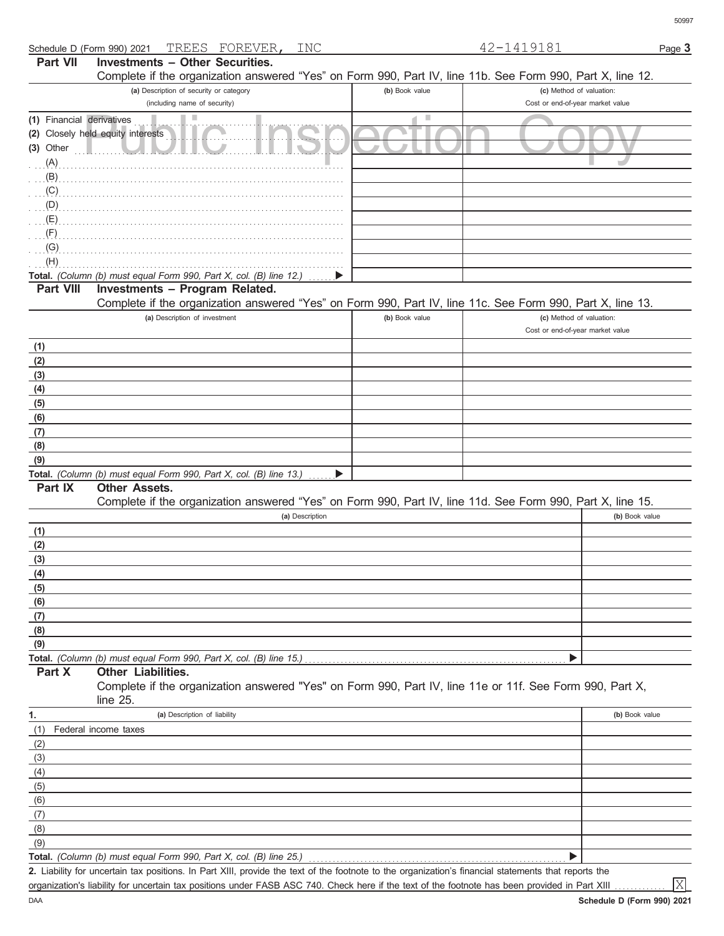| Schedule D (Form 990) 2021 TREES FOREVER,<br>INC                                                           |                | 42-1419181                       | Page 3 |
|------------------------------------------------------------------------------------------------------------|----------------|----------------------------------|--------|
| Investments - Other Securities.<br><b>Part VII</b>                                                         |                |                                  |        |
| Complete if the organization answered "Yes" on Form 990, Part IV, line 11b. See Form 990, Part X, line 12. |                |                                  |        |
| (a) Description of security or category                                                                    | (b) Book value | (c) Method of valuation:         |        |
| (including name of security)                                                                               |                | Cost or end-of-year market value |        |
| (1) Financial derivatives                                                                                  | ٠              |                                  |        |
| (2) Closely held equity interests                                                                          |                |                                  |        |
| $(3)$ Other                                                                                                |                |                                  |        |
| $(A)$ .                                                                                                    |                |                                  |        |
| $\ldots$ (B) $\ldots$                                                                                      |                |                                  |        |
| $\ldots$ (C)                                                                                               |                |                                  |        |
| $\ldots$ (D)                                                                                               |                |                                  |        |
| $\overline{A}$ .                                                                                           |                |                                  |        |
| $\ldots$ (F)                                                                                               |                |                                  |        |
| $\overline{G}$ .                                                                                           |                |                                  |        |
| (H)                                                                                                        |                |                                  |        |
| <b>Total.</b> (Column (b) must equal Form 990, Part X, col. (B) line 12.) $\ldots$                         |                |                                  |        |
| <b>Part VIII</b><br>Investments - Program Related.                                                         |                |                                  |        |
| Complete if the organization answered "Yes" on Form 990, Part IV, line 11c. See Form 990, Part X, line 13. |                |                                  |        |
| (a) Description of investment                                                                              | (b) Book value | (c) Method of valuation:         |        |

|     | (a) Description of investment                                      | <b>(b)</b> DOON value | (c) iviculou of valuation.       |
|-----|--------------------------------------------------------------------|-----------------------|----------------------------------|
|     |                                                                    |                       | Cost or end-of-year market value |
| (1) |                                                                    |                       |                                  |
| (2) |                                                                    |                       |                                  |
| (3) |                                                                    |                       |                                  |
| (4) |                                                                    |                       |                                  |
| (5) |                                                                    |                       |                                  |
| (6) |                                                                    |                       |                                  |
| (7) |                                                                    |                       |                                  |
| (8) |                                                                    |                       |                                  |
| (9) |                                                                    |                       |                                  |
|     | Total. (Column (b) must equal Form 990, Part X, col. (B) line 13.) |                       |                                  |

#### **Other Assets. Part IX**

Complete if the organization answered "Yes" on Form 990, Part IV, line 11d. See Form 990, Part X, line 15.

|     | (a) Description | (b) Book value |
|-----|-----------------|----------------|
| (1) |                 |                |
| (2) |                 |                |
| (3) |                 |                |
| (4) |                 |                |
| (5) |                 |                |
| (6) |                 |                |
| (7) |                 |                |
| (8) |                 |                |
| (9) |                 |                |
|     |                 |                |

#### **Part X Other Liabilities.**

Complete if the organization answered "Yes" on Form 990, Part IV, line 11e or 11f. See Form 990, Part X, line 25.

| 1.  | (a) Description of liability                                       | (b) Book value |
|-----|--------------------------------------------------------------------|----------------|
| (1) | Federal income taxes                                               |                |
| (2) |                                                                    |                |
| (3) |                                                                    |                |
| (4) |                                                                    |                |
| (5) |                                                                    |                |
| (6) |                                                                    |                |
| (7) |                                                                    |                |
| (8) |                                                                    |                |
| (9) |                                                                    |                |
|     | Total. (Column (b) must equal Form 990, Part X, col. (B) line 25.) |                |

Liability for uncertain tax positions. In Part XIII, provide the text of the footnote to the organization's financial statements that reports the **2.**

organization's liability for uncertain tax positions under FASB ASC 740. Check here if the text of the footnote has been provided in Part XIII

X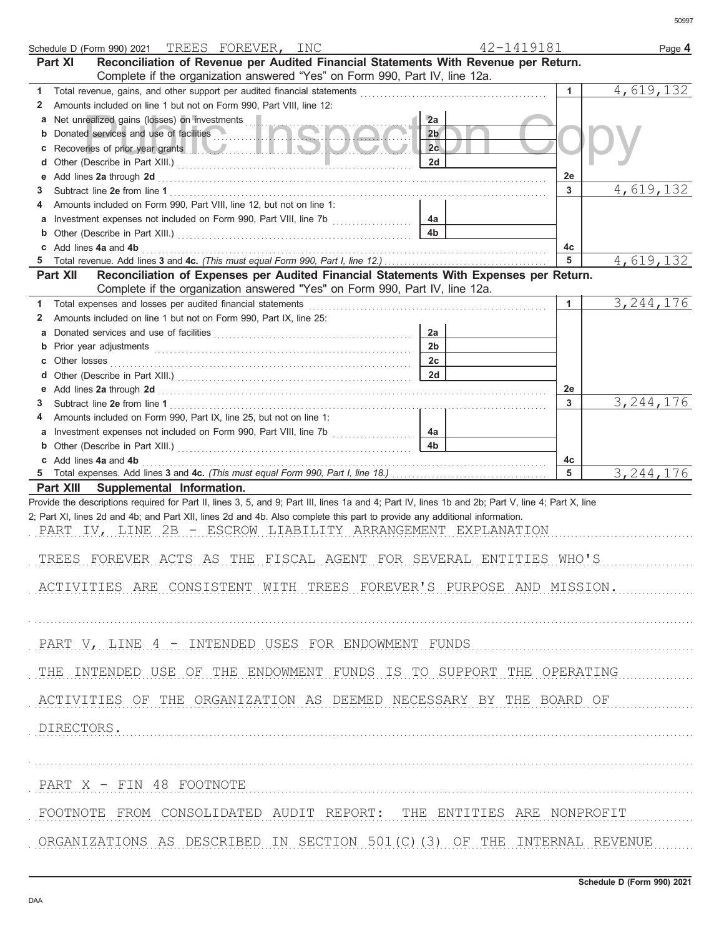|        | Schedule D (Form 990) 2021 TREES FOREVER, INC                                                                                                                                                                                 |                      | 42-1419181 | Page 4      |
|--------|-------------------------------------------------------------------------------------------------------------------------------------------------------------------------------------------------------------------------------|----------------------|------------|-------------|
|        | Reconciliation of Revenue per Audited Financial Statements With Revenue per Return.<br><b>Part XI</b>                                                                                                                         |                      |            |             |
|        | Complete if the organization answered "Yes" on Form 990, Part IV, line 12a.                                                                                                                                                   |                      |            |             |
| 1      | Total revenue, gains, and other support per audited financial statements                                                                                                                                                      |                      |            | 4,619,132   |
| 2      | Amounts included on line 1 but not on Form 990, Part VIII, line 12:                                                                                                                                                           |                      |            |             |
| а      | Net unrealized gains (losses) on investments                                                                                                                                                                                  | 2a                   |            |             |
| b      | Donated services and use of facilities                                                                                                                                                                                        | 2 <sub>b</sub>       |            |             |
|        | Recoveries of prior year grants <b>the contract of the contract of prior</b>                                                                                                                                                  | 2c<br>2d             |            |             |
| d<br>е |                                                                                                                                                                                                                               |                      | 2e         |             |
| 3      | Add lines 2a through 2d [11] Add [12] Add [12] Add lines 2a through 2d [12] Add lines 2a through 2d [12] Add [12] Add [12] Add [12] Add [12] Add [12] Add [12] Add [12] Add [12] Add [12] Add [12] Add [12] Add [12] Add [12] |                      | 3          | 4,619,132   |
|        | Amounts included on Form 990, Part VIII, line 12, but not on line 1:                                                                                                                                                          |                      |            |             |
| a      |                                                                                                                                                                                                                               | 4a                   |            |             |
| b      |                                                                                                                                                                                                                               | 4 <sub>b</sub>       |            |             |
| c      | Add lines 4a and 4b                                                                                                                                                                                                           |                      | 4c         |             |
| 5      |                                                                                                                                                                                                                               |                      | 5          | 4,619,132   |
|        | Reconciliation of Expenses per Audited Financial Statements With Expenses per Return.<br>Part XII                                                                                                                             |                      |            |             |
|        | Complete if the organization answered "Yes" on Form 990, Part IV, line 12a.                                                                                                                                                   |                      |            |             |
| 1.     | Total expenses and losses per audited financial statements                                                                                                                                                                    |                      |            | 3, 244, 176 |
| 2      | Amounts included on line 1 but not on Form 990, Part IX, line 25:                                                                                                                                                             |                      |            |             |
| a      |                                                                                                                                                                                                                               | 2a                   |            |             |
| b      |                                                                                                                                                                                                                               | 2 <sub>b</sub><br>2c |            |             |
| c<br>d | Other losses                                                                                                                                                                                                                  | 2d                   |            |             |
| е      | Add lines 2a through 2d [11] Add [12] Add [12] Add lines 2a through 2d [12] Add lines 2a through 2d                                                                                                                           |                      | 2e         |             |
| 3      |                                                                                                                                                                                                                               |                      | 3          | 3, 244, 176 |
|        | Amounts included on Form 990, Part IX, line 25, but not on line 1:                                                                                                                                                            |                      |            |             |
| a      | Investment expenses not included on Form 990, Part VIII, line 7b [                                                                                                                                                            | 4a                   |            |             |
| b      |                                                                                                                                                                                                                               | 4 <sub>b</sub>       |            |             |
|        | c Add lines 4a and 4b                                                                                                                                                                                                         |                      | 4c         |             |
| 5      |                                                                                                                                                                                                                               |                      | 5          | 3, 244, 176 |
|        | Part XIII Supplemental Information.                                                                                                                                                                                           |                      |            |             |
|        | Provide the descriptions required for Part II, lines 3, 5, and 9; Part III, lines 1a and 4; Part IV, lines 1b and 2b; Part V, line 4; Part X, line                                                                            |                      |            |             |
|        | 2; Part XI, lines 2d and 4b; and Part XII, lines 2d and 4b. Also complete this part to provide any additional information.<br>PART IV, LINE 2B - ESCROW LIABILITY ARRANGEMENT EXPLANATION                                     |                      |            |             |
|        |                                                                                                                                                                                                                               |                      |            |             |
|        | TREES FOREVER ACTS AS THE FISCAL AGENT FOR SEVERAL ENTITIES WHO'S                                                                                                                                                             |                      |            |             |
|        |                                                                                                                                                                                                                               |                      |            |             |
|        | ACTIVITIES ARE CONSISTENT WITH TREES FOREVER'S PURPOSE AND MISSION.                                                                                                                                                           |                      |            |             |
|        |                                                                                                                                                                                                                               |                      |            |             |
|        |                                                                                                                                                                                                                               |                      |            |             |
|        |                                                                                                                                                                                                                               |                      |            |             |
|        | PART V, LINE 4 - INTENDED USES FOR ENDOWMENT FUNDS                                                                                                                                                                            |                      |            |             |
|        |                                                                                                                                                                                                                               |                      |            |             |
|        | THE INTENDED USE OF THE ENDOWMENT FUNDS IS TO SUPPORT THE OPERATING                                                                                                                                                           |                      |            |             |
|        |                                                                                                                                                                                                                               |                      |            |             |
|        | ACTIVITIES OF THE ORGANIZATION AS DEEMED NECESSARY BY THE BOARD OF                                                                                                                                                            |                      |            |             |
|        | DIRECTORS.                                                                                                                                                                                                                    |                      |            |             |
|        |                                                                                                                                                                                                                               |                      |            |             |
|        |                                                                                                                                                                                                                               |                      |            |             |
|        |                                                                                                                                                                                                                               |                      |            |             |
|        | PART X - FIN 48 FOOTNOTE                                                                                                                                                                                                      |                      |            |             |
|        |                                                                                                                                                                                                                               |                      |            |             |
|        | FOOTNOTE FROM CONSOLIDATED AUDIT REPORT: THE ENTITIES ARE NONPROFIT                                                                                                                                                           |                      |            |             |
|        |                                                                                                                                                                                                                               |                      |            |             |
|        | ORGANIZATIONS AS DESCRIBED IN SECTION 501(C)(3) OF THE INTERNAL REVENUE                                                                                                                                                       |                      |            |             |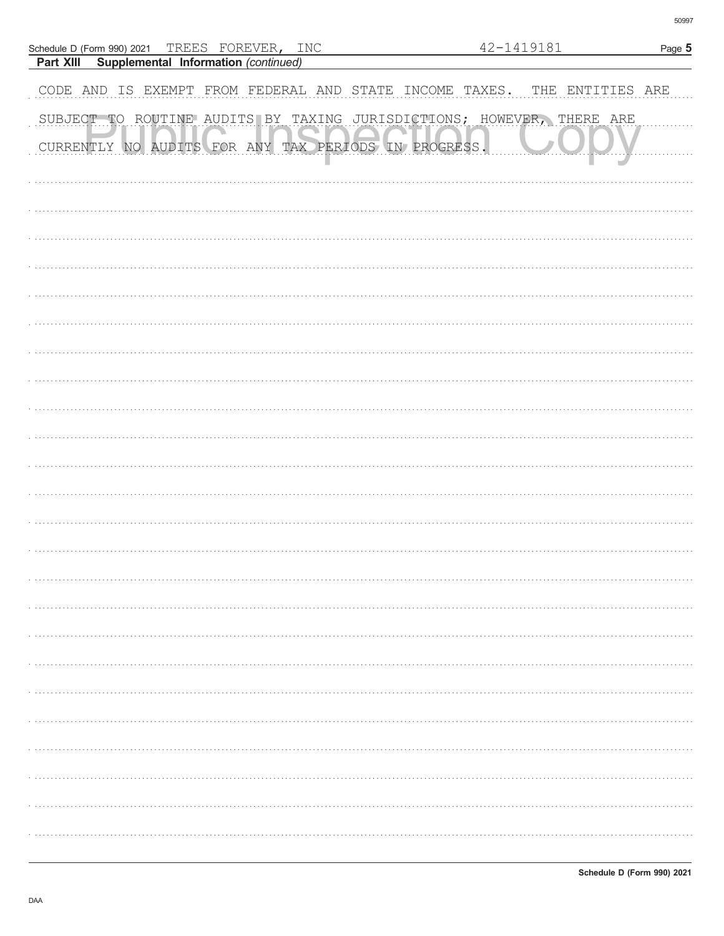|           | Schedule D (Form 990) 2021 TREES FOREVER, INC           |  |  |  | 42-1419181                                                            | Page 5       |
|-----------|---------------------------------------------------------|--|--|--|-----------------------------------------------------------------------|--------------|
| Part XIII | Supplemental Information (continued)                    |  |  |  |                                                                       |              |
|           | CODE AND IS EXEMPT FROM FEDERAL AND STATE INCOME TAXES. |  |  |  | THE                                                                   | ENTITIES ARE |
|           |                                                         |  |  |  | SUBJECT TO ROUTINE AUDITS BY TAXING JURISDICTIONS; HOWEVER, THERE ARE |              |
|           | CURRENTLY NO AUDITS FOR ANY TAX PERIODS IN PROGRESS.    |  |  |  |                                                                       |              |
|           |                                                         |  |  |  |                                                                       |              |
|           |                                                         |  |  |  |                                                                       |              |
|           |                                                         |  |  |  |                                                                       |              |
|           |                                                         |  |  |  |                                                                       |              |
|           |                                                         |  |  |  |                                                                       |              |
|           |                                                         |  |  |  |                                                                       |              |
|           |                                                         |  |  |  |                                                                       |              |
|           |                                                         |  |  |  |                                                                       |              |
|           |                                                         |  |  |  |                                                                       |              |
|           |                                                         |  |  |  |                                                                       |              |
|           |                                                         |  |  |  |                                                                       |              |
|           |                                                         |  |  |  |                                                                       |              |
|           |                                                         |  |  |  |                                                                       |              |
|           |                                                         |  |  |  |                                                                       |              |
|           |                                                         |  |  |  |                                                                       |              |
|           |                                                         |  |  |  |                                                                       |              |
|           |                                                         |  |  |  |                                                                       |              |
|           |                                                         |  |  |  |                                                                       |              |
|           |                                                         |  |  |  |                                                                       |              |
|           |                                                         |  |  |  |                                                                       |              |
|           |                                                         |  |  |  |                                                                       |              |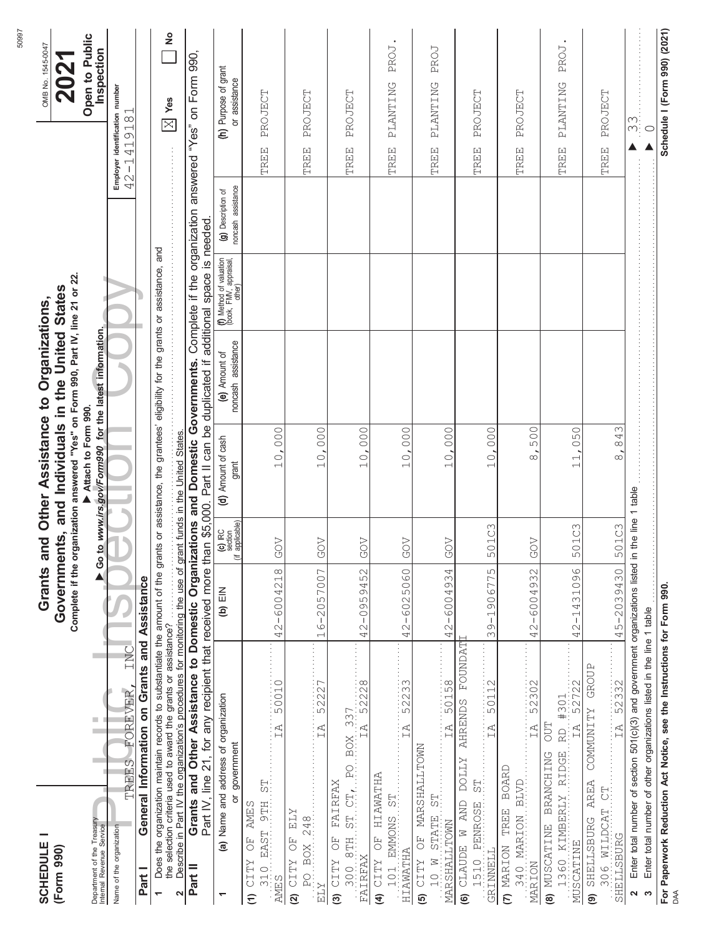| <b>SCHEDULE</b>                                                                                            |                                                                                                                                                                                                                                                       |                                       |                                        | Grants and Other Assistance to Organizations,                                                                                         |                                     |                                                                 |                                          |                                              | OMB No. 1545-0047            |
|------------------------------------------------------------------------------------------------------------|-------------------------------------------------------------------------------------------------------------------------------------------------------------------------------------------------------------------------------------------------------|---------------------------------------|----------------------------------------|---------------------------------------------------------------------------------------------------------------------------------------|-------------------------------------|-----------------------------------------------------------------|------------------------------------------|----------------------------------------------|------------------------------|
| (Form 990)                                                                                                 |                                                                                                                                                                                                                                                       |                                       |                                        | Complete if the organization answered "Yes" on Form 990, Part IV, line 21 or 22.<br>Governments, and Individuals in the United States |                                     |                                                                 |                                          |                                              | 2021                         |
| Department of the Treasury<br>Internal Revenue Service                                                     | $\blacksquare$                                                                                                                                                                                                                                        |                                       |                                        | Go to www.irs.gov/Form990 for the latest information.<br>Attach to Form 990.                                                          |                                     |                                                                 |                                          |                                              | Open to Public<br>Inspection |
| Name of the organization                                                                                   | INC<br>FOREVER<br>TREES                                                                                                                                                                                                                               |                                       |                                        |                                                                                                                                       |                                     |                                                                 |                                          | Employer identification number<br>42-1419181 |                              |
| Part I                                                                                                     | General Information on Grants and Assistance                                                                                                                                                                                                          |                                       |                                        |                                                                                                                                       |                                     |                                                                 |                                          |                                              |                              |
| $\overline{ }$                                                                                             | Does the organization maintain records to substantiate the amount of the grants or assistance, the grantees' eligibility for the grants or assistance, and<br>the selection criteria used to award the grants or assistance?                          |                                       |                                        |                                                                                                                                       |                                     |                                                                 |                                          | $\boxed{\mathbb{X}}$ Yes                     | $\frac{1}{2}$                |
| 2                                                                                                          | ure serection of the transformation is grams of assistance:<br>Describe in Part IV the organization's procedures for monitoring the use of grant funds in the United States.                                                                          |                                       |                                        |                                                                                                                                       |                                     |                                                                 |                                          |                                              |                              |
| Part II                                                                                                    | Grants and Other Assistance to Domestic Organizations and Domestic Governments. Complete if the organization answered<br>Part IV, line 21, for any recipient that received more than \$5,000. Part II can be duplicated if additional space is needed |                                       |                                        |                                                                                                                                       |                                     |                                                                 |                                          | "Yes" on Form 990,                           |                              |
| ð<br>٣                                                                                                     | (a) Name and address of organization<br>government                                                                                                                                                                                                    | $(b)$ $EIN$                           | (c) IRC<br>section<br>applicable)<br>這 | (d) Amount of cash<br>grant                                                                                                           | noncash assistance<br>(e) Amount of | (f) Method of valuation<br>  (book, FMV, appraisal,<br>  other) | noncash assistance<br>(g) Description of | (h) Purpose of grant<br>or assistance        |                              |
| is<br>S<br>EAST 9TH<br><b>AMES</b><br>$\overline{C}$<br><b>CITY</b><br>310<br>AMES<br>$\widehat{\epsilon}$ | 50010<br>IA                                                                                                                                                                                                                                           | $\infty$<br>42-600421                 | <b>GOV</b>                             | 10,000                                                                                                                                |                                     |                                                                 |                                          | PROJECT<br>TREE                              |                              |
| 248<br><b>ZTH</b><br>F)<br>RO BOX<br>(2) $CITY$<br>$\ensuremath{\text{ELY}}$                               | $\begin{array}{c} \bullet & \bullet & \bullet \\ \bullet & \bullet & \bullet \\ \bullet & \bullet & \bullet \\ \bullet & \bullet & \bullet \end{array}$<br>52227<br>ΙĀ                                                                                | 6-2057007<br>$\overline{\phantom{0}}$ | <b>GOV</b>                             | 10,000                                                                                                                                |                                     |                                                                 |                                          | PROJECT<br>TREE                              |                              |
| $BTH = STL \tL = FQ$<br>FAIRFAX<br>F)<br>FAIRFAX<br><b>CITY</b><br>300<br>3                                | BOX 337<br>IA 52228                                                                                                                                                                                                                                   | 52<br>$2 - 09594$<br>4                | GOV                                    | 000.<br>10,                                                                                                                           |                                     |                                                                 |                                          | PROJECT<br><b>TREE</b>                       |                              |
| HIAWATHA<br>101 EMMONS ST<br>F<br>O<br>HIAWATHA<br>$(4)$ CITY                                              | 52233<br>$\overline{L}$                                                                                                                                                                                                                               | $2 - 6025060$<br>4                    | <b>GOV</b>                             | 10,000                                                                                                                                |                                     |                                                                 |                                          | PLANTING<br>TREE                             | PROJ.                        |
| OF MARSHALLTOWN<br>$50 \frac{1}{10}$<br>I STATE<br>MARSHALLTOWN<br>N 01<br>(TTTY)                          | 50158<br>$\overline{I}$ $\overline{A}$                                                                                                                                                                                                                | 42-6004934                            | <b>GOV</b>                             | 10,000                                                                                                                                |                                     |                                                                 |                                          | PLANTING<br><b>TREE</b>                      | PROJ                         |
| EC<br>SI:<br><b>AND</b><br>1510 PENROSE<br>$(6)$ CLAUDE $\overline{W}$<br><b>GRINNELL</b>                  | <b>FOUNDAT</b><br>50112<br><b>AHRENDS</b><br>İÄ<br><b>ZTTOO</b>                                                                                                                                                                                       | $-1906775$<br>S<br>$\infty$           | 501C3                                  | 000<br>10                                                                                                                             |                                     |                                                                 |                                          | PROJECT<br><b>TREE</b>                       |                              |
| S40 MARION BLVD<br>(7) MARION TREE<br>MARION                                                               | 52302<br>IA<br><b>BOARD</b>                                                                                                                                                                                                                           | $-6004932$<br>42.                     | <b>GOV</b>                             | 500<br>$\infty$                                                                                                                       |                                     |                                                                 |                                          | PROJECT<br><b>TREE</b>                       |                              |
| 1360 KIMBERLY RIDGE<br>(8) MUSCATINE<br>MUSCATINE                                                          | I RD #301<br>IA 52722<br>DUL<br>BRANCHING                                                                                                                                                                                                             | $-1431096$<br>$\mathcal{O}$<br>4      | 501C3                                  | 050<br>$\overline{\overline{11}}$                                                                                                     |                                     |                                                                 |                                          | PLANTING<br><b>TREE</b>                      | PROJ                         |
| $306$ WILDCAT $CT$<br>SHELLSBURG AREA<br>SHELLSBURG<br>ම                                                   | 52332<br>COMMUNITY GROUP<br>TA                                                                                                                                                                                                                        | 45-2039430                            | 501C3                                  | 843<br>$\sim$                                                                                                                         |                                     |                                                                 |                                          | PROJECT<br><b>TREE</b>                       |                              |
| $\mathbf{\Omega}$<br>S                                                                                     | Enter total number of section 501(c)(3) and government organizations listed in<br>Enter total number of other organizations listed in the line 1 table                                                                                                |                                       | the line 1 table                       |                                                                                                                                       |                                     |                                                                 |                                          | $\frac{1}{2}$<br>$\bigcirc$                  |                              |
| DAA                                                                                                        | For Paperwork Reduction Act Notice, see the Instructions for Form 990.                                                                                                                                                                                |                                       |                                        |                                                                                                                                       |                                     |                                                                 |                                          | Schedule I (Form 990) (2021)                 |                              |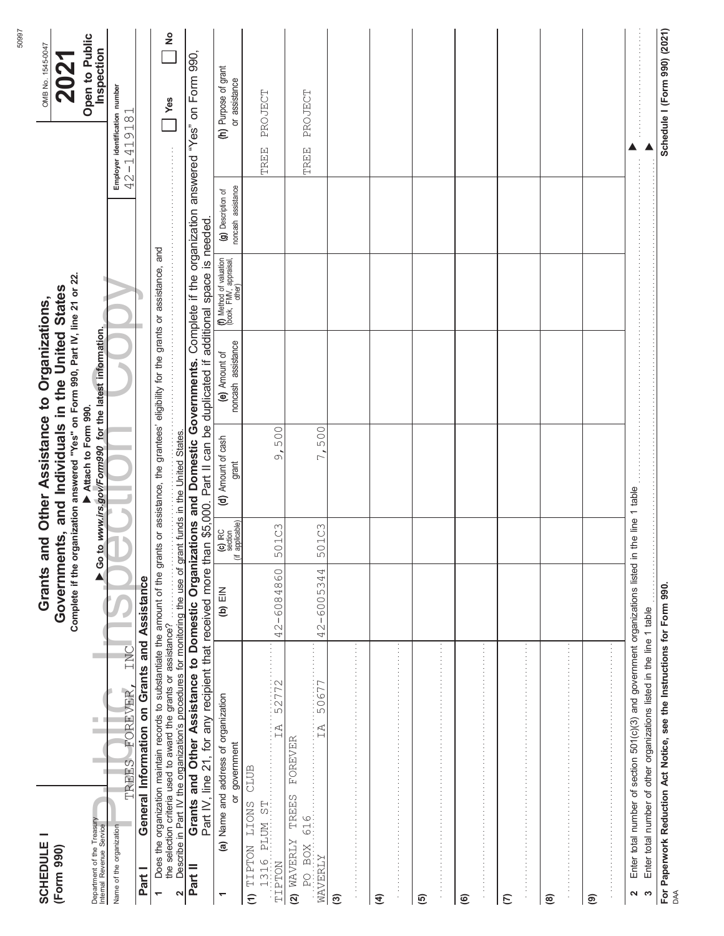| -<br><b>SCHEDULE</b>                                                       |                                                                                                                                                                                                                                                                          |                            |                                              | Grants and Other Assistance to Organizations,                                                                                         |                                     |                                                             |                                          |                                              | OMB No. 1545-0047            |
|----------------------------------------------------------------------------|--------------------------------------------------------------------------------------------------------------------------------------------------------------------------------------------------------------------------------------------------------------------------|----------------------------|----------------------------------------------|---------------------------------------------------------------------------------------------------------------------------------------|-------------------------------------|-------------------------------------------------------------|------------------------------------------|----------------------------------------------|------------------------------|
| (Form 990)                                                                 |                                                                                                                                                                                                                                                                          |                            |                                              | Complete if the organization answered "Yes" on Form 990, Part IV, line 21 or 22.<br>Governments, and Individuals in the United States |                                     |                                                             |                                          |                                              | 2021                         |
|                                                                            |                                                                                                                                                                                                                                                                          |                            |                                              | Attach to Form 990.                                                                                                                   |                                     |                                                             |                                          |                                              | Open to Public               |
| Department of the Treasury<br>Internal Revenue Service                     | $\overline{\phantom{a}}$                                                                                                                                                                                                                                                 | $\blacktriangleright$ Go t |                                              | to www.irs.gov/Form990 for the latest information.                                                                                    |                                     |                                                             |                                          |                                              | Inspection                   |
| Name of the organization                                                   | INC<br>FOREVER,<br><b>TREES</b>                                                                                                                                                                                                                                          |                            |                                              |                                                                                                                                       |                                     |                                                             |                                          | Employer identification number<br>42-1419181 |                              |
| Part I                                                                     | General Information on Grants and Assistance                                                                                                                                                                                                                             |                            |                                              |                                                                                                                                       |                                     |                                                             |                                          |                                              |                              |
| $\overline{ }$                                                             | Does the organization maintain records to substantiate the amount of the grants or assistance, the grantees' eligibility for the grants or assistance, and                                                                                                               |                            |                                              |                                                                                                                                       |                                     |                                                             |                                          |                                              |                              |
| $\sim$                                                                     | the selection criteria used to award the grants or assistance?                                                                                                                                                                                                           |                            |                                              |                                                                                                                                       |                                     |                                                             |                                          | <b>Yes</b>                                   | $\frac{1}{2}$                |
| Part II                                                                    | Grants and Other Assistance to Domestic Organizations and Domestic Governments. Complete if the organization answered "Yes" on Form 990,<br>Part IV, line 21, for any recipient that received more than \$5,000. Part II can be duplicated if additional space is needed |                            |                                              |                                                                                                                                       |                                     |                                                             |                                          |                                              |                              |
| $\overline{\phantom{0}}$                                                   | (a) Name and address of organization<br>or government                                                                                                                                                                                                                    | $(b)$ $EIN$                | $(c)$ IRC<br>section<br>applicable)<br>這<br> | (d) Amount of cash<br>grant                                                                                                           | noncash assistance<br>(e) Amount of | (f) Method of valuation<br>(book, FMV, appraisal,<br>other) | noncash assistance<br>(g) Description of | (h) Purpose of grant<br>or assistance        |                              |
| 1316 PLUM ST<br>TIPTON LIONS<br>TIPTON<br>$\widehat{\epsilon}$             | 52772<br>.<br>IA<br>CLUB                                                                                                                                                                                                                                                 | 42-6084860                 | 501C3                                        | 500<br>$\overline{\circ}$                                                                                                             |                                     |                                                             |                                          | PROJECT<br>TREE                              |                              |
| $\overline{AB}$ $\overline{BCX}$ 616.<br>TREES<br>$(2)$ WAVERLY<br>WAVERLY | $\frac{50677}{}$<br>FOREVER                                                                                                                                                                                                                                              | 42-6005344                 | 501C3                                        | 500<br>$\overline{ }$                                                                                                                 |                                     |                                                             |                                          | PROJECT<br>TREE                              |                              |
| ම                                                                          | 医血管中枢 医血管中枢 医血管中枢 医血管中枢 医血管中枢 医血管中枢 医血管中枢 医血管中枢 医血管中枢 医血管中枢 医血管中枢 医血管中枢 医血管                                                                                                                                                                                              |                            |                                              |                                                                                                                                       |                                     |                                                             |                                          |                                              |                              |
| $\widehat{\mathbf{f}}$                                                     |                                                                                                                                                                                                                                                                          |                            |                                              |                                                                                                                                       |                                     |                                                             |                                          |                                              |                              |
| <u>ම</u>                                                                   | 医皮肤病 医单位的 医单位的 医单位的 医单位的 医单位的 医单位的 医单位的 医血清性 医血清性 医血清性 医血清性 医血清性血清                                                                                                                                                                                                       |                            |                                              |                                                                                                                                       |                                     |                                                             |                                          |                                              |                              |
| $\widehat{\mathbf{e}}$                                                     |                                                                                                                                                                                                                                                                          |                            |                                              |                                                                                                                                       |                                     |                                                             |                                          |                                              |                              |
| $\epsilon$                                                                 |                                                                                                                                                                                                                                                                          |                            |                                              |                                                                                                                                       |                                     |                                                             |                                          |                                              |                              |
| ම                                                                          | 医皮质性皮质 医皮质性皮质 医皮质性皮质 医皮质性皮质 医皮质性皮质 医皮质性皮质 医皮质性皮质 医皮质性皮质 医皮质性皮质 医皮质性皮质 医皮质性皮质 化分析                                                                                                                                                                                         |                            |                                              |                                                                                                                                       |                                     |                                                             |                                          |                                              |                              |
| ම                                                                          | きょうきょう きょうきょう きょうきょう きょうきょう きょうきょう きょうきょう きょうきょう きょうきょう きょうきょう きょうきょう                                                                                                                                                                                                    |                            |                                              |                                                                                                                                       |                                     |                                                             |                                          |                                              |                              |
| S<br>2                                                                     | Enter total number of section 501(c)(3) and government organizations listed in<br>Enter total number of other organizations listed in the line 1 table                                                                                                                   |                            | the line 1 table                             |                                                                                                                                       |                                     |                                                             |                                          |                                              |                              |
| DAA                                                                        | For Paperwork Reduction Act Notice, see the Instructions for Form 990.                                                                                                                                                                                                   |                            |                                              |                                                                                                                                       |                                     |                                                             |                                          |                                              | Schedule I (Form 990) (2021) |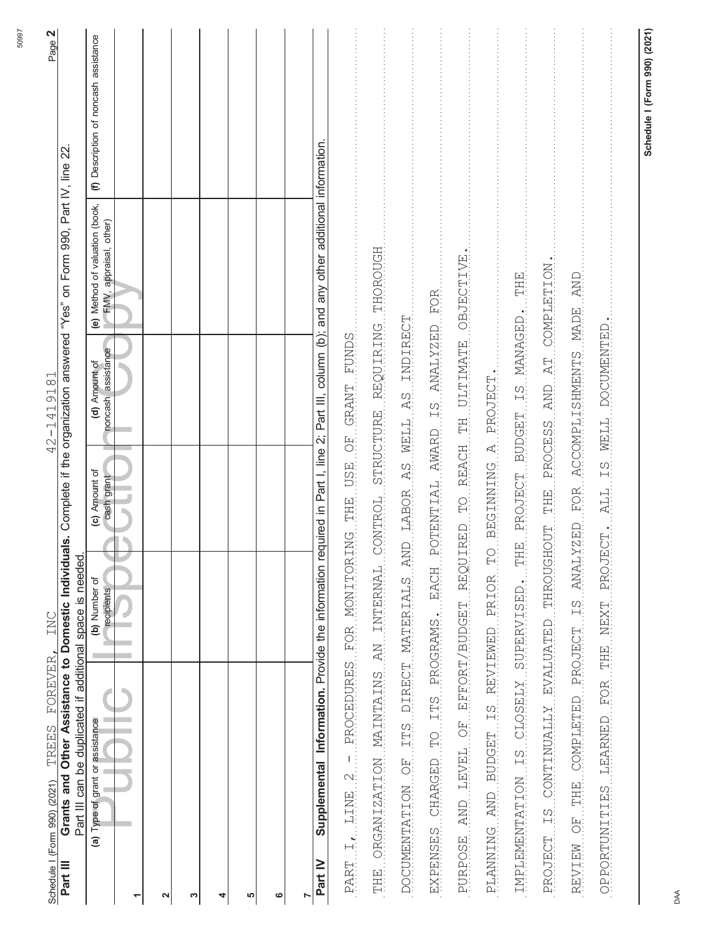| 42-1419181<br>INC<br>FOREVER,<br>TREES<br>Schedule I (Form 990) (2021)                                                                               | Page 2                                                                                                                                   |
|------------------------------------------------------------------------------------------------------------------------------------------------------|------------------------------------------------------------------------------------------------------------------------------------------|
| Grants and Other Assistance to Domestic Individual<br>Part III can be duplicated if additional space is needed<br>Part III                           | s. Complete if the organization answered "Yes" on Form 990, Part IV, line 22.                                                            |
| (c) Amount of<br>cash grant<br>(b) Number of<br>recipients<br>(a) Type of grant or assistance                                                        | (f) Description of noncash assistance<br>(e) Method of valuation (book,<br>FMV, appraisal, other)<br>noncash assistance<br>(d) Amount of |
|                                                                                                                                                      |                                                                                                                                          |
| 2                                                                                                                                                    |                                                                                                                                          |
| S                                                                                                                                                    |                                                                                                                                          |
| 4                                                                                                                                                    |                                                                                                                                          |
| 5                                                                                                                                                    |                                                                                                                                          |
| ဖ                                                                                                                                                    |                                                                                                                                          |
|                                                                                                                                                      |                                                                                                                                          |
| Supplemental Information. Provide the information required in Part I, line 2; Part III, column (b); and any other additional information.<br>Part IV |                                                                                                                                          |
| PART I. LINE 2 - PROCEDURES FOR MONITORING THE USE GRANT GRANT FUNDS                                                                                 |                                                                                                                                          |
| THE ORGANIZATION MAINTAINS AN INTERNAL CONTROL STRUCTURE REQUIRE REQUIRE THOROUGH                                                                    |                                                                                                                                          |
| DOCUMENTARION OF ITES DIRECT MATERIALS AND LABOR AS MELL AS INDIRECT                                                                                 |                                                                                                                                          |
| EXPENSES CHARGED TO ITS PROGRAMS. EACH POTENTIAL AWARD IS ANALYZED FOR                                                                               |                                                                                                                                          |
| RURPOSE AND LEVEL OF EFFORT/BUDGET REQUIRED TO REACH THE ULTIMATE OBJECTIVE.                                                                         |                                                                                                                                          |
| BEGINNING A PROJECT.<br>PLANNING AND BUDGET IS REVIEWED PRIOR TO                                                                                     |                                                                                                                                          |
| IMPLEMENTATION IS CLOSELY SUPERVISED. THE PROJECT BUDGET IS MANAGED. ITH                                                                             |                                                                                                                                          |
| PROJECT IS CONTINUALLY EVALUATED THROUGHOUT THE PROCESS AND AT COMPLITED.                                                                            |                                                                                                                                          |
| REVIEW OF THE COMPLETING THANKS ON PROJECT IS ANALYZED FOR ACCOMPLISHMENTS NADE BOLD                                                                 |                                                                                                                                          |
| OPPORTUNITIES LEARNED FOR THE NEXT PROJECT. ALL IS WELL DOCUMENTED.                                                                                  |                                                                                                                                          |
|                                                                                                                                                      | Schedule I (Form 990) (2021)                                                                                                             |
|                                                                                                                                                      |                                                                                                                                          |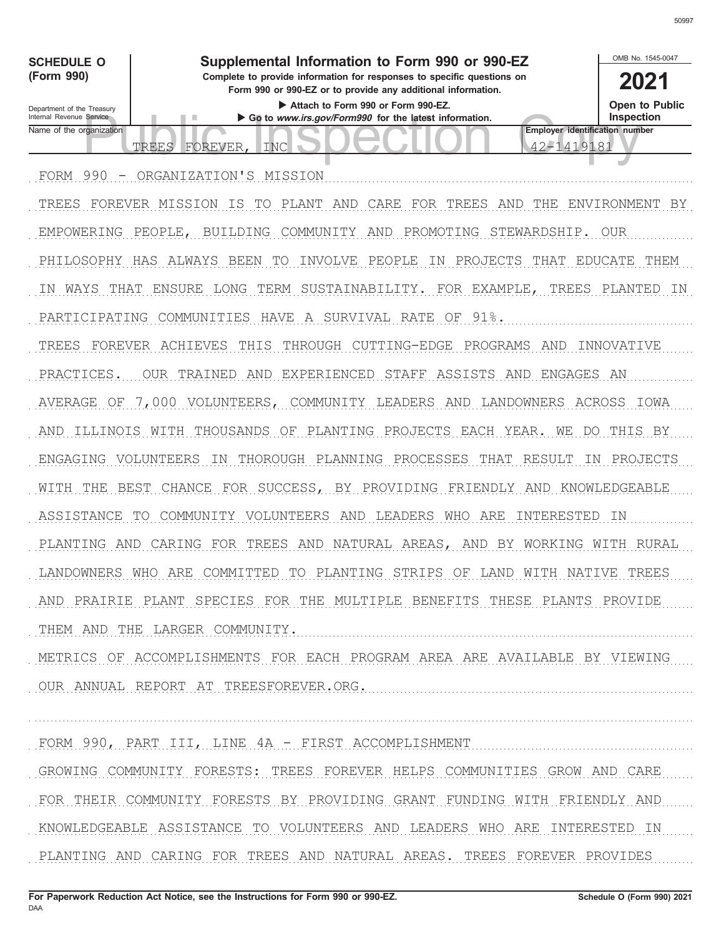

FOR THEIR COMMUNITY FORESTS BY PROVIDING GRANT FUNDING WITH FRIENDLY AND KNOWLEDGEABLE ASSISTANCE TO VOLUNTEERS AND LEADERS WHO ARE INTERESTED IN

PLANTING AND CARING FOR TREES AND NATURAL AREAS. TREES FOREVER PROVIDES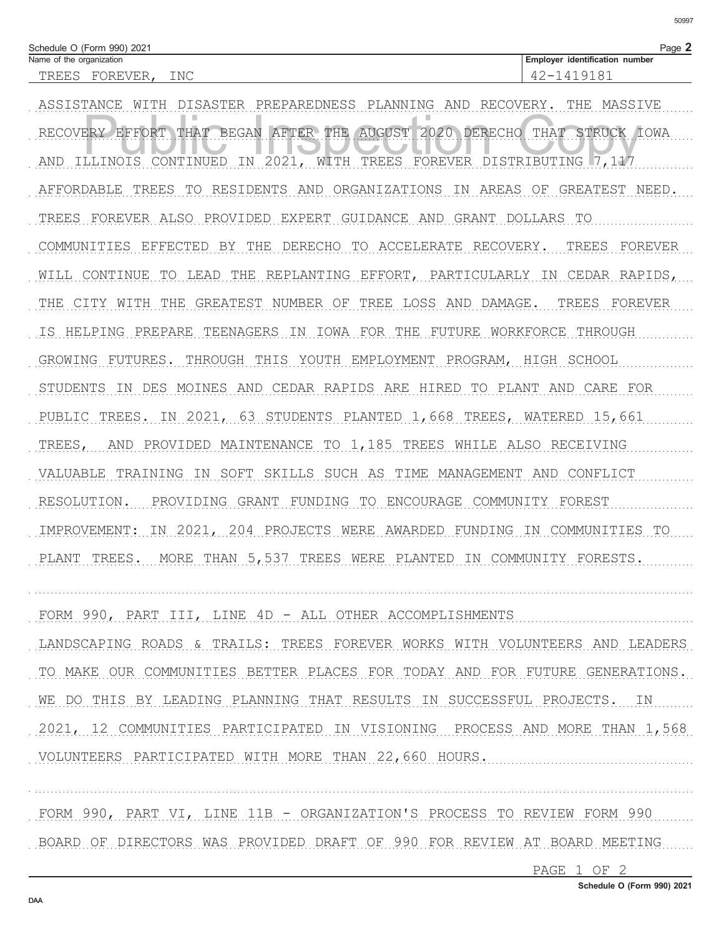| Schedule O (Form 990) 2021 |               |           |                                | Page. |
|----------------------------|---------------|-----------|--------------------------------|-------|
| Name of the organization   |               |           | Employer identification number |       |
| . RFT<br>∸∸∽⊣∽             | $H \ltimes H$ | TNC<br>∸∸ | ◡<br>Д<br>⊻<br>↵<br>ے ۔        |       |

ASSISTANCE WITH DISASTER PREPAREDNESS PLANNING AND RECOVERY. THE MASSIVE RECOVERY EFFORT THAT BEGAN AFTER THE AUGUST 2020 DERECHO THAT STRUCK IOWA AND ILLINOIS CONTINUED IN 2021, WITH TREES FOREVER DISTRIBUTING 7,117 AFFORDABLE TREES TO RESIDENTS AND ORGANIZATIONS IN AREAS OF GREATEST NEED. TREES FOREVER ALSO PROVIDED EXPERT GUIDANCE AND GRANT DOLLARS TO COMMUNITIES EFFECTED BY THE DERECHO TO ACCELERATE RECOVERY. TREES FOREVER WILL CONTINUE TO LEAD THE REPLANTING EFFORT, PARTICULARLY IN CEDAR RAPIDS, THE CITY WITH THE GREATEST NUMBER OF TREE LOSS AND DAMAGE. TREES FOREVER IS HELPING PREPARE TEENAGERS IN IOWA FOR THE FUTURE WORKFORCE THROUGH GROWING FUTURES. THROUGH THIS YOUTH EMPLOYMENT PROGRAM, HIGH SCHOOL STUDENTS IN DES MOINES AND CEDAR RAPIDS ARE HIRED TO PLANT AND CARE FOR PUBLIC TREES. IN 2021, 63 STUDENTS PLANTED 1,668 TREES, WATERED 15,661 TREES, AND PROVIDED MAINTENANCE TO 1,185 TREES WHILE ALSO RECEIVING VALUABLE TRAINING IN SOFT SKILLS SUCH AS TIME MANAGEMENT AND CONFLICT RESOLUTION. PROVIDING GRANT FUNDING TO ENCOURAGE COMMUNITY FOREST IMPROVEMENT: IN 2021, 204 PROJECTS WERE AWARDED FUNDING IN COMMUNITIES TO PLANT TREES. MORE THAN 5,537 TREES WERE PLANTED IN COMMUNITY FORESTS.

FORM 990, PART III, LINE 4D - ALL OTHER ACCOMPLISHMENTS LANDSCAPING ROADS & TRAILS: TREES FOREVER WORKS WITH VOLUNTEERS AND LEADERS TO MAKE OUR COMMUNITIES BETTER PLACES FOR TODAY AND FOR FUTURE GENERATIONS. WE DO THIS BY LEADING PLANNING THAT RESULTS IN SUCCESSFUL PROJECTS. IN 2021, 12 COMMUNITIES PARTICIPATED IN VISIONING PROCESS AND MORE THAN 1,568 VOLUNTEERS PARTICIPATED WITH MORE THAN 22,660 HOURS.

FORM 990, PART VI, LINE 11B - ORGANIZATION'S PROCESS TO REVIEW FORM 990 BOARD OF DIRECTORS WAS PROVIDED DRAFT OF 990 FOR REVIEW AT BOARD MEETING

PAGE 1 OF 2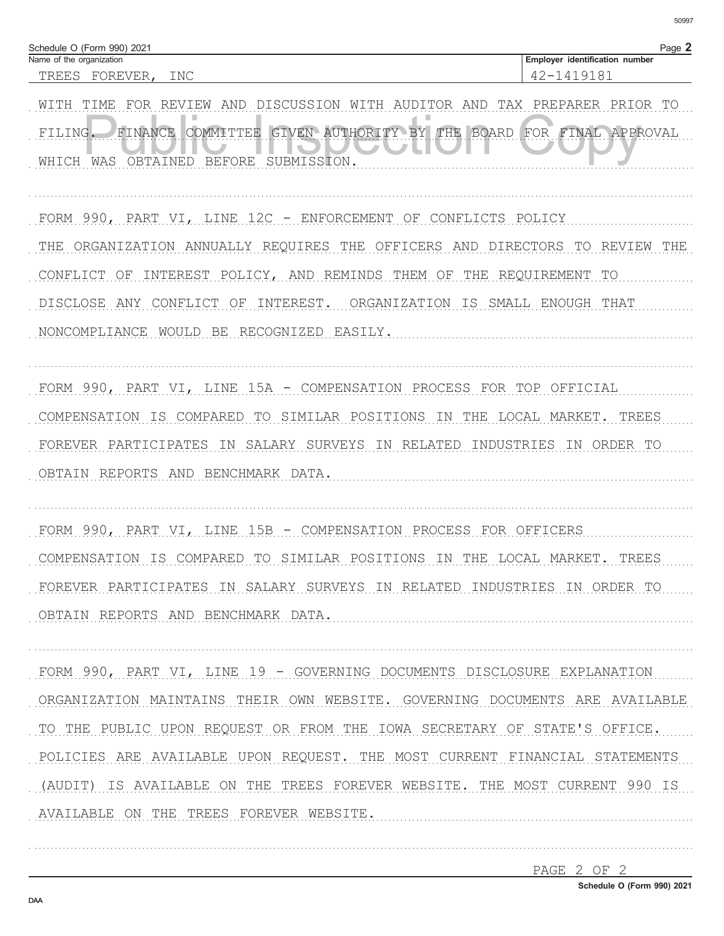| Schedule O (Form 990) 2021<br>Name of the organization                        | Page 2<br>Employer identification number |
|-------------------------------------------------------------------------------|------------------------------------------|
| TREES FOREVER,<br>INC                                                         | 42-1419181                               |
| WITH TIME<br>FOR REVIEW AND DISCUSSION WITH AUDITOR AND TAX PREPARER PRIOR TO |                                          |
| GIVEN AUTHORITY BY THE BOARD<br>FINANCE COMMITTEE<br>FILING.                  | FOR FINAL APPROVAL                       |
| OBTAINED BEFORE SUBMISSION.<br>WHICH WAS                                      |                                          |
| FORM 990, PART VI, LINE 12C - ENFORCEMENT OF CONFLICTS POLICY                 |                                          |
| THE ORGANIZATION ANNUALLY REQUIRES THE OFFICERS AND DIRECTORS                 | REVIEW<br>TO<br>THE                      |
| INTEREST POLICY, AND REMINDS THEM OF THE REQUIREMENT<br>CONFLICT OF           | TO                                       |
| INTEREST.<br>DISCLOSE ANY<br>CONFLICT OF                                      | ORGANIZATION IS SMALL ENOUGH THAT        |
| NONCOMPLIANCE WOULD BE<br>RECOGNIZED EASILY.                                  |                                          |
| FORM 990, PART VI, LINE 15A - COMPENSATION PROCESS FOR TOP OFFICIAL           |                                          |
| COMPENSATION IS COMPARED TO SIMILAR POSITIONS IN THE LOCAL MARKET.            | TREES                                    |
| SALARY SURVEYS IN RELATED<br>FOREVER PARTICIPATES IN                          | INDUSTRIES IN ORDER TO                   |
| OBTAIN REPORTS AND BENCHMARK DATA.                                            |                                          |
| FORM 990, PART VI, LINE 15B - COMPENSATION PROCESS FOR OFFICERS               |                                          |
| COMPENSATION IS COMPARED TO SIMILAR POSITIONS IN THE LOCAL MARKET.            | TREES                                    |
| FOREVER PARTICIPATES IN SALARY SURVEYS IN RELATED INDUSTRIES IN ORDER TO      |                                          |
| OBTAIN REPORTS AND BENCHMARK DATA.                                            |                                          |
| FORM 990, PART VI, LINE 19 - GOVERNING DOCUMENTS DISCLOSURE EXPLANATION       |                                          |
| ORGANIZATION MAINTAINS THEIR OWN WEBSITE. GOVERNING DOCUMENTS ARE AVAILABLE   |                                          |
| TO THE PUBLIC UPON REQUEST OR FROM THE IOWA SECRETARY OF STATE'S OFFICE.      |                                          |
| POLICIES ARE AVAILABLE UPON REQUEST. THE MOST CURRENT FINANCIAL STATEMENTS    |                                          |
| (AUDIT) IS AVAILABLE ON THE TREES FOREVER WEBSITE. THE MOST CURRENT 990 IS    |                                          |
| AVAILABLE ON THE TREES FOREVER WEBSITE.                                       |                                          |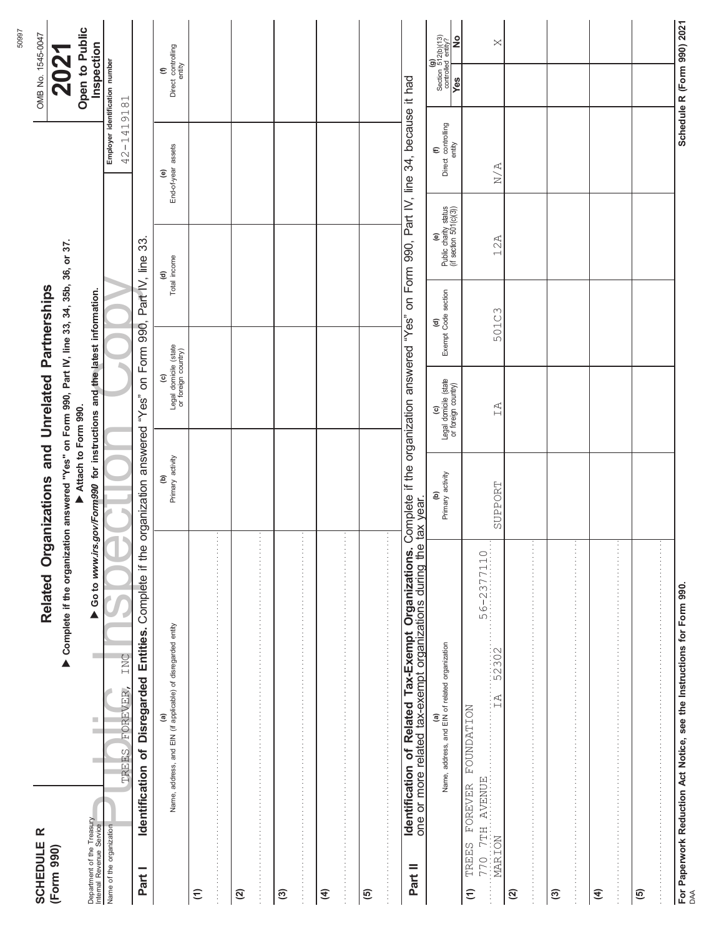| <b>SCHEDULE R</b><br>(Form 990)                                                           |                                                                                                                | Related Organizations and Unrelated Partnerships                                                       |                                                     |                            |                                                        |                                              | OMB No. 1545-0047                                                                                                                   |
|-------------------------------------------------------------------------------------------|----------------------------------------------------------------------------------------------------------------|--------------------------------------------------------------------------------------------------------|-----------------------------------------------------|----------------------------|--------------------------------------------------------|----------------------------------------------|-------------------------------------------------------------------------------------------------------------------------------------|
|                                                                                           | ▶ Complete if the organization answered "Yes" on Form 990, Part IV, line 33, 34, 35b, 36, or 37.               | Attach to Form 990.                                                                                    |                                                     |                            |                                                        |                                              | Open to Public<br>2021                                                                                                              |
| Department of the Treasury<br>Internal Revenue Service                                    | <b>COL</b><br><b>COL</b>                                                                                       | Go to www.irs.gov/Form990 for instructions and the latest information.                                 |                                                     |                            |                                                        |                                              | Inspection                                                                                                                          |
| Name of the organization                                                                  | INC<br>FOREVER,<br>TREES                                                                                       |                                                                                                        |                                                     |                            |                                                        | 42-1419181                                   | Employer identification number                                                                                                      |
| Identification of<br>Part I                                                               | Complete if the<br>Entities.<br>Disregarded                                                                    | organization answered "Yes" on Form 990,                                                               |                                                     |                            | Part IV, line 33                                       |                                              |                                                                                                                                     |
|                                                                                           | (a)<br>Name, address, and EIN (if applicable) of disregarded entity                                            | Primary activity<br>ê                                                                                  | (c)<br>Legal domicile (state<br>or foreign country) |                            | Total income<br>$\widehat{\mathbf{c}}$                 | End-of-year assets<br>$\widehat{\mathbf{e}}$ | (f)<br>Direct controlling<br>entity                                                                                                 |
| $\widehat{E}$                                                                             |                                                                                                                |                                                                                                        |                                                     |                            |                                                        |                                              |                                                                                                                                     |
|                                                                                           |                                                                                                                | ÷                                                                                                      |                                                     |                            |                                                        |                                              |                                                                                                                                     |
| ପ                                                                                         |                                                                                                                |                                                                                                        |                                                     |                            |                                                        |                                              |                                                                                                                                     |
|                                                                                           |                                                                                                                | ÷                                                                                                      |                                                     |                            |                                                        |                                              |                                                                                                                                     |
| $\mathfrak{S}$                                                                            |                                                                                                                |                                                                                                        |                                                     |                            |                                                        |                                              |                                                                                                                                     |
|                                                                                           |                                                                                                                | Ì.                                                                                                     |                                                     |                            |                                                        |                                              |                                                                                                                                     |
| E                                                                                         |                                                                                                                |                                                                                                        |                                                     |                            |                                                        |                                              |                                                                                                                                     |
|                                                                                           |                                                                                                                | ÷,                                                                                                     |                                                     |                            |                                                        |                                              |                                                                                                                                     |
| <u>ම</u>                                                                                  |                                                                                                                |                                                                                                        |                                                     |                            |                                                        |                                              |                                                                                                                                     |
|                                                                                           |                                                                                                                | ÷                                                                                                      |                                                     |                            |                                                        |                                              |                                                                                                                                     |
| Part II                                                                                   | Identification of Related Tax-Exempt Organizations.<br>one or more related tax-exempt organizations during the | Complete if the organization answered "Yes" on Form 990, Part IV, line 34, because it had<br>tax year. |                                                     |                            |                                                        |                                              |                                                                                                                                     |
|                                                                                           | (a)<br>Name, address, and EIN of related organization                                                          | Primary activity<br>ê                                                                                  | (c)<br>Legal domicile (state<br>or foreign country) | (d)<br>Exempt Code section | (e)<br>Public charity status<br>(if section 501(c)(3)) | (f)<br>Direct controlling<br>entity          | $\text{Section } \begin{pmatrix} \mathbf{g} \\ 512(\text{b})(13) \\ \text{controlled entity?} \end{pmatrix}$<br>ž<br>$\frac{1}{88}$ |
| AVENUE<br>FOREVER<br>$7\,\mathrm{TH}$ .<br>MARION<br><b>TREES</b><br>770<br>$\widehat{z}$ | $6 - 2377110$<br>ம் :<br>52302<br>$\tilde{H}$ :<br><b>NOTINDATION</b>                                          | SUPPORT                                                                                                | IA                                                  | 501C3                      | 12A                                                    | N/A                                          | $\bowtie$                                                                                                                           |
| $\mathfrak{D}$                                                                            |                                                                                                                |                                                                                                        |                                                     |                            |                                                        |                                              |                                                                                                                                     |
| ල                                                                                         |                                                                                                                |                                                                                                        |                                                     |                            |                                                        |                                              |                                                                                                                                     |
| $\widehat{\mathcal{A}}$                                                                   |                                                                                                                |                                                                                                        |                                                     |                            |                                                        |                                              |                                                                                                                                     |
| $\overline{6}$                                                                            |                                                                                                                |                                                                                                        |                                                     |                            |                                                        |                                              |                                                                                                                                     |
|                                                                                           | For Paperwork Reduction Act Notice, see the Instructions for Form 990<br><sub>DAA</sub>                        |                                                                                                        |                                                     |                            |                                                        |                                              | Schedule R (Form 990) 2021                                                                                                          |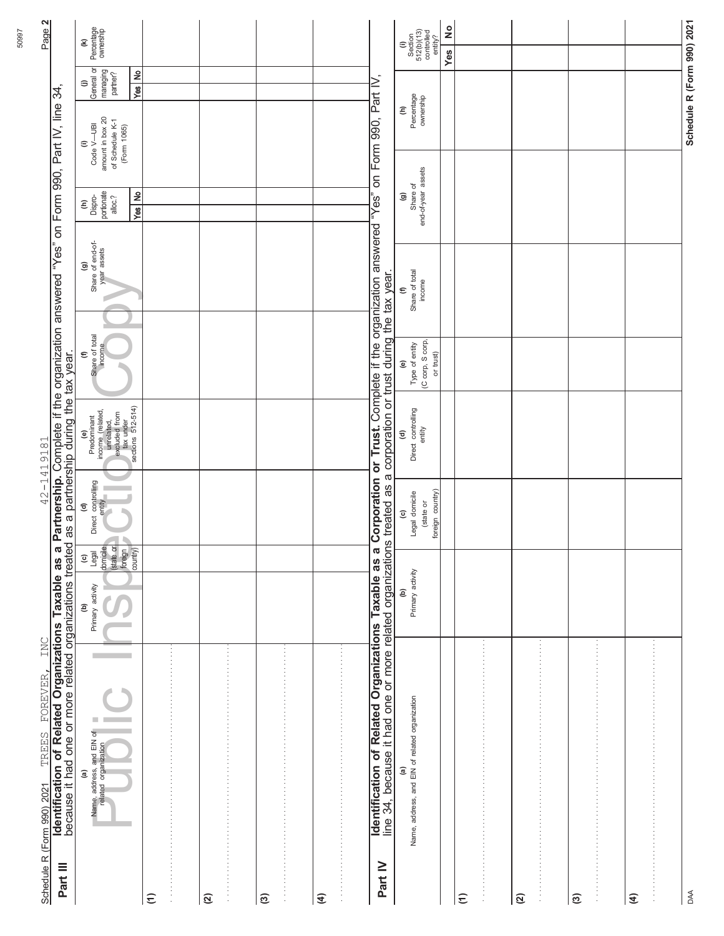|                          | Identification of Related Organizations Taxable as a<br>INC<br>FOREVER,<br>TREES<br>Schedule R (Form 990) 2021                                                                                                                         |                                                                                                                           |                                                                           | 42-1419181                                                                                                                                  |                                                                           | Partnership. Complete if the organization answered "Yes" on Form 990, Part IV, line 34, |                                                                       |                                                                                   |                                         | Page 2                                                |
|--------------------------|----------------------------------------------------------------------------------------------------------------------------------------------------------------------------------------------------------------------------------------|---------------------------------------------------------------------------------------------------------------------------|---------------------------------------------------------------------------|---------------------------------------------------------------------------------------------------------------------------------------------|---------------------------------------------------------------------------|-----------------------------------------------------------------------------------------|-----------------------------------------------------------------------|-----------------------------------------------------------------------------------|-----------------------------------------|-------------------------------------------------------|
| Part III                 | because it had one or more related organizations treated                                                                                                                                                                               |                                                                                                                           |                                                                           | as a partnership during the tax year.                                                                                                       |                                                                           |                                                                                         |                                                                       |                                                                                   |                                         |                                                       |
|                          | Name, address, and EIN of<br>related organization<br>$\widehat{\mathbf{e}}$                                                                                                                                                            | Legal<br>domicile<br>(state or<br>foreign<br>country)<br>$\widehat{\mathbf{c}}$<br>Primary activity<br>$\mathcal{L}$<br>ê | Direct controlling<br>entity<br>n,<br>€                                   | Predominant<br>income (related,<br>urrelated,<br>excluded from<br>excluded from<br>tax under<br>sections 512-514)<br>$\widehat{\mathbf{e}}$ | Share of total<br>income<br>$\boldsymbol{\epsilon}$                       | Share of end-of-<br>year assets<br>ම                                                    | Dispro-<br>portionate<br>alloc.?<br>$\widehat{\boldsymbol{\epsilon}}$ | amount in box 20<br>of Schedule K-1<br>Code V-UBI<br>(Form 1065)<br>$\widehat{=}$ | General or<br>managing<br>partner?<br>⊜ | Percentage<br>ownership<br>E                          |
| $\widehat{\epsilon}$     |                                                                                                                                                                                                                                        |                                                                                                                           |                                                                           |                                                                                                                                             |                                                                           |                                                                                         | $\epsilon$<br>Yes                                                     |                                                                                   | $\hat{\mathbf{z}}$<br>Yes               |                                                       |
| $\widehat{\alpha}$       |                                                                                                                                                                                                                                        |                                                                                                                           |                                                                           |                                                                                                                                             |                                                                           |                                                                                         |                                                                       |                                                                                   |                                         |                                                       |
| $\widehat{\mathfrak{S}}$ |                                                                                                                                                                                                                                        |                                                                                                                           |                                                                           |                                                                                                                                             |                                                                           |                                                                                         |                                                                       |                                                                                   |                                         |                                                       |
| $\widehat{f}$            |                                                                                                                                                                                                                                        |                                                                                                                           |                                                                           |                                                                                                                                             |                                                                           |                                                                                         |                                                                       |                                                                                   |                                         |                                                       |
| Part IV                  | <b>identification of Related Organizations Taxable as a Corporation or Trust.</b> Complete if the organization answered "Yes"<br>line 34, because it had one or more related organizations treated as a corporation or trust during th |                                                                                                                           |                                                                           |                                                                                                                                             |                                                                           |                                                                                         |                                                                       | on Form 990, Part IV,                                                             |                                         |                                                       |
|                          | Name, address, and EIN of related organization<br>a                                                                                                                                                                                    | Primary activity<br>ê                                                                                                     | foreign country)<br>Legal domicile<br>(state or<br>$\widehat{\mathbf{c}}$ | Direct controlling<br>entity<br>$\widehat{\mathbf{c}}$                                                                                      | (C corp, S corp,<br>Type of entity<br>or trust)<br>$\widehat{\mathbf{e}}$ | Share of total<br>income<br>$\epsilon$                                                  | Share of<br>end-of-year assets<br>$\widehat{\mathbf{e}}$              |                                                                                   | Percentage<br>ownership<br>Ê            | (i)<br>Section<br>512(b)(13)<br>controlled<br>entity? |
|                          |                                                                                                                                                                                                                                        |                                                                                                                           |                                                                           |                                                                                                                                             |                                                                           |                                                                                         |                                                                       |                                                                                   |                                         | ş<br>Yes                                              |
| $\widehat{\epsilon}$     |                                                                                                                                                                                                                                        |                                                                                                                           |                                                                           |                                                                                                                                             |                                                                           |                                                                                         |                                                                       |                                                                                   |                                         |                                                       |
| $\widehat{\mathfrak{A}}$ |                                                                                                                                                                                                                                        |                                                                                                                           |                                                                           |                                                                                                                                             |                                                                           |                                                                                         |                                                                       |                                                                                   |                                         |                                                       |
| $\widehat{\mathfrak{G}}$ |                                                                                                                                                                                                                                        |                                                                                                                           |                                                                           |                                                                                                                                             |                                                                           |                                                                                         |                                                                       |                                                                                   |                                         |                                                       |
| $\widehat{f}$            |                                                                                                                                                                                                                                        |                                                                                                                           |                                                                           |                                                                                                                                             |                                                                           |                                                                                         |                                                                       |                                                                                   |                                         |                                                       |
| DAA                      |                                                                                                                                                                                                                                        |                                                                                                                           |                                                                           |                                                                                                                                             |                                                                           |                                                                                         |                                                                       |                                                                                   | Schedule R (Form 990) 2021              |                                                       |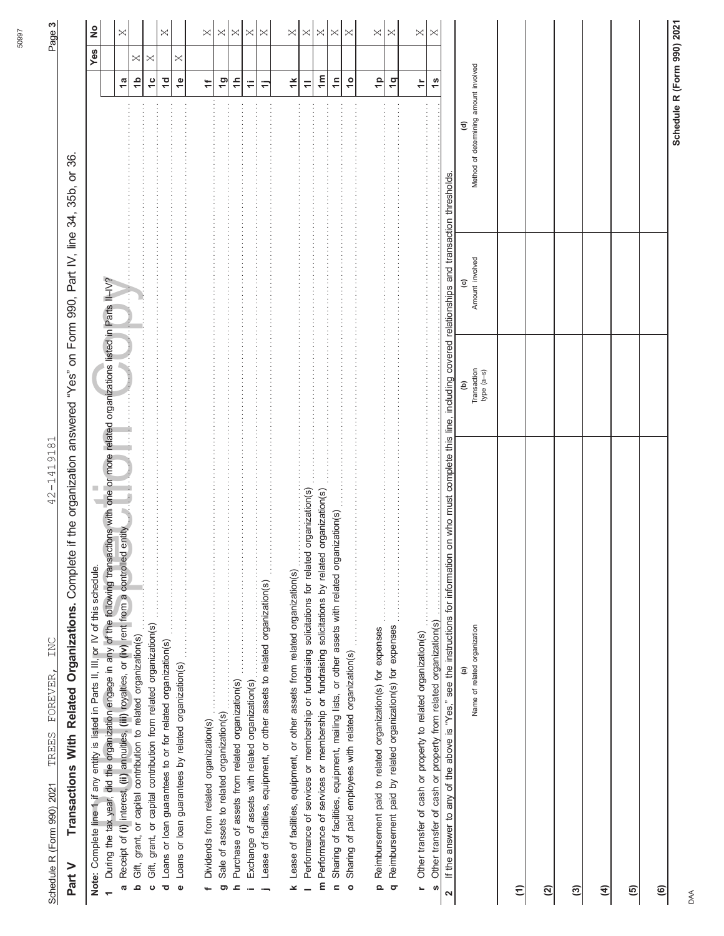| I                                                                                                                    |  |
|----------------------------------------------------------------------------------------------------------------------|--|
| くー・コ<br>;<br>;                                                                                                       |  |
| ֧֧֖֧֧֧֧֧֧֧֧֧֧֧֧֧֧֧֧֧֚֚֚֚֚֚֚֚֚֚֚֚֚֚֚֚֚֚֚֚֚֚֚֚֚֚֝֝֝֓֝֬֝֬֝֝֬֝֓֝֬֝֬֝֬֝֬֝֬֝֬֝֬֝֬֝֬֝֬֝֬֝֬֝֬<br>$\frac{1}{2}$<br>くししょう<br>j |  |
| ļ<br>;<br>;<br>;                                                                                                     |  |
| l<br>Ó                                                                                                               |  |

42-1419181

Transactions With Related Organizations. Complete if the organization answered "Yes" on Form 990, Part IV, line 34, 35b, or 36. **Transactions With Related Organizations.** Complete if the organization answered "Yes" on Form 990, Part IV, line 34, 35b, or 36. **Part V**

| Note: Complete line 1 if any entity is listed in Parts II, III, or IV of this schedule.                                                                                                                                                                                                                                                                                                  |                             |                 |                                       |                | Yes      | $\frac{1}{2}$ |
|------------------------------------------------------------------------------------------------------------------------------------------------------------------------------------------------------------------------------------------------------------------------------------------------------------------------------------------------------------------------------------------|-----------------------------|-----------------|---------------------------------------|----------------|----------|---------------|
| During the tax year, did the organization engage in any of the following transactions with one or more related organizations listed in Parts II–IV?                                                                                                                                                                                                                                      |                             |                 |                                       |                |          |               |
| j.<br>Receipt of (i) interest, (ii) annuities, (iii) royalties, or (iv) rent from a controlled entity<br>ര                                                                                                                                                                                                                                                                               |                             |                 |                                       | $\frac{a}{b}$  |          | $\bowtie$     |
| Gift, grant, or capital contribution to related organization(s)<br>م                                                                                                                                                                                                                                                                                                                     |                             |                 |                                       | $\frac{1}{2}$  | ×        |               |
| Gift, grant, or capital contribution from relationships and the contribution of the contribution of the contribution from relation(s)<br>$\ddot{\mathbf{c}}$                                                                                                                                                                                                                             |                             |                 |                                       | $\frac{c}{1}$  | $\times$ |               |
| Loans or loan guarantees to or for related organization(s)<br>ಕ                                                                                                                                                                                                                                                                                                                          |                             |                 |                                       | $\overline{c}$ |          | $\bowtie$     |
| ***************************<br>Loans or loan guarantees by related organization(s)<br>$\bullet$                                                                                                                                                                                                                                                                                          |                             |                 |                                       | $\mathbf{e}$   | ×        |               |
|                                                                                                                                                                                                                                                                                                                                                                                          |                             |                 |                                       |                |          |               |
| Dividends from related organization(s)<br>ų.                                                                                                                                                                                                                                                                                                                                             |                             |                 |                                       | $\ddot{}$      |          | X             |
| $\begin{array}{c}\n\vdots \\ \vdots \\ \vdots \\ \vdots\n\end{array}$<br>Sale of assets to related organization(s)<br>ත                                                                                                                                                                                                                                                                  |                             |                 |                                       | $\overline{a}$ |          | ×             |
| Purchase of assets from related organization(s)<br>ᇰ                                                                                                                                                                                                                                                                                                                                     |                             |                 |                                       | $\ddot{=}$     |          | ×             |
| $\frac{1}{2}$<br>Exchange of assets with related organization(s)                                                                                                                                                                                                                                                                                                                         |                             |                 |                                       | $\ddot{ }$     |          | $\times$      |
| Lease of facilities, equipment, or other assets to related organization(s)                                                                                                                                                                                                                                                                                                               |                             |                 |                                       | Φ              |          | $\times$      |
| $\frac{1}{2}$                                                                                                                                                                                                                                                                                                                                                                            |                             |                 |                                       |                |          |               |
| k Lease of facilities, equipment, or other assets from related organization(s)                                                                                                                                                                                                                                                                                                           |                             |                 |                                       | $\breve{}$     |          | ×.            |
| Performance of services or membership or fundraising solicitations for related organization(s)                                                                                                                                                                                                                                                                                           |                             |                 |                                       | $\equiv$       |          | ×             |
| m Performance of services or membership or fundraising solicitations by related organization(s)                                                                                                                                                                                                                                                                                          |                             |                 |                                       | $\mathbf{m}$   |          | $\times$      |
| Sharing of facilities, equipment, mailing lists, or other assets with related organization(s)<br>$\overline{a}$                                                                                                                                                                                                                                                                          |                             |                 |                                       | $\overline{1}$ |          | $\times$      |
| Sharing of paid employees with related organization(s)<br>$\circ$                                                                                                                                                                                                                                                                                                                        |                             |                 |                                       | $\frac{1}{2}$  |          | ×             |
|                                                                                                                                                                                                                                                                                                                                                                                          |                             |                 |                                       |                |          |               |
| Reimbursement paid to related organization(s) for expenses<br>$\Omega$                                                                                                                                                                                                                                                                                                                   |                             |                 |                                       | $\frac{1}{2}$  |          | $\times$      |
| $\begin{aligned} \frac{1}{2} \left[ \frac{1}{2} \left( \frac{1}{2} \right) + \frac{1}{2} \left( \frac{1}{2} \right) + \frac{1}{2} \left( \frac{1}{2} \right) + \frac{1}{2} \left( \frac{1}{2} \right) + \frac{1}{2} \left( \frac{1}{2} \right) + \frac{1}{2} \left( \frac{1}{2} \right) \right] \end{aligned}$<br>Reimbursement paid by related organization(s) for expenses<br>$\sigma$ |                             |                 |                                       | $\frac{1}{2}$  |          | $\times$      |
| r Other transfer of cash or property to related organization(s)                                                                                                                                                                                                                                                                                                                          |                             |                 |                                       | $\ddot{\tau}$  |          | ×             |
| ---------------------<br>Other transfer of cash or property from related organization(s)<br><b>ທ</b>                                                                                                                                                                                                                                                                                     |                             |                 |                                       | $\frac{8}{1}$  |          | ×             |
| If the answer to any of the above is "Yes," see the instructions for information on who must complete this line, including covered relationships and transaction thresholds.<br>$\mathbf{\Omega}$                                                                                                                                                                                        |                             |                 |                                       |                |          |               |
|                                                                                                                                                                                                                                                                                                                                                                                          | ê                           |                 | $\widehat{\mathbf{e}}$                |                |          |               |
| Name of related organization                                                                                                                                                                                                                                                                                                                                                             | Transaction<br>$type$ (a-s) | Amount involved | Method of determining amount involved |                |          |               |
| ε                                                                                                                                                                                                                                                                                                                                                                                        |                             |                 |                                       |                |          |               |
| ପ୍ର                                                                                                                                                                                                                                                                                                                                                                                      |                             |                 |                                       |                |          |               |
| ල                                                                                                                                                                                                                                                                                                                                                                                        |                             |                 |                                       |                |          |               |
| €                                                                                                                                                                                                                                                                                                                                                                                        |                             |                 |                                       |                |          |               |
| 0                                                                                                                                                                                                                                                                                                                                                                                        |                             |                 |                                       |                |          |               |
| $\circledcirc$                                                                                                                                                                                                                                                                                                                                                                           |                             |                 |                                       |                |          |               |
|                                                                                                                                                                                                                                                                                                                                                                                          |                             |                 | Schedule R (Form 990) 2021            |                |          |               |

DAA

50997

Page **3**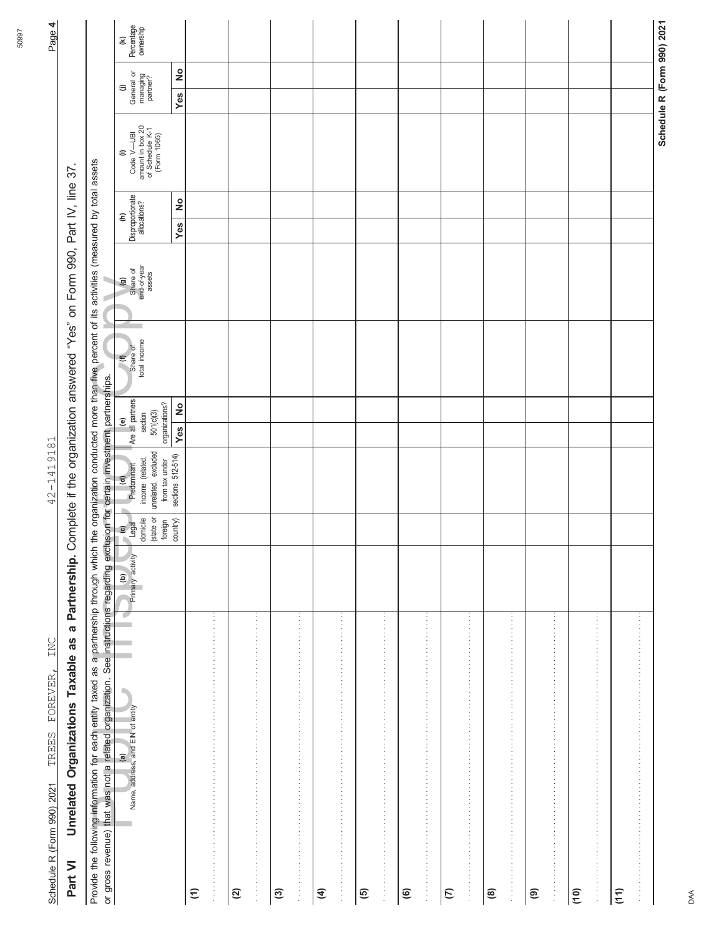| or gross revenue) that was not a related organization. See instructions regarding exclusion for certain investment partnerships.<br>Provide the following information for each entity taxed as a partnership through which                                                                                                                            |                               |                                                        |                                                                                 |                                                            | the organization conducted more than five percent of its activities (measured by total assets |                                                             |                                                       |               |                                                                       |                                         |                                          |
|-------------------------------------------------------------------------------------------------------------------------------------------------------------------------------------------------------------------------------------------------------------------------------------------------------------------------------------------------------|-------------------------------|--------------------------------------------------------|---------------------------------------------------------------------------------|------------------------------------------------------------|-----------------------------------------------------------------------------------------------|-------------------------------------------------------------|-------------------------------------------------------|---------------|-----------------------------------------------------------------------|-----------------------------------------|------------------------------------------|
| a,<br>$\overline{\mathbf{r}}$<br>(a)<br>Name, address, and EIN of entity<br>i.                                                                                                                                                                                                                                                                        | Primary activity<br>$\bullet$ | (state or<br>domicile<br>$\frac{1}{\log d}$<br>foreign | unrelated, excluded<br>income (related,<br>from tax under<br>(d)<br>Predominant | Are all partners<br>organizations?<br>501(c)(3)<br>section | total income<br>Share of<br>$\epsilon$                                                        | Share of<br>end-of-year<br>assets<br>$\widehat{\mathbf{g}}$ | Disproportionate<br>$\widehat{\boldsymbol{\epsilon}}$ |               | Code V—UBI<br>amount in box 20<br>of Schedule K-1<br>(Form 1065)<br>€ | General or<br>managing<br>partner?<br>⊜ | Percentage<br>ownership<br>$\mathfrak S$ |
|                                                                                                                                                                                                                                                                                                                                                       |                               | country)                                               | sections 512-514)                                                               | $\frac{1}{2}$<br>Yes                                       |                                                                                               |                                                             | Yes                                                   | $\frac{1}{2}$ |                                                                       | ş<br>Yes                                |                                          |
| 医血管中枢 医血管中枢 医血管中枢 医血管中枢 医血管中枢 医血管中枢 医血管中枢 医血管中枢 医血管中枢 医血管中枢 医血管中枢 医血管中枢 医血管中枢<br>$\widehat{z}$                                                                                                                                                                                                                                                        |                               |                                                        |                                                                                 |                                                            |                                                                                               |                                                             |                                                       |               |                                                                       |                                         |                                          |
| $\vdots$<br>$\widehat{\alpha}$                                                                                                                                                                                                                                                                                                                        |                               |                                                        |                                                                                 |                                                            |                                                                                               |                                                             |                                                       |               |                                                                       |                                         |                                          |
| $\widehat{\mathfrak{S}}$                                                                                                                                                                                                                                                                                                                              |                               |                                                        |                                                                                 |                                                            |                                                                                               |                                                             |                                                       |               |                                                                       |                                         |                                          |
| .<br>$\frac{1}{2}$<br>$\frac{1}{2}$ $\frac{1}{2}$ $\frac{1}{2}$ $\frac{1}{2}$ $\frac{1}{2}$ $\frac{1}{2}$ $\frac{1}{2}$ $\frac{1}{2}$ $\frac{1}{2}$ $\frac{1}{2}$ $\frac{1}{2}$ $\frac{1}{2}$ $\frac{1}{2}$ $\frac{1}{2}$ $\frac{1}{2}$ $\frac{1}{2}$ $\frac{1}{2}$ $\frac{1}{2}$ $\frac{1}{2}$ $\frac{1}{2}$ $\frac{1}{2}$ $\frac{1}{2}$<br>$\vdots$ |                               |                                                        |                                                                                 |                                                            |                                                                                               |                                                             |                                                       |               |                                                                       |                                         |                                          |
| $\widehat{\mathcal{A}}$                                                                                                                                                                                                                                                                                                                               |                               |                                                        |                                                                                 |                                                            |                                                                                               |                                                             |                                                       |               |                                                                       |                                         |                                          |
| $\frac{1}{2}$                                                                                                                                                                                                                                                                                                                                         |                               |                                                        |                                                                                 |                                                            |                                                                                               |                                                             |                                                       |               |                                                                       |                                         |                                          |
| きょうきょう きょうきょう きょうきょう きょうきょう きょうきょう きょうきょう きょうきょう きょうきょう きょうきょう きょうきょう きょうきょう きょうき<br>$\overline{6}$                                                                                                                                                                                                                                                   |                               |                                                        |                                                                                 |                                                            |                                                                                               |                                                             |                                                       |               |                                                                       |                                         |                                          |
| $\widehat{\mathbf{e}}$                                                                                                                                                                                                                                                                                                                                |                               |                                                        |                                                                                 |                                                            |                                                                                               |                                                             |                                                       |               |                                                                       |                                         |                                          |
| $\vdots$                                                                                                                                                                                                                                                                                                                                              |                               |                                                        |                                                                                 |                                                            |                                                                                               |                                                             |                                                       |               |                                                                       |                                         |                                          |
| $\epsilon$                                                                                                                                                                                                                                                                                                                                            |                               |                                                        |                                                                                 |                                                            |                                                                                               |                                                             |                                                       |               |                                                                       |                                         |                                          |
| 医皮肤性的 医皮肤性 医皮肤性 医皮肤性 医皮肤性 医皮肤性 医皮肤性 医皮肤性 医血清性 医血清性 医血清性 医血清性 医血清<br>@                                                                                                                                                                                                                                                                                 |                               |                                                        |                                                                                 |                                                            |                                                                                               |                                                             |                                                       |               |                                                                       |                                         |                                          |
| ම                                                                                                                                                                                                                                                                                                                                                     |                               |                                                        |                                                                                 |                                                            |                                                                                               |                                                             |                                                       |               |                                                                       |                                         |                                          |
| (10)                                                                                                                                                                                                                                                                                                                                                  |                               |                                                        |                                                                                 |                                                            |                                                                                               |                                                             |                                                       |               |                                                                       |                                         |                                          |
| (11)                                                                                                                                                                                                                                                                                                                                                  |                               |                                                        |                                                                                 |                                                            |                                                                                               |                                                             |                                                       |               |                                                                       |                                         |                                          |
|                                                                                                                                                                                                                                                                                                                                                       |                               |                                                        |                                                                                 |                                                            |                                                                                               |                                                             |                                                       |               |                                                                       |                                         | Schedule R (Form 990) 2021               |

Page 4

42-1419181 TREES FOREVER, INC 42-1419181

Schedule R (Form 990) 2021 Page **4** Part VI Unrelated Organizations Taxable as a Partnership. Complete if the organization answered "Yes" on Form 990, Part IV, line 37. Schedule R (Form 990) 2021 TREES FOREVER, INC

**Part VI Unrelated Organizations Taxable as a Partnership.** Complete if the organization answered "Yes" on Form 990, Part IV, line 37.

DAA